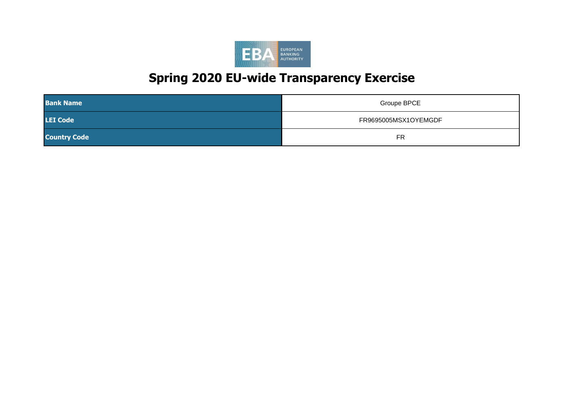

| <b>Bank Name</b>    | <b>Groupe BPCE</b>   |
|---------------------|----------------------|
| <b>LEI Code</b>     | FR9695005MSX1OYEMGDF |
| <b>Country Code</b> | FR                   |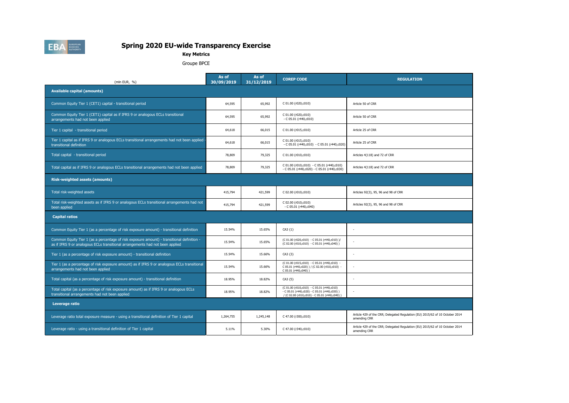

**Key Metrics**

Groupe BPCE

| (mln EUR. %)                                                                                                                                                                | As of<br>30/09/2019 | As of<br>31/12/2019 | <b>COREP CODE</b>                                                                                                                           | <b>REGULATION</b>                                                                            |
|-----------------------------------------------------------------------------------------------------------------------------------------------------------------------------|---------------------|---------------------|---------------------------------------------------------------------------------------------------------------------------------------------|----------------------------------------------------------------------------------------------|
| <b>Available capital (amounts)</b>                                                                                                                                          |                     |                     |                                                                                                                                             |                                                                                              |
| Common Equity Tier 1 (CET1) capital - transitional period                                                                                                                   | 64,595              | 65,992              | C 01.00 (r020,c010)                                                                                                                         | Article 50 of CRR                                                                            |
| Common Equity Tier 1 (CET1) capital as if IFRS 9 or analogous ECLs transitional<br>arrangements had not been applied                                                        | 64,595              | 65,992              | C 01.00 (r020,c010)<br>$-C 05.01 (r440,c010)$                                                                                               | Article 50 of CRR                                                                            |
| Tier 1 capital - transitional period                                                                                                                                        | 64,618              | 66,015              | C 01.00 (r015,c010)                                                                                                                         | Article 25 of CRR                                                                            |
| Tier 1 capital as if IFRS 9 or analogous ECLs transitional arrangements had not been applied<br>transitional definition                                                     | 64,618              | 66,015              | C 01.00 (r015,c010)<br>- C 05.01 (r440,c010) - C 05.01 (r440,c020)                                                                          | Article 25 of CRR                                                                            |
| Total capital - transitional period                                                                                                                                         | 78,809              | 79,325              | C 01.00 (r010,c010)                                                                                                                         | Articles 4(118) and 72 of CRR                                                                |
| Total capital as if IFRS 9 or analogous ECLs transitional arrangements had not been applied                                                                                 | 78,809              | 79,325              | C 01.00 (r010,c010) - C 05.01 (r440,c010)<br>$-C 05.01 (r440, c020) - C 05.01 (r440, c030)$                                                 | Articles 4(118) and 72 of CRR                                                                |
| <b>Risk-weighted assets (amounts)</b>                                                                                                                                       |                     |                     |                                                                                                                                             |                                                                                              |
| Total risk-weighted assets                                                                                                                                                  | 415,794             | 421,599             | C 02.00 (r010,c010)                                                                                                                         | Articles 92(3), 95, 96 and 98 of CRR                                                         |
| Total risk-weighted assets as if IFRS 9 or analogous ECLs transitional arrangements had not<br>been applied                                                                 | 415,794             | 421,599             | C 02.00 (r010,c010)<br>$-C 05.01 (r440, c040)$                                                                                              | Articles 92(3), 95, 96 and 98 of CRR                                                         |
| <b>Capital ratios</b>                                                                                                                                                       |                     |                     |                                                                                                                                             |                                                                                              |
| Common Equity Tier 1 (as a percentage of risk exposure amount) - transitional definition                                                                                    | 15.54%              | 15.65%              | CA3 {1}                                                                                                                                     |                                                                                              |
| Common Equity Tier 1 (as a percentage of risk exposure amount) - transitional definition -<br>as if IFRS 9 or analogous ECLs transitional arrangements had not been applied | 15.54%              | 15.65%              | (C 01.00 (r020,c010) - C 05.01 (r440,c010) )/<br>(C 02.00 (r010,c010) - C 05.01 (r440,c040))                                                |                                                                                              |
| Tier 1 (as a percentage of risk exposure amount) - transitional definition                                                                                                  | 15.54%              | 15.66%              | CA3 {3}                                                                                                                                     |                                                                                              |
| Tier 1 (as a percentage of risk exposure amount) as if IFRS 9 or analogous ECLs transitional<br>arrangements had not been applied                                           | 15.54%              | 15.66%              | (C 01.00 (r015,c010) - C 05.01 (r440,c010) -<br>C 05.01 (r440,c020) ) / (C 02.00 (r010,c010) -<br>C 05.01 (r440,c040))                      |                                                                                              |
| Total capital (as a percentage of risk exposure amount) - transitional definition                                                                                           | 18.95%              | 18.82%              | CA3 {5}                                                                                                                                     |                                                                                              |
| Total capital (as a percentage of risk exposure amount) as if IFRS 9 or analogous ECLs<br>transitional arrangements had not been applied                                    | 18.95%              | 18.82%              | (C 01.00 (r010,c010) - C 05.01 (r440,c010)<br>$-C 05.01 (r440,c020) - C 05.01 (r440,c030)$<br>/ (C 02.00 (r010,c010) - C 05.01 (r440,c040)) |                                                                                              |
| Leverage ratio                                                                                                                                                              |                     |                     |                                                                                                                                             |                                                                                              |
| Leverage ratio total exposure measure - using a transitional definition of Tier 1 capital                                                                                   | 1,264,755           | 1,245,148           | C 47.00 (r300,c010)                                                                                                                         | Article 429 of the CRR; Delegated Regulation (EU) 2015/62 of 10 October 2014<br>amending CRR |
| Leverage ratio - using a transitional definition of Tier 1 capital                                                                                                          | 5.11%               | 5.30%               | C 47.00 (r340,c010)                                                                                                                         | Article 429 of the CRR; Delegated Regulation (EU) 2015/62 of 10 October 2014<br>amending CRR |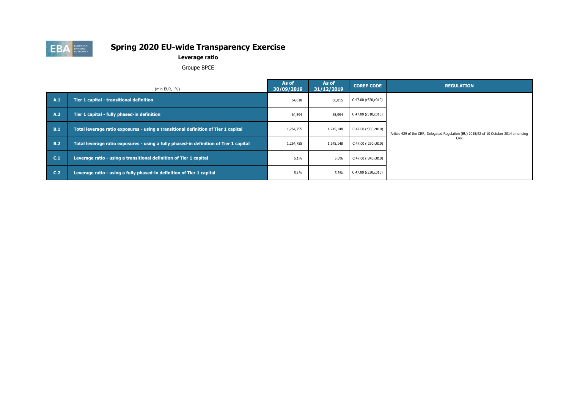

### **Leverage ratio**

Groupe BPCE

|                | (mln EUR, $%$ )                                                                       | As of<br>30/09/2019                     | As of<br>31/12/2019 | <b>COREP CODE</b>   | <b>REGULATION</b>                                                                     |  |
|----------------|---------------------------------------------------------------------------------------|-----------------------------------------|---------------------|---------------------|---------------------------------------------------------------------------------------|--|
| A.1            | Tier 1 capital - transitional definition                                              | C 47.00 (r320,c010)<br>66,015<br>64,618 |                     |                     |                                                                                       |  |
| A.2            | Tier 1 capital - fully phased-in definition                                           | 64,594                                  | 65,994              | C 47.00 (r310,c010) |                                                                                       |  |
| B.1            | Total leverage ratio exposures - using a transitional definition of Tier 1 capital    | 1,264,755                               | 1,245,148           | C 47.00 (r300,c010) | Article 429 of the CRR; Delegated Regulation (EU) 2015/62 of 10 October 2014 amending |  |
| <b>B.2</b>     | Total leverage ratio exposures - using a fully phased-in definition of Tier 1 capital | 1,264,755                               | 1,245,148           | C 47.00 (r290,c010) | <b>CRR</b>                                                                            |  |
| C.1            | Leverage ratio - using a transitional definition of Tier 1 capital                    | 5.1%                                    | 5.3%                | C 47.00 (r340,c010) |                                                                                       |  |
| C <sub>2</sub> | Leverage ratio - using a fully phased-in definition of Tier 1 capital                 | 5.1%                                    | 5.3%                | C 47.00 (r330,c010) |                                                                                       |  |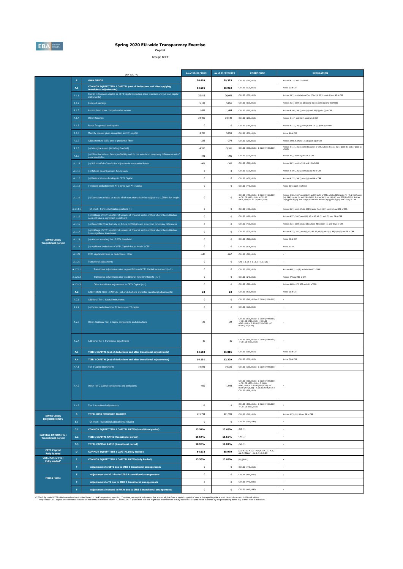

# **Spring 2020 EU-wide Transparency Exercise**<br><sub>Capital</sub>

Groupe BPCE

|                                                         |                         | (mln EUR, %)                                                                                                                           | As of 30/09/2019 | As of 31/12/2019 | <b>COREP CODE</b>                                                                                                                                                                                                                                | <b>REGULATION</b>                                                                                                                                                                                                                                                                                                                    |
|---------------------------------------------------------|-------------------------|----------------------------------------------------------------------------------------------------------------------------------------|------------------|------------------|--------------------------------------------------------------------------------------------------------------------------------------------------------------------------------------------------------------------------------------------------|--------------------------------------------------------------------------------------------------------------------------------------------------------------------------------------------------------------------------------------------------------------------------------------------------------------------------------------|
|                                                         | $\overline{A}$          | <b>OWN FUNDS</b>                                                                                                                       | 78,809           | 79,325           | : 01.00 (r010, c010)                                                                                                                                                                                                                             | Articles 4(118) and 72 of CRR                                                                                                                                                                                                                                                                                                        |
|                                                         | A.1                     | COMMON EQUITY TIER 1 CAPITAL (net of deductions and after applying<br>transitional adjustments)                                        | 64,595           | 65,992           | 01.00 (r020,c010)                                                                                                                                                                                                                                | Article 50 of CRR                                                                                                                                                                                                                                                                                                                    |
|                                                         | A.1.1                   | Capital instruments eligible as CET1 Capital (including share premium and net own capital<br>instruments)                              | 25,813           | 26,664           | 01.00 (r030,c010)                                                                                                                                                                                                                                | Articles 26(1) points (a) and (b), 27 to 29, 36(1) point (f) and 42 of CRR                                                                                                                                                                                                                                                           |
|                                                         | A.1.2                   | <b>Retained earnings</b>                                                                                                               | 5.132            | 5.851            | C 01.00 (r130.c010)                                                                                                                                                                                                                              | Articles 26(1) point (c), 26(2) and 36 (1) points (a) and (l) of CRR                                                                                                                                                                                                                                                                 |
|                                                         | A.1.3                   | Accumulated other comprehensive income                                                                                                 | 1,491            | 1,404            | 01.00 (r180,c010)                                                                                                                                                                                                                                | Articles 4(100), 26(1) point (d) and 36 (1) point (l) of CRR                                                                                                                                                                                                                                                                         |
|                                                         | A.1.4                   | <b>Other Reserves</b>                                                                                                                  | 34,405           | 34.149           | 01.00 (r200,c010)                                                                                                                                                                                                                                | Articles 4(117) and 26(1) point (e) of CRR                                                                                                                                                                                                                                                                                           |
|                                                         | $A.1.5$                 | Funds for general banking risk                                                                                                         | $\bf 0$          | $\bf 0$          | 01.00 (r210, c010)                                                                                                                                                                                                                               | Articles 4(112), 26(1) point (f) and 36 (1) point (l) of CRR                                                                                                                                                                                                                                                                         |
|                                                         | A.1.6                   | Minority interest given recognition in CET1 capital                                                                                    | 4,700            | 5,059            | (01.00 (r230, c010))                                                                                                                                                                                                                             | Article 84 of CRR                                                                                                                                                                                                                                                                                                                    |
|                                                         | A.1.7                   | Adjustments to CET1 due to prudential filters                                                                                          | $-222$           | $-274$           | 01.00 (r250,c010)                                                                                                                                                                                                                                | Articles 32 to 35 of and 36 (1) point (1) of CRR                                                                                                                                                                                                                                                                                     |
|                                                         | A.1.8                   | (-) Intangible assets (including Goodwill)                                                                                             | $-4,956$         | $-5,101$         | 01.00 (r300,c010) + C 01.00 (r340,c010)                                                                                                                                                                                                          | Articles 4(113), 36(1) point (b) and 37 of CRR. Articles 4(115), 36(1) point (b) and 37 point (a)<br>of CCR                                                                                                                                                                                                                          |
|                                                         | A.1.9                   | (-) DTAs that rely on future profitability and do not arise from temporary differences net of<br>associated DTLs                       | $-721$           | $-706$           | C 01.00 (r370,c010)                                                                                                                                                                                                                              | Articles 36(1) point (c) and 38 of CRR                                                                                                                                                                                                                                                                                               |
|                                                         | A.1.10                  | (-) IRB shortfall of credit risk adjustments to expected losses                                                                        | $-401$           | $-387$           | C 01.00 (r380,c010)                                                                                                                                                                                                                              | Articles 36(1) point (d), 40 and 159 of CRR                                                                                                                                                                                                                                                                                          |
|                                                         | A.1.11                  | (-) Defined benefit pension fund assets                                                                                                | $^{\circ}$       | $^{\circ}$       | C 01.00 (r390,c010)                                                                                                                                                                                                                              | Articles 4(109), 36(1) point (e) and 41 of CRR                                                                                                                                                                                                                                                                                       |
|                                                         | A.1.12                  | (-) Reciprocal cross holdings in CET1 Capital                                                                                          | $\bf 0$          | $\bf 0$          | 01.00 (r430,c010)                                                                                                                                                                                                                                | Articles 4(122), 36(1) point (g) and 44 of CRR                                                                                                                                                                                                                                                                                       |
|                                                         | A.1.13                  | (-) Excess deduction from AT1 items over AT1 Capital                                                                                   | $\mathbf{0}$     | $\mathbf{0}$     | 01.00 (r440,c010)                                                                                                                                                                                                                                | Article 36(1) point (j) of CRR                                                                                                                                                                                                                                                                                                       |
|                                                         | A.1.14                  | (-) Deductions related to assets which can alternatively be subject to a 1.250% risk weight                                            | $^{\circ}$       | $\bf{0}$         | 01.00 (r450,c010) + C 01.00 (r460,c010)<br>$- 0.00 (r470, d010) + 0.01.00$<br>$r471, c010) + 0.01.00 (r472, d010)$                                                                                                                               | Articles 4(36), 36(1) point (k) (i) and 89 to 91 of CRR; Articles 36(1) point (k) (ii), 243(1) point<br>(b), $244(1)$ point (b) and $258$ of CRR; Articles $36(1)$ point k) (iii) and $379(3)$ of CRR; Articles $36(1)$ point k) (iv) and $153(8)$ of CRR and Articles $36(1)$ point k) (v) and $153(8)$ of CRR and Articles $36(1)$ |
|                                                         | A.1.14.1                | Of which: from securitisation positions (-)                                                                                            | $\bf 0$          | $\bf{0}$         | 01.00 (r460,c010)                                                                                                                                                                                                                                | Articles 36(1) point (k) (ii), 243(1) point (b), 244(1) point (b) and 258 of CRR                                                                                                                                                                                                                                                     |
|                                                         | A.1.15                  | (-) Holdings of CET1 capital instruments of financial sector entities where the institiution<br>does not have a significant investment | $^{\circ}$       | $\bf{0}$         | 01.00 (r480,c010)                                                                                                                                                                                                                                | Articles 4(27), 36(1) point (h); 43 to 46, 49 (2) and (3) and 79 of CRR                                                                                                                                                                                                                                                              |
|                                                         | A.1.16                  | (-) Deductible DTAs that rely on future profitability and arise from temporary differences                                             | $\bf 0$          | $\bf{0}$         | 01.00 (r490,c010)                                                                                                                                                                                                                                | Articles 36(1) point (c) and 38; Articles 48(1) point (a) and 48(2) of CRR                                                                                                                                                                                                                                                           |
|                                                         | A.1.17                  | (-) Holdings of CET1 capital instruments of financial sector entities where the institiution<br>has a significant investment           | $^{\circ}$       | $\mathbf{0}$     | 01.00 (rS00.c010)                                                                                                                                                                                                                                | Articles 4(27); 36(1) point (i); 43, 45; 47; 48(1) point (b); 49(1) to (3) and 79 of CRR                                                                                                                                                                                                                                             |
| <b>OWN FUNDS</b><br><b>Transitional period</b>          | A.1.18                  | (-) Amount exceding the 17.65% threshold                                                                                               | $\bf 0$          | $\bf 0$          | 01.00 (r510,c010)                                                                                                                                                                                                                                | Article 48 of CRR                                                                                                                                                                                                                                                                                                                    |
|                                                         | A.1.19                  | (-) Additional deductions of CET1 Capital due to Article 3 CRR                                                                         | $^{\circ}$       | $\mathbf{0}$     | 01.00 (r524,c010)                                                                                                                                                                                                                                | Article 3 CRR                                                                                                                                                                                                                                                                                                                        |
|                                                         | A.1.20                  | CET1 capital elements or deductions - other                                                                                            | $-647$           | $-667$           | 01.00 (r529,c010)                                                                                                                                                                                                                                |                                                                                                                                                                                                                                                                                                                                      |
|                                                         | A.1.21                  | <b>Transitional adjustments</b>                                                                                                        | $\bf 0$          | $\bf{0}$         | $CA1$ {1.1.1.6 + 1.1.1.8 + 1.1.1.26}                                                                                                                                                                                                             |                                                                                                                                                                                                                                                                                                                                      |
|                                                         | A.1.21.1                | Transitional adjustments due to grandfathered CET1 Capital instruments (+/-)                                                           | $\bf{0}$         | $\bf{0}$         | C 01.00 (r220,c010)                                                                                                                                                                                                                              | Articles 483(1) to (3), and 484 to 487 of CRR                                                                                                                                                                                                                                                                                        |
|                                                         | A.1.21.2                | Transitional adjustments due to additional minority interests (+/-)                                                                    | $\bf 0$          | $\bf{0}$         | 01.00 (r240,c010)                                                                                                                                                                                                                                | Articles 479 and 480 of CRR                                                                                                                                                                                                                                                                                                          |
|                                                         | A.1.21.3                | Other transitional adjustments to CET1 Capital (+/-)                                                                                   | $\bf{0}$         | $\bf{0}$         | C 01.00 (rS20,c010)                                                                                                                                                                                                                              | Articles 469 to 472, 478 and 481 of CRR                                                                                                                                                                                                                                                                                              |
|                                                         | $\mathbf{A}.\mathbf{2}$ | ADDITIONAL TIER 1 CAPITAL (net of deductions and after transitional adjustments)                                                       | 23               | 23               | 01.00 (r530,c010)                                                                                                                                                                                                                                | Article 61 of CRR                                                                                                                                                                                                                                                                                                                    |
|                                                         | A.2.1                   | Additional Tier 1 Capital instruments                                                                                                  | $^{\circ}$       | $^{\circ}$       | 01.00 (r540,c010) + C 01.00 (r670,c010)                                                                                                                                                                                                          |                                                                                                                                                                                                                                                                                                                                      |
|                                                         | A.2.2                   | (-) Excess deduction from T2 items over T2 capital                                                                                     | $\bf 0$          | $\bf 0$          | 01.00 (r720,c010)                                                                                                                                                                                                                                | ×                                                                                                                                                                                                                                                                                                                                    |
|                                                         | A.2.3                   | Other Additional Tier 1 Capital components and deductions                                                                              | $-22$            | $-22$            | $01.00$ (r690,c010) + C 01.00 (r700,c010)<br>$-C 01.00 (r710, c010) + C 01.00$<br>$(740, c010) + C 01.00 (r744, c010) + C$<br>1.00 (r748,c010)                                                                                                   |                                                                                                                                                                                                                                                                                                                                      |
|                                                         | A.2.4                   | Additional Tier 1 transitional adjustments                                                                                             | 45               | 45               | 01.00 (r660,c010) + C 01.00 (r680,c010)<br>$-C 01.00 (r730,c010)$                                                                                                                                                                                |                                                                                                                                                                                                                                                                                                                                      |
|                                                         | A.3                     | TIER 1 CAPITAL (net of deductions and after transitional adjustments)                                                                  | 64,618           | 66,015           | 01.00 (r015,c010)                                                                                                                                                                                                                                | Article 25 of CRR                                                                                                                                                                                                                                                                                                                    |
|                                                         | A.4                     | TIER 2 CAPITAL (net of deductions and after transitional adjustments)                                                                  | 14,191           | 13,309           | 01.00 (r750,c010)                                                                                                                                                                                                                                | Article 71 of CRR                                                                                                                                                                                                                                                                                                                    |
|                                                         | A.4.1                   | Tier 2 Capital instruments                                                                                                             | 14,841           | 14,335           | $C 01.00 (r760, c010) + C 01.00 (r890, c010)$                                                                                                                                                                                                    |                                                                                                                                                                                                                                                                                                                                      |
|                                                         | A.4.2                   | Other Tier 2 Capital components and deductions                                                                                         | $-669$           | $-1.044$         | $\begin{array}{l} \text{C 01.00 (r910, c010) + C 01.00 (r920, c010)}\\ + \text{ C 01.00 (r930, c010) + C 01.00}\\ \text{(r940, c010) + C 01.00 (r950, c010) + C}\end{array}$<br>01.00 (r970,c010) + C 01.00 (r974,c010) +<br>C 01.00 (r978,c010) |                                                                                                                                                                                                                                                                                                                                      |
|                                                         | A.4.3                   | Tier 2 transitional adjustments                                                                                                        | $19\,$           | $19\,$           | C 01.00 (r880,c010) + C 01.00 (r900,c010)<br>+ C 01.00 (r960,c010)                                                                                                                                                                               |                                                                                                                                                                                                                                                                                                                                      |
| <b>OWN FUNDS</b><br><b>REQUIREMENTS</b>                 | $\mathbf{B}$            | <b>TOTAL RISK EXPOSURE AMOUNT</b>                                                                                                      | 415,794          | 421,599          | C 02.00 (r010.c010)                                                                                                                                                                                                                              | Articles 92(3), 95, 96 and 98 of CRR                                                                                                                                                                                                                                                                                                 |
|                                                         | $_{\rm B.1}$            | Of which: Transitional adjustments included                                                                                            | $\mathbf{0}$     | $\,0\,$          | 05.01 (r010;c040)                                                                                                                                                                                                                                |                                                                                                                                                                                                                                                                                                                                      |
|                                                         | C <sub>1</sub>          | <b>COMMON EOUITY TIER 1 CAPITAL RATIO (transitional period)</b>                                                                        | 15.54%           | 15.65%           | $CA3$ $\{1\}$                                                                                                                                                                                                                                    | $\sim$                                                                                                                                                                                                                                                                                                                               |
| <b>CAPITAL RATIOS (%)</b><br><b>Transitional period</b> | C.2                     | <b>TIER 1 CAPITAL RATIO (transitional period)</b>                                                                                      | 15.54%           | 15.66%           | CA3 {3}                                                                                                                                                                                                                                          | ×,                                                                                                                                                                                                                                                                                                                                   |
|                                                         | C.3                     | <b>TOTAL CAPITAL RATIO (transitional period)</b>                                                                                       | 18.95%           | 18.82%           | $CAS$ $\{5\}$                                                                                                                                                                                                                                    | ł,                                                                                                                                                                                                                                                                                                                                   |
| <b>CET1 Capital</b><br>Fully loaded                     | $\mathbf D$             | COMMON EQUITY TIER 1 CAPITAL (fully loaded)                                                                                            | 64,573           | 65,970           | [A.1-A.1.13-A.1.21+MIN(A.2+A.1.13-A.2.2-<br>4.2.4+MIN(A.4+A.2.2-A.4.3,0),0)]                                                                                                                                                                     | ÷                                                                                                                                                                                                                                                                                                                                    |
| CET1 RATIO (%)<br><b>Fully loaded</b> <sup>1</sup>      | E.                      | COMMON EQUITY TIER 1 CAPITAL RATIO (fully loaded)                                                                                      | 15.53%           | 15.65%           | $[D]/[B-B.1]$                                                                                                                                                                                                                                    |                                                                                                                                                                                                                                                                                                                                      |
|                                                         | F.                      | Adjustments to CET1 due to IFRS 9 transitional arrangements                                                                            | $\bf{0}$         | $\bf{0}$         | C 05.01 (r440,c010)                                                                                                                                                                                                                              | $\sim$                                                                                                                                                                                                                                                                                                                               |
| <b>Memo items</b>                                       | $\mathsf F$             | Adjustments to AT1 due to IFRS 9 transitional arrangements                                                                             | $\bf 0$          | $\bf 0$          | 05.01 (r440,c020)                                                                                                                                                                                                                                | ł,                                                                                                                                                                                                                                                                                                                                   |
|                                                         | F                       | Adjustments to T2 due to IFRS 9 transitional arrangements                                                                              | $\mathbf{0}$     | $^{\circ}$       | 05.01 (r440,c030)                                                                                                                                                                                                                                | $\sim$                                                                                                                                                                                                                                                                                                                               |
|                                                         | $\mathsf F$             | Adjustments included in RWAs due to IFRS 9 transitional arrangements                                                                   | $\bf 0$          | $\bf 0$          | 05.01 (r440,c040)                                                                                                                                                                                                                                | ł,                                                                                                                                                                                                                                                                                                                                   |

(1)The fully badd CETI ratio at estimate based on bank's superksory reporting. Therefore, any capital instruments that are not eligible from a requidatory promot supersive on the fully based on the report of the report of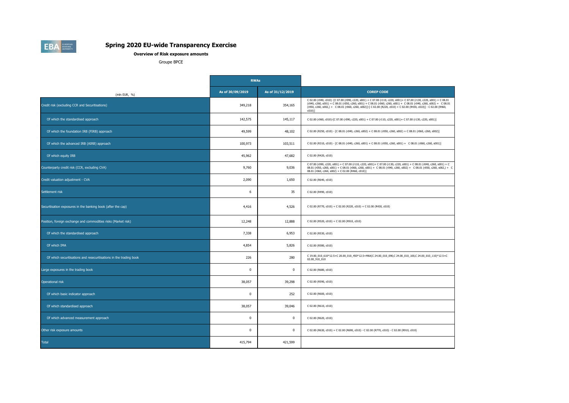**Overview of Risk exposure amounts**

Groupe BPCE

|                                                                    | <b>RWAs</b>      |                  |                                                                                                                                                                                                                                                                                                                                                                              |
|--------------------------------------------------------------------|------------------|------------------|------------------------------------------------------------------------------------------------------------------------------------------------------------------------------------------------------------------------------------------------------------------------------------------------------------------------------------------------------------------------------|
| (mln EUR, %)                                                       | As of 30/09/2019 | As of 31/12/2019 | <b>COREP CODE</b>                                                                                                                                                                                                                                                                                                                                                            |
| Credit risk (excluding CCR and Securitisations)                    | 349,218          | 354,165          | C 02.00 (r040, c010) -[C 07.00 (r090, c220, s001) + C 07.00 (r110, c220, s001) + C 07.00 (r130, c220, s001) + C 08.01<br>(r040, c260, s001) + C 08.01 (r050, c260, s001) + C 08.01 (r060, c260, s001) + C 08.01 (r040, c260, s002) + C 08.01<br>(r050, c260, s002,) + C 08.01 (r060, c260, s002)]-[C 02.00 (R220, c010) + C 02.00 (R430, c010)] - C 02.00 (R460,<br>$c010$ ] |
| Of which the standardised approach                                 | 142,575          | 145,117          | C 02.00 (r060, c010)-[C 07.00 (r090, c220, s001) + C 07.00 (r110, c220, s001)+ C 07.00 (r130, c220, s001)]                                                                                                                                                                                                                                                                   |
| Of which the foundation IRB (FIRB) approach                        | 49,599           | 48,102           | C 02.00 (R250, c010) - [C 08.01 (r040, c260, s002) + C 08.01 (r050, c260, s002) + C 08.01 (r060, c260, s002)]                                                                                                                                                                                                                                                                |
| Of which the advanced IRB (AIRB) approach                          | 100,973          | 103,511          | C 02.00 (R310, c010) - [C 08.01 (r040, c260, s001) + C 08.01 (r050, c260, s001) + C 08.01 (r060, c260, s001)]                                                                                                                                                                                                                                                                |
| Of which equity IRB                                                | 45,962           | 47,682           | C 02.00 (R420, c010)                                                                                                                                                                                                                                                                                                                                                         |
| Counterparty credit risk (CCR, excluding CVA)                      | 9,760            | 9,036            | C 07.00 (r090, c220, s001) + C 07.00 (r110, c220, s001) + C 07.00 (r130, c220, s001) + C 08.01 (r040, c260, s001) + C<br>08.01 (r050, c260, s001) + C 08.01 (r060, c260, s001) + C 08.01 (r040, c260, s002) + C 08.01 (r050, c260, s002,) + C<br>08.01 (r060, c260, s002) + C 02.00 (R460, c010)]                                                                            |
| Credit valuation adjustment - CVA                                  | 2,090            | 1,650            | C 02.00 (R640, c010)                                                                                                                                                                                                                                                                                                                                                         |
| Settlement risk                                                    | 6                | 35               | C 02.00 (R490, c010)                                                                                                                                                                                                                                                                                                                                                         |
| Securitisation exposures in the banking book (after the cap)       | 4,416            | 4,526            | C 02.00 (R770, c010) + C 02.00 (R220, c010) + C 02.00 (R430, c010)                                                                                                                                                                                                                                                                                                           |
| Position, foreign exchange and commodities risks (Market risk)     | 12,248           | 12,888           | C 02.00 (R520, c010) + C 02.00 (R910, c010)                                                                                                                                                                                                                                                                                                                                  |
| Of which the standardised approach                                 | 7,338            | 6,953            | C 02.00 (R530, c010)                                                                                                                                                                                                                                                                                                                                                         |
| Of which IMA                                                       | 4,854            | 5,826            | C 02.00 (R580, c010)                                                                                                                                                                                                                                                                                                                                                         |
| Of which securitisations and resecuritisations in the trading book | 226              | 280              | C 19.00_010_610*12.5+C 20.00_010_450*12.5+MAX(C 24.00_010_090,C 24.00_010_100,C 24.00_010_110)*12.5+C<br>02.00_910_010                                                                                                                                                                                                                                                       |
| Large exposures in the trading book                                | $\Omega$         | $\Omega$         | C 02.00 (R680, c010)                                                                                                                                                                                                                                                                                                                                                         |
| Operational risk                                                   | 38,057           | 39,298           | C 02.00 (R590, c010)                                                                                                                                                                                                                                                                                                                                                         |
| Of which basic indicator approach                                  | $\mathbf 0$      | 252              | C 02.00 (R600, c010)                                                                                                                                                                                                                                                                                                                                                         |
| Of which standardised approach                                     | 38,057           | 39,046           | C 02.00 (R610, c010)                                                                                                                                                                                                                                                                                                                                                         |
| Of which advanced measurement approach                             | $\mathbf 0$      | $\mathbf 0$      | C 02.00 (R620, c010)                                                                                                                                                                                                                                                                                                                                                         |
| Other risk exposure amounts                                        | $\mathbf 0$      | $\mathbf 0$      | C 02.00 (R630, c010) + C 02.00 (R690, c010) - C 02.00 (R770, c010) - C 02.00 (R910, c010)                                                                                                                                                                                                                                                                                    |
| <b>Total</b>                                                       | 415,794          | 421,599          |                                                                                                                                                                                                                                                                                                                                                                              |

**EBA** BANKING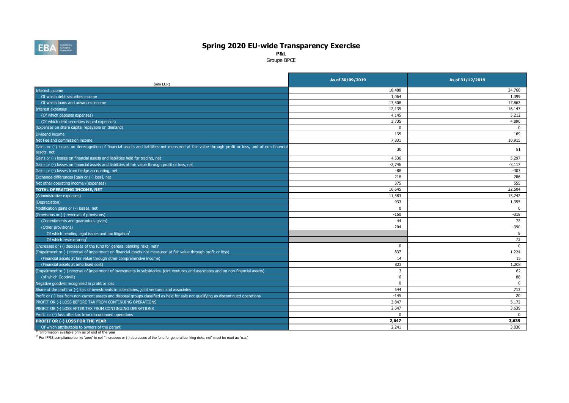

**P&L**

Groupe BPCE

| (mln EUR)                                                                                                                                                       | As of 30/09/2019 | As of 31/12/2019 |
|-----------------------------------------------------------------------------------------------------------------------------------------------------------------|------------------|------------------|
| Interest income                                                                                                                                                 | 18,488           | 24,768           |
| Of which debt securities income                                                                                                                                 | 1,064            | 1,399            |
| Of which loans and advances income                                                                                                                              | 13,508           | 17,862           |
| Interest expenses                                                                                                                                               | 12,135           | 16,147           |
| (Of which deposits expenses)                                                                                                                                    | 4,145            | 5,212            |
| (Of which debt securities issued expenses)                                                                                                                      | 3,735            | 4,890            |
| Expenses on share capital repayable on demand)                                                                                                                  | $\mathbf 0$      | $\Omega$         |
| Dividend income                                                                                                                                                 | 135              | 169              |
| Net Fee and commission income                                                                                                                                   | 7.831            | 10,915           |
| Gains or (-) losses on derecognition of financial assets and liabilities not measured at fair value through profit or loss, and of non financial<br>assets, net | 30               | 81               |
| Gains or (-) losses on financial assets and liabilities held for trading, net                                                                                   | 4,536            | 5,297            |
| Gains or (-) losses on financial assets and liabilities at fair value through profit or loss, net                                                               | $-2,746$         | $-3,117$         |
| Gains or (-) losses from hedge accounting, net                                                                                                                  | $-88$            | $-303$           |
| Exchange differences [gain or (-) loss], net                                                                                                                    | 218              | 286              |
| Net other operating income /(expenses)                                                                                                                          | 375              | 555              |
| TOTAL OPERATING INCOME, NET                                                                                                                                     | 16,645           | 22,504           |
| (Administrative expenses)                                                                                                                                       | 11,583           | 15,742           |
| (Depreciation)                                                                                                                                                  | 933              | 1,355            |
| Modification gains or (-) losses, net                                                                                                                           | $\mathbf 0$      | $\Omega$         |
| (Provisions or (-) reversal of provisions)                                                                                                                      | $-160$           | $-318$           |
| (Commitments and guarantees given)                                                                                                                              | 44               | 72               |
| (Other provisions)                                                                                                                                              | $-204$           | $-390$           |
| Of which pending legal issues and tax litigation <sup>1</sup>                                                                                                   |                  | 9                |
| Of which restructuring <sup>1</sup>                                                                                                                             |                  | 73               |
| (Increases or (-) decreases of the fund for general banking risks, net) <sup>2</sup>                                                                            | $^{\circ}$       | $\mathbf 0$      |
| (Impairment or (-) reversal of impairment on financial assets not measured at fair value through profit or loss)                                                | 837              | 1,224            |
| (Financial assets at fair value through other comprehensive income)                                                                                             | 14               | 15               |
| (Financial assets at amortised cost)                                                                                                                            | 823              | 1,208            |
| Impairment or (-) reversal of impairment of investments in subsidaries, joint ventures and associates and on non-financial assets)                              | 3                | 62               |
| (of which Goodwill)                                                                                                                                             | 6                | 88               |
| Negative goodwill recognised in profit or loss                                                                                                                  | $\Omega$         | $\Omega$         |
| Share of the profit or (-) loss of investments in subsidaries, joint ventures and associates                                                                    | 544              | 713              |
| Profit or (-) loss from non-current assets and disposal groups classified as held for sale not qualifying as discontinued operations                            | $-145$           | 20               |
| PROFIT OR (-) LOSS BEFORE TAX FROM CONTINUING OPERATIONS                                                                                                        | 3,847            | 5,172            |
| PROFIT OR (-) LOSS AFTER TAX FROM CONTINUING OPERATIONS                                                                                                         | 2,647            | 3,639            |
| Profit or (-) loss after tax from discontinued operations                                                                                                       | $\Omega$         | $\Omega$         |
| PROFIT OR (-) LOSS FOR THE YEAR                                                                                                                                 | 2,647            | 3,639            |
| Of which attributable to owners of the parent                                                                                                                   | 2.241            | 3,030            |

(1) Information available only as of end of the year

(2) For IFRS compliance banks "zero" in cell "Increases or (-) decreases of the fund for general banking risks, net" must be read as "n.a."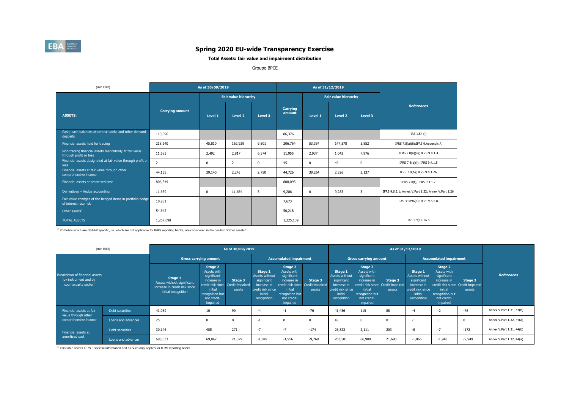

### **Total Assets: fair value and impairment distribution**

#### Groupe BPCE

| (mln EUR)                                                                          |                        | As of 30/09/2019 |                             |                |                    |         | As of 31/12/2019              |          |                                                    |
|------------------------------------------------------------------------------------|------------------------|------------------|-----------------------------|----------------|--------------------|---------|-------------------------------|----------|----------------------------------------------------|
|                                                                                    |                        |                  | <b>Fair value hierarchy</b> |                |                    |         | <b>Fair value hierarchy</b>   |          |                                                    |
| <b>ASSETS:</b>                                                                     | <b>Carrying amount</b> | Level 1          | Level <sub>2</sub>          | Level 3        | Carrying<br>amount | Level 1 | Level <sub>2</sub><br>Level 3 |          | <b>References</b>                                  |
| Cash, cash balances at central banks and other demand<br>deposits                  | 110,696                |                  |                             |                | 86,376             |         |                               |          | IAS 1.54 (i)                                       |
| Financial assets held for trading                                                  | 218,240                | 45,810           | 162,929                     | 9,501          | 206,764            | 53,334  | 147,578                       | 5,852    | IFRS 7.8(a)(ii); IFRS 9.Appendix A                 |
| Non-trading financial assets mandatorily at fair value<br>through profit or loss   | 11,683                 | 2,492            | 2,817                       | 6,374          | 11,955             | 2,937   | 1,042                         | 7,976    | IFRS 7.8(a)(ii); IFRS 9.4.1.4                      |
| Financial assets designated at fair value through profit or<br>loss                | $\overline{2}$         | 0                | 2                           | $\overline{0}$ | 45                 | 0       | 45                            | $\Omega$ | IFRS 7.8(a)(i); IFRS 9.4.1.5                       |
| Financial assets at fair value through other<br>comprehensive income               | 44,135                 | 39,140           | 2,245                       | 2,750          | 44,726             | 39,264  | 2,326                         | 3,137    | IFRS 7.8(h); IFRS 9.4.1.2A                         |
| Financial assets at amortised cost                                                 | 806,349                |                  |                             |                | 808,095            |         |                               |          | IFRS 7.8(f); IFRS 9.4.1.2                          |
| Derivatives - Hedge accounting                                                     | 11,669                 | $\mathbf 0$      | 11,664                      | 5              | 9,286              | 0       | 9,283                         | 3        | IFRS 9.6.2.1; Annex V.Part 1.22; Annex V.Part 1.26 |
| Fair value changes of the hedged items in portfolio hedge<br>of interest rate risk | 10,281                 |                  |                             |                | 7,673              |         |                               |          | IAS 39.89A(a); IFRS 9.6.5.8                        |
| Other assets <sup>1</sup>                                                          | 54,642                 |                  |                             |                | 50,218             |         |                               |          |                                                    |
| <b>TOTAL ASSETS</b>                                                                | 1,267,698              |                  |                             |                | 1,225,139          |         |                               |          | IAS 1.9(a), IG 6                                   |

(1) Portfolios which are nGAAP specific, i.e. which are not applicable for IFRS reporting banks, are considered in the position "Other assets"

|                                                                                           | (mln EUR)          |                                                                                               |                                                                                                                                                    | As of 30/09/2019              |                                                                                                        |                                                                                                                                                    |                              | As of 31/12/2019                                                                                       |                                                                                                                                                    |                               |                                                                                                        |                                                                                                               |                                                        |                          |  |
|-------------------------------------------------------------------------------------------|--------------------|-----------------------------------------------------------------------------------------------|----------------------------------------------------------------------------------------------------------------------------------------------------|-------------------------------|--------------------------------------------------------------------------------------------------------|----------------------------------------------------------------------------------------------------------------------------------------------------|------------------------------|--------------------------------------------------------------------------------------------------------|----------------------------------------------------------------------------------------------------------------------------------------------------|-------------------------------|--------------------------------------------------------------------------------------------------------|---------------------------------------------------------------------------------------------------------------|--------------------------------------------------------|--------------------------|--|
|                                                                                           |                    | <b>Gross carrying amount</b>                                                                  |                                                                                                                                                    | <b>Accumulated impairment</b> |                                                                                                        |                                                                                                                                                    | <b>Gross carrying amount</b> |                                                                                                        |                                                                                                                                                    | <b>Accumulated impairment</b> |                                                                                                        |                                                                                                               |                                                        |                          |  |
| Breakdown of financial assets<br>by instrument and by<br>counterparty sector <sup>1</sup> |                    | Stage 1<br>Assets without significant<br>increase in credit risk since<br>initial recognition | Stage 2<br>Assets with<br>significant<br>increase in<br>credit risk since Credit-impaired<br>initial<br>recognition but<br>not credit-<br>impaired | Stage 3<br>assets             | Stage 1<br>Assets without<br>significant<br>increase in<br>credit risk since<br>initial<br>recognition | Stage 2<br>Assets with<br>significant<br>increase in<br>credit risk since Credit-impaired<br>initial<br>recognition but<br>not credit-<br>impaired | Stage 3<br>assets            | Stage 1<br>Assets without<br>significant<br>increase in<br>credit risk since<br>initial<br>recognition | Stage 2<br>Assets with<br>significant<br>increase in<br>credit risk since Credit-impaired<br>initial<br>recognition but<br>not credit-<br>impaired | Stage 3<br>assets             | Stage 1<br>Assets without<br>significant<br>increase in<br>credit risk since<br>initial<br>recognition | Stage 2<br>Assets with<br>significant<br>increase in<br>initial<br>recognition but<br>not credit-<br>impaired | Stage 3<br>credit risk since Credit-impaired<br>assets | <b>References</b>        |  |
| Financial assets at fair                                                                  | Debt securities    | 41,069                                                                                        | 10                                                                                                                                                 | 90                            |                                                                                                        | -1                                                                                                                                                 | $-76$                        | 41,456                                                                                                 | 115                                                                                                                                                | 88                            | -4                                                                                                     | $-2$                                                                                                          | $-76$                                                  | Annex V.Part 1.31, 44(b) |  |
| value through other<br>comprehensive income                                               | Loans and advances | 25                                                                                            |                                                                                                                                                    |                               |                                                                                                        |                                                                                                                                                    |                              | 45                                                                                                     | 0                                                                                                                                                  | $\Omega$                      | $\rightarrow$                                                                                          | $\Omega$                                                                                                      | C                                                      | Annex V.Part 1.32, 44(a) |  |
| Financial assets at                                                                       | Debt securities    | 30,146                                                                                        | 485                                                                                                                                                | 271                           | $-7$                                                                                                   | -7                                                                                                                                                 | $-174$                       | 26,823                                                                                                 | 2,111                                                                                                                                              | 203                           | -8                                                                                                     | $-7$                                                                                                          | $-172$                                                 | Annex V.Part 1.31, 44(b) |  |
| amortised cost                                                                            | Loans and advances | 698,033                                                                                       | 69,047                                                                                                                                             | 21,329                        | $-1,049$                                                                                               | $-1,956$                                                                                                                                           | $-9,769$                     | 703,501                                                                                                | 66,909                                                                                                                                             | 21,698                        | $-1,066$                                                                                               | $-1,948$                                                                                                      | -9,949                                                 | Annex V.Part 1.32, 44(a) |  |

(1) This table covers IFRS 9 specific information and as such only applies for IFRS reporting banks.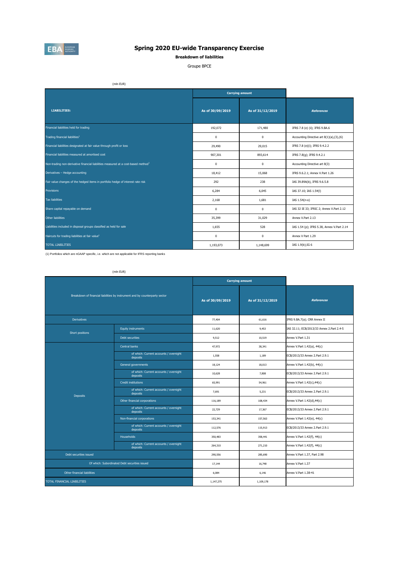

**Breakdown of liabilities**

Groupe BPCE

(mln EUR)

|                                                                                       |                  | <b>Carrying amount</b> |                                            |
|---------------------------------------------------------------------------------------|------------------|------------------------|--------------------------------------------|
| <b>LIABILITIES:</b>                                                                   | As of 30/09/2019 | As of 31/12/2019       | <b>References</b>                          |
| Financial liabilities held for trading                                                | 192,072          | 171,480                | IFRS 7.8 (e) (ii); IFRS 9.BA.6             |
| Trading financial liabilities <sup>1</sup>                                            | $^{\circ}$       | $\mathbf 0$            | Accounting Directive art 8(1)(a),(3),(6)   |
| Financial liabilities designated at fair value through profit or loss                 | 29,490           | 29,015                 | IFRS 7.8 (e)(i); IFRS 9.4.2.2              |
| Financial liabilities measured at amortised cost                                      | 907,301          | 893,614                | IFRS 7.8(g); IFRS 9.4.2.1                  |
| Non-trading non-derivative financial liabilities measured at a cost-based method $^1$ | $^{\circ}$       | $^{\circ}$             | Accounting Directive art 8(3)              |
| Derivatives - Hedge accounting                                                        | 18,412           | 15,068                 | IFRS 9.6.2.1; Annex V.Part 1.26            |
| Fair value changes of the hedged items in portfolio hedge of interest rate risk       | 292              | 238                    | IAS 39.89A(b), IFRS 9.6.5.8                |
| <b>Provisions</b>                                                                     | 6,284            | 6,045                  | IAS 37.10; IAS 1.54(I)                     |
| <b>Tax liabilities</b>                                                                | 2,168            | 1,681                  | IAS 1.54(n-o)                              |
| Share capital repayable on demand                                                     | $^{\circ}$       | $^{\circ}$             | IAS 32 IE 33; IFRIC 2; Annex V.Part 2.12   |
| Other liabilities                                                                     | 35,399           | 31,029                 | Annex V.Part 2.13                          |
| Liabilities included in disposal groups classified as held for sale                   | 1,655            | 528                    | IAS 1.54 (p); IFRS 5.38, Annex V.Part 2.14 |
| Haircuts for trading liabilities at fair value <sup>1</sup>                           | $^{\circ}$       | $^{\circ}$             | Annex V Part 1.29                          |
| <b>TOTAL LIABILITIES</b>                                                              | 1,193,073        | 1,148,699              | IAS 1.9(b); IG 6                           |

(1) Portfolios which are nGAAP specific, i.e. which are not applicable for IFRS reporting banks

| (min FUR |  |
|----------|--|
|          |  |

|                             |                                                                             |                  | <b>Carrying amount</b> |                                           |
|-----------------------------|-----------------------------------------------------------------------------|------------------|------------------------|-------------------------------------------|
|                             | Breakdown of financial liabilities by instrument and by counterparty sector | As of 30/09/2019 | As of 31/12/2019       | <b>References</b>                         |
| <b>Derivatives</b>          |                                                                             | 77,404           | 61,616                 | IFRS 9.BA.7(a); CRR Annex II              |
| Short positions             | <b>Equity instruments</b>                                                   | 11,620           | 9,453                  | IAS 32.11; ECB/2013/33 Annex 2.Part 2.4-5 |
|                             | Debt securities                                                             | 9,512            | 10,519                 | Annex V.Part 1.31                         |
|                             | Central banks                                                               | 47,972           | 38,341                 | Annex V.Part 1.42(a), 44(c)               |
|                             | of which: Current accounts / overnight<br>deposits                          | 1,558            | 1,189                  | ECB/2013/33 Annex 2.Part 2.9.1            |
|                             | General governments                                                         | 18.124           | 18,013                 | Annex V.Part 1.42(b), 44(c)               |
|                             | of which: Current accounts / overnight<br>deposits                          | 10,628           | 7,808                  | ECB/2013/33 Annex 2.Part 2.9.1            |
|                             | <b>Credit institutions</b>                                                  | 65,991           | 54,961                 | Annex V.Part 1.42(c),44(c)                |
| <b>Deposits</b>             | of which: Current accounts / overnight<br>deposits                          | 7.691            | 5,231                  | ECB/2013/33 Annex 2.Part 2.9.1            |
|                             | Other financial corporations                                                | 116,189          | 108,434                | Annex V.Part 1.42(d),44(c)                |
|                             | of which: Current accounts / overnight<br>deposits                          | 22,729           | 17,367                 | ECB/2013/33 Annex 2.Part 2.9.1            |
|                             | Non-financial corporations                                                  | 153,341          | 157,563                | Annex V.Part 1.42(e), 44(c)               |
|                             | of which: Current accounts / overnight<br>deposits                          | 112,576          | 115,913                | ECB/2013/33 Annex 2.Part 2.9.1            |
|                             | <b>Households</b>                                                           | 350,483          | 358,441                | Annex V.Part 1.42(f), 44(c)               |
|                             | of which: Current accounts / overnight<br>deposits                          | 264,310          | 271,210                | Annex V.Part 1.42(f), 44(c)               |
| Debt securities issued      |                                                                             | 290,556          | 285,690                | Annex V.Part 1.37, Part 2.98              |
|                             | Of which: Subordinated Debt securities issued                               | 17.144           | 16,748                 | Annex V.Part 1.37                         |
| Other financial liabilities |                                                                             | 6,084            | 6,146                  | Annex V.Part 1.38-41                      |
| TOTAL FINANCIAL LIABILITIES |                                                                             | 1,147,275        | 1,109,178              |                                           |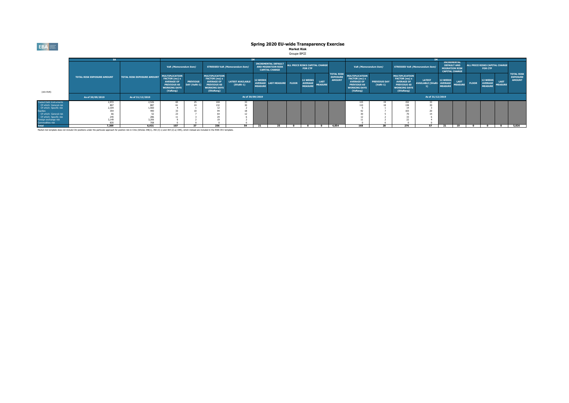#### **Spring 2020 EU-wide Transparency Exercise Market Risk**

Groupe BPCE

|                                           |                                   |                                   |                                                                                                                      |                                 |                                                                                                                       |                                        |                                                                                  |              |                                                  |                                                     |                               | TM.                                                   |                                                                                                                      |                                       |                                                                                                                       |                                                                                            |                                                     |                                                  |              |                                                     |                               |                                                       |
|-------------------------------------------|-----------------------------------|-----------------------------------|----------------------------------------------------------------------------------------------------------------------|---------------------------------|-----------------------------------------------------------------------------------------------------------------------|----------------------------------------|----------------------------------------------------------------------------------|--------------|--------------------------------------------------|-----------------------------------------------------|-------------------------------|-------------------------------------------------------|----------------------------------------------------------------------------------------------------------------------|---------------------------------------|-----------------------------------------------------------------------------------------------------------------------|--------------------------------------------------------------------------------------------|-----------------------------------------------------|--------------------------------------------------|--------------|-----------------------------------------------------|-------------------------------|-------------------------------------------------------|
|                                           |                                   |                                   | VaR (Memorandum item)                                                                                                |                                 |                                                                                                                       | <b>STRESSED VaR (Memorandum item)</b>  | <b>INCREMENTAL DEFAULT</b><br><b>AND MIGRATION RISK</b><br><b>CAPITAL CHARGE</b> |              | ALL PRICE RISKS CAPITAL CHARGE<br><b>FOR CTP</b> |                                                     |                               | VaR (Memorandum item)                                 |                                                                                                                      | <b>STRESSED VaR (Memorandum item)</b> |                                                                                                                       | <b>INCREMENTAL</b><br><b>DEFAULT AND</b><br><b>MIGRATION RISK</b><br><b>CAPITAL CHARGE</b> |                                                     | ALL PRICE RISKS CAPITAL CHARGE<br><b>FOR CTP</b> |              |                                                     |                               |                                                       |
| (mln EUR)                                 | <b>TOTAL RISK EXPOSURE AMOUNT</b> | <b>TOTAL RISK EXPOSURE AMOUNT</b> | <b>MULTIPLICATION</b><br>FACTOR (mc) x<br><b>AVERAGE OF</b><br><b>PREVIOUS 60</b><br><b>WORKING DAYS</b><br>(VaRavg) | <b>PREVIOUS</b><br>DAY (VaRt-1) | <b>MULTIPLICATION</b><br>FACTOR (ms) x<br><b>AVERAGE OF</b><br><b>PREVIOUS 60</b><br><b>WORKING DAYS</b><br>(SVaRavg) | <b>LATEST AVAILABLE</b><br>$(SVaRt-1)$ | <b>12 WEEKS</b><br><b>AVERAGE</b><br><b>MEASURE</b>                              | LAST MEASURE | <b>FLOOR</b>                                     | <b>12 WEEKS</b><br><b>AVERAGE</b><br><b>MEASURE</b> | <b>LAST</b><br><b>MEASURE</b> | <b>TOTAL RISK</b><br><b>EXPOSURE</b><br><b>AMOUNT</b> | <b>MULTIPLICATION</b><br>FACTOR (mc) x<br><b>AVERAGE OF</b><br><b>PREVIOUS 60</b><br><b>WORKING DAYS</b><br>(VaRavg) | <b>PREVIOUS DAY</b><br>$(VaRt-1)$     | <b>MULTIPLICATION</b><br>FACTOR (ms) x<br><b>AVERAGE OF</b><br><b>PREVIOUS 60</b><br><b>WORKING DAYS</b><br>(SVaRavg) | <b>LATEST</b><br><b>AVAILABLE (SVaRt-</b>                                                  | <b>12 WEEKS</b><br><b>AVERAGE</b><br><b>MEASURE</b> | <b>LAST</b><br><b>MEASURE</b>                    | <b>FLOOR</b> | <b>12 WEEKS</b><br><b>AVERAGE</b><br><b>MEASURE</b> | <b>LAST</b><br><b>MEASURE</b> | <b>TOTAL RISK</b><br><b>EXPOSURE</b><br><b>AMOUNT</b> |
|                                           | As of 30/09/2019                  | As of 31/12/2019                  |                                                                                                                      | As of 30/09/2019                |                                                                                                                       |                                        |                                                                                  |              |                                                  |                                                     |                               |                                                       | As of 31/12/2019                                                                                                     |                                       |                                                                                                                       |                                                                                            |                                                     |                                                  |              |                                                     |                               |                                                       |
| <b>Traded Debt Instruments</b>            | 2.972                             | 2.526                             |                                                                                                                      | 25                              | 144                                                                                                                   |                                        |                                                                                  |              |                                                  |                                                     |                               |                                                       |                                                                                                                      |                                       | 152                                                                                                                   |                                                                                            |                                                     |                                                  |              |                                                     |                               |                                                       |
| Of which: General risk                    | 807                               | 88                                |                                                                                                                      | $\sim$                          | 127                                                                                                                   |                                        |                                                                                  |              |                                                  |                                                     |                               |                                                       |                                                                                                                      |                                       | 120                                                                                                                   |                                                                                            |                                                     |                                                  |              |                                                     |                               |                                                       |
| Of which: Specific risk                   | 2,104                             | 1,560                             |                                                                                                                      |                                 |                                                                                                                       |                                        |                                                                                  |              |                                                  |                                                     |                               |                                                       |                                                                                                                      |                                       |                                                                                                                       |                                                                                            |                                                     |                                                  |              |                                                     |                               |                                                       |
| <b>Equities</b>                           |                                   | 490                               |                                                                                                                      |                                 |                                                                                                                       |                                        |                                                                                  |              |                                                  |                                                     |                               |                                                       |                                                                                                                      |                                       | 103                                                                                                                   |                                                                                            |                                                     |                                                  |              |                                                     |                               |                                                       |
| Of which: General risk                    |                                   |                                   |                                                                                                                      |                                 |                                                                                                                       |                                        |                                                                                  |              |                                                  |                                                     |                               |                                                       |                                                                                                                      |                                       |                                                                                                                       |                                                                                            |                                                     |                                                  |              |                                                     |                               |                                                       |
| Of which: Specific risk                   | 245                               |                                   |                                                                                                                      |                                 |                                                                                                                       |                                        |                                                                                  |              |                                                  |                                                     |                               |                                                       |                                                                                                                      |                                       |                                                                                                                       |                                                                                            |                                                     |                                                  |              |                                                     |                               |                                                       |
| Foreign exchange risk<br>Commodities risk | 3,149<br>835                      | 3,206<br>70                       |                                                                                                                      |                                 |                                                                                                                       |                                        |                                                                                  |              |                                                  |                                                     |                               |                                                       |                                                                                                                      |                                       |                                                                                                                       |                                                                                            |                                                     |                                                  |              |                                                     |                               |                                                       |
| <b>Total</b>                              | 7,309                             | 6,931                             | 107                                                                                                                  |                                 | <b>DEC</b>                                                                                                            | 54                                     | 21                                                                               |              |                                                  |                                                     |                               | 4.854                                                 | 168                                                                                                                  | $\sim$                                | 276                                                                                                                   | E7                                                                                         | $\mathbf{r}$                                        | 19                                               |              |                                                     |                               | 5,826                                                 |

Market risk template does not include CIU positions under the particular approach for position risk in CIUs (Articles 348(1), 350 (3) c) and 364 (2) a) CRR), which instead are included in the RWA OV1 template.

**EBA**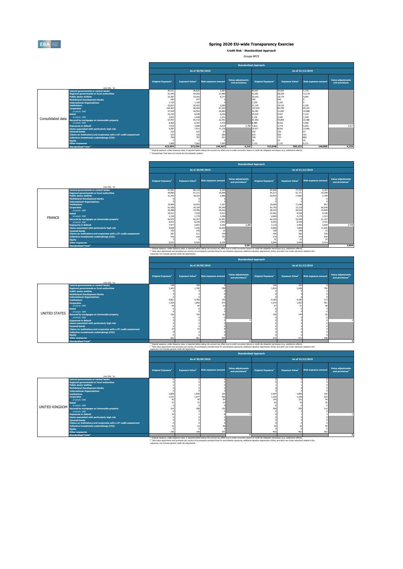

L

### **Spring 2020 EU-wide Transparency Exercise**

**Credit Risk - Standardised Approach**

Groupe BPCE

|                   |                                                                   |                                                                                                                |                                    |                             |                                            | <b>Standardised Approach</b>   |                                    |                             |                                            |
|-------------------|-------------------------------------------------------------------|----------------------------------------------------------------------------------------------------------------|------------------------------------|-----------------------------|--------------------------------------------|--------------------------------|------------------------------------|-----------------------------|--------------------------------------------|
|                   |                                                                   |                                                                                                                |                                    | As of 30/09/2019            |                                            |                                |                                    | As of 31/12/2019            |                                            |
|                   | (mln EUR, %)                                                      | Original Exposure <sup>1</sup>                                                                                 | <b>Exposure Value</b> <sup>1</sup> | <b>Risk exposure amount</b> | <b>Value adjustments</b><br>and provisions | Original Exposure <sup>1</sup> | <b>Exposure Value</b> <sup>1</sup> | <b>Risk exposure amount</b> | <b>Value adjustments</b><br>and provisions |
|                   | <b>Central governments or central banks</b>                       | 84.531                                                                                                         | 96,825                             | 5,683                       |                                            | 80.667                         | 92,604                             | 5.729                       |                                            |
|                   | <b>Regional governments or local authorities</b>                  | 51,550                                                                                                         | 59.003                             | 12,480                      |                                            | 51,091                         | 58,256                             | 12,179                      |                                            |
|                   | <b>Public sector entities</b>                                     | 22,387                                                                                                         | 19,242                             | 4.277                       |                                            | 22,043                         | 18,774                             | 4,055                       |                                            |
|                   | <b>Multilateral Development Banks</b>                             | 184                                                                                                            | 257                                |                             |                                            | 182                            | 262                                |                             |                                            |
|                   | <b>International Organisations</b>                                | 1,126                                                                                                          | 1,126                              |                             |                                            | 1.220                          | 1.220                              |                             |                                            |
|                   | <b>Institutions</b>                                               | 32,827                                                                                                         | 30,453                             | 2.060                       |                                            | 31,150                         | 29,122                             | 2.105                       |                                            |
|                   | <b>Corporates</b>                                                 | 104,467                                                                                                        | 80,504                             | 67,442                      |                                            | 107,032                        | 82,759                             | 69,433                      |                                            |
|                   | of which: SME                                                     | 27,418                                                                                                         | 20,552                             | 18,983                      |                                            | 29,387                         | 21,852                             | 19,988                      |                                            |
|                   | <b>Retail</b>                                                     | 22,165                                                                                                         | 8,438                              | 6,030                       |                                            | 25,035                         | 9,927                              | 7,110                       |                                            |
| Consolidated data | of which: SME                                                     | 2,653                                                                                                          | 2,048                              | 1,231                       |                                            | 3,136                          | 2,430                              | 1,478                       |                                            |
|                   | Secured by mortgages on immovable property                        | 67,997                                                                                                         | 55,719                             | 22,491                      |                                            | 67.592                         | 55,804                             | 22,486                      |                                            |
|                   | of which: SMF                                                     | 8,464                                                                                                          | 8,197                              | 3.472                       |                                            | 8,489                          | 8,216                              | 3,500                       |                                            |
|                   | <b>Exposures in default</b>                                       | 7,910                                                                                                          | 3,969                              | 4.513                       |                                            | 2,790 7,813                    | 3,774                              | 4,265                       | 2.917                                      |
|                   | Items associated with particularly high risk                      | 9,287                                                                                                          | 7,411                              | 11,116                      |                                            | 10,077<br>232                  | 8,043                              | 12,065                      |                                            |
|                   | <b>Covered bonds</b>                                              | 233                                                                                                            | 232                                | 57                          |                                            |                                | 232                                |                             |                                            |
|                   | Claims on institutions and corporates with a ST credit assessment | 523<br>796                                                                                                     | 418<br>793                         | 282<br>921                  |                                            | 619<br>740                     | 562<br>737                         | 331<br>802                  |                                            |
|                   | <b>Collective investments undertakings (CIU)</b>                  |                                                                                                                |                                    |                             |                                            |                                |                                    |                             |                                            |
|                   | <b>Equity</b>                                                     | 7.968                                                                                                          | 7.962                              | 7,093                       |                                            | 7.133                          | 22<br>7.132                        | 22<br>6.171                 |                                            |
|                   | <b>Other exposures</b>                                            | 413.954                                                                                                        |                                    | 144,447                     |                                            |                                | 369,232                            | 146,809                     |                                            |
|                   | <b>Standardised Total<sup>2</sup></b>                             | MARINE CONTRACTOR CONTRACTOR CONTRACTOR CONTRACTOR COMPANY AND CONTRACTOR AND CONTRACTOR CONTRACTOR CONTRACTOR | 372,354                            |                             | 4,216                                      | 412,648                        | <b>Contract Contract</b>           |                             | 4,329                                      |

<sup>(1)</sup> Original exposure, unlike Exposure value, is reported before taking into account any effect due to credit conversion factors or credit risk mitigation techniques (e.g. substitution effects).<br><sup>(2)</sup> Standardised Total

|               |                                                                      |                                                                                                                                                                                                                      |                                    |                             | <b>Standardised Approach</b>                                                                                                                                                                                  |                                |                                    |                             |                                                         |
|---------------|----------------------------------------------------------------------|----------------------------------------------------------------------------------------------------------------------------------------------------------------------------------------------------------------------|------------------------------------|-----------------------------|---------------------------------------------------------------------------------------------------------------------------------------------------------------------------------------------------------------|--------------------------------|------------------------------------|-----------------------------|---------------------------------------------------------|
|               |                                                                      |                                                                                                                                                                                                                      |                                    | As of 30/09/2019            |                                                                                                                                                                                                               |                                |                                    | As of 31/12/2019            |                                                         |
|               | (mln EUR, %)                                                         | Original Exposure <sup>1</sup>                                                                                                                                                                                       | <b>Exposure Value</b> <sup>1</sup> | <b>Risk exposure amount</b> | <b>Value adjustments</b><br>and provisions <sup>2</sup>                                                                                                                                                       | Original Exposure <sup>1</sup> | <b>Exposure Value</b> <sup>1</sup> | <b>Risk exposure amount</b> | <b>Value adjustments</b><br>and provisions <sup>2</sup> |
|               | <b>Central governments or central banks</b>                          | 67,941                                                                                                                                                                                                               | 80,118                             | 5,295                       |                                                                                                                                                                                                               | 65,966                         | 77,767                             | 5,397                       |                                                         |
|               | <b>Regional governments or local authorities</b>                     | 44,085                                                                                                                                                                                                               | 51,111                             | 10,000                      |                                                                                                                                                                                                               | 45.317                         | 51,771                             | 10,356                      |                                                         |
|               | <b>Public sector entities</b>                                        | 21,255                                                                                                                                                                                                               | 18,222                             | 3,986                       |                                                                                                                                                                                                               | 20,929                         | 17,843                             | 3,799                       |                                                         |
|               | <b>Multilateral Development Banks</b>                                |                                                                                                                                                                                                                      |                                    |                             |                                                                                                                                                                                                               |                                |                                    |                             |                                                         |
|               | <b>International Organisations</b>                                   |                                                                                                                                                                                                                      |                                    |                             |                                                                                                                                                                                                               |                                |                                    |                             |                                                         |
|               | <b>Tnstitutions</b>                                                  | 19,960                                                                                                                                                                                                               | 19,553                             | 1,207                       |                                                                                                                                                                                                               | 19,609                         | 17,248                             | 957                         |                                                         |
|               | <b>Corporates</b><br>of which: SME                                   | 91,428                                                                                                                                                                                                               | 70,104                             | 59.340                      |                                                                                                                                                                                                               | 93,753                         | 72.118                             | 60,938                      |                                                         |
|               | 26,498                                                               | 19,786                                                                                                                                                                                                               | 18,262                             |                             | 28,270                                                                                                                                                                                                        | 20,916                         | 19,099                             |                             |                                                         |
|               | <b>Retail</b>                                                        | 20,531                                                                                                                                                                                                               | 7,018                              | 5.017                       |                                                                                                                                                                                                               | 23,492                         | 8.526                              | 6,106                       |                                                         |
| <b>FRANCE</b> | of which: SMF                                                        | 2,339                                                                                                                                                                                                                | 1.779                              | 1.056                       |                                                                                                                                                                                                               | 2,840                          | 2.179                              | 1.313                       |                                                         |
|               | Secured by mortgages on immovable property                           | 64,579                                                                                                                                                                                                               | 52,357                             | 21,091                      |                                                                                                                                                                                                               | 64,235                         | 52,490                             | 21,107                      |                                                         |
|               | of which: SME                                                        | 8.415                                                                                                                                                                                                                | 8.149                              | 3.452                       |                                                                                                                                                                                                               | 8.422                          | 8.150                              | 3.472                       |                                                         |
|               | <b>Exposures in default</b>                                          | 7.077<br>9,068                                                                                                                                                                                                       | 3,651<br>7,226                     | 4.160<br>10,839             | 2.288                                                                                                                                                                                                         | 7,112<br>9,894                 | 3.465<br>7,890                     | 3.924<br>11,835             | 2.539                                                   |
|               | Items associated with particularly high risk<br><b>Covered bonds</b> | 150                                                                                                                                                                                                                  |                                    | 15                          |                                                                                                                                                                                                               |                                | 148                                | 15                          |                                                         |
|               | Claims on institutions and corporates with a ST credit assessment    | 287                                                                                                                                                                                                                  | 150<br>211                         | 159                         |                                                                                                                                                                                                               | 148<br>449                     | 392                                | 235                         |                                                         |
|               | Collective investments undertakings (CIU)                            | 418                                                                                                                                                                                                                  | 418                                | 755                         |                                                                                                                                                                                                               | 374                            | 374                                | 656                         |                                                         |
|               | <b>Equity</b>                                                        |                                                                                                                                                                                                                      |                                    |                             |                                                                                                                                                                                                               | 22                             | 22                                 | 22                          |                                                         |
|               | <b>Other exposures</b>                                               | 6.523                                                                                                                                                                                                                | 6.524                              | 6.105                       |                                                                                                                                                                                                               | 5,949                          | 5,949                              | 5.314                       |                                                         |
|               | <b>Standardised Total<sup>2</sup></b>                                |                                                                                                                                                                                                                      |                                    |                             | 3.591                                                                                                                                                                                                         |                                |                                    |                             | 3,846                                                   |
|               |                                                                      |                                                                                                                                                                                                                      |                                    |                             | <sup>(1)</sup> Original exposure, unlike Exposure value, is reported before taking into account any effect due to credit conversion factors or credit risk mitigation techniques (e.g. substitution effects). |                                |                                    |                             |                                                         |
|               |                                                                      | <sup>(2)</sup> Total value adjustments and provisions per country of counterparty excludes those for securitisation exposures, additional valuation adjustments (AVAs) and other own funds reductions related to the |                                    |                             |                                                                                                                                                                                                               |                                |                                    |                             |                                                         |
|               |                                                                      | exposures, but includes general credit risk adjustments.                                                                                                                                                             |                                    |                             |                                                                                                                                                                                                               |                                |                                    |                             |                                                         |

| As of 30/09/2019<br>As of 31/12/2019<br><b>Value adjustments</b><br><b>Value adjustments</b><br>Exposure Value <sup>1</sup><br><b>Exposure Value1</b><br><b>Risk exposure amount</b><br><b>Risk exposure amount</b><br>Original Exposure <sup>1</sup><br>Original Exposure <sup>1</sup><br>and provisions <sup>2</sup><br>and provisions <sup>2</sup><br>(min EUR, %)<br>Central governments or central banks<br>144<br>182<br>148<br>189<br>1.742<br>798<br>1.814<br>1.903<br>759<br>1.658<br><b>Regional governments or local authorities</b><br><b>Public sector entities</b><br><b>Multilateral Development Banks</b><br><b>International Organisations</b><br>4,766<br>4,861<br>140<br>113<br>4,185<br>4,180<br><b>Institutions</b><br>1.574<br>1.866<br>975<br>961<br>1,559<br>1.832<br><b>Corporates</b><br>53<br>57<br>$\Delta$<br>of which: SME<br><b>Retail</b><br>of which: SME<br><b>UNITED STATES</b><br>154<br>149<br>156<br>62<br>150<br>Secured by mortgages on immovable property<br>of which: SME<br><b>Exposures in default</b><br>Items associated with particularly high risk<br><b>Covered bonds</b><br>Claims on institutions and corporates with a ST credit assessment<br>Collective investments undertakings (CIU)<br><b>Equity</b><br>951<br>951<br>505<br>573<br>573<br>248<br><b>Other exposures</b><br><b>Standardised Total<sup>2</sup></b><br><sup>(4)</sup> Original exposure, unlike Exposure value, is reported before taking into account any effect due to credit conversion factors or credit risk mitigation techniques (e.g. substitution effects).<br>(2) Total value adjustments and provisions per country of counterparty excludes those for securitisation exposures, additional valuation adjustments (AVAs) and other own funds reductions related to the |  |  |  |  | <b>Standardised Approach</b> |  |  |  |  |  |  |  |
|----------------------------------------------------------------------------------------------------------------------------------------------------------------------------------------------------------------------------------------------------------------------------------------------------------------------------------------------------------------------------------------------------------------------------------------------------------------------------------------------------------------------------------------------------------------------------------------------------------------------------------------------------------------------------------------------------------------------------------------------------------------------------------------------------------------------------------------------------------------------------------------------------------------------------------------------------------------------------------------------------------------------------------------------------------------------------------------------------------------------------------------------------------------------------------------------------------------------------------------------------------------------------------------------------------------------------------------------------------------------------------------------------------------------------------------------------------------------------------------------------------------------------------------------------------------------------------------------------------------------------------------------------------------------------------------------------------------------------------------------------------------------------------------------------------|--|--|--|--|------------------------------|--|--|--|--|--|--|--|
|                                                                                                                                                                                                                                                                                                                                                                                                                                                                                                                                                                                                                                                                                                                                                                                                                                                                                                                                                                                                                                                                                                                                                                                                                                                                                                                                                                                                                                                                                                                                                                                                                                                                                                                                                                                                          |  |  |  |  |                              |  |  |  |  |  |  |  |
|                                                                                                                                                                                                                                                                                                                                                                                                                                                                                                                                                                                                                                                                                                                                                                                                                                                                                                                                                                                                                                                                                                                                                                                                                                                                                                                                                                                                                                                                                                                                                                                                                                                                                                                                                                                                          |  |  |  |  |                              |  |  |  |  |  |  |  |
|                                                                                                                                                                                                                                                                                                                                                                                                                                                                                                                                                                                                                                                                                                                                                                                                                                                                                                                                                                                                                                                                                                                                                                                                                                                                                                                                                                                                                                                                                                                                                                                                                                                                                                                                                                                                          |  |  |  |  |                              |  |  |  |  |  |  |  |
|                                                                                                                                                                                                                                                                                                                                                                                                                                                                                                                                                                                                                                                                                                                                                                                                                                                                                                                                                                                                                                                                                                                                                                                                                                                                                                                                                                                                                                                                                                                                                                                                                                                                                                                                                                                                          |  |  |  |  |                              |  |  |  |  |  |  |  |
|                                                                                                                                                                                                                                                                                                                                                                                                                                                                                                                                                                                                                                                                                                                                                                                                                                                                                                                                                                                                                                                                                                                                                                                                                                                                                                                                                                                                                                                                                                                                                                                                                                                                                                                                                                                                          |  |  |  |  |                              |  |  |  |  |  |  |  |
|                                                                                                                                                                                                                                                                                                                                                                                                                                                                                                                                                                                                                                                                                                                                                                                                                                                                                                                                                                                                                                                                                                                                                                                                                                                                                                                                                                                                                                                                                                                                                                                                                                                                                                                                                                                                          |  |  |  |  |                              |  |  |  |  |  |  |  |
|                                                                                                                                                                                                                                                                                                                                                                                                                                                                                                                                                                                                                                                                                                                                                                                                                                                                                                                                                                                                                                                                                                                                                                                                                                                                                                                                                                                                                                                                                                                                                                                                                                                                                                                                                                                                          |  |  |  |  |                              |  |  |  |  |  |  |  |
|                                                                                                                                                                                                                                                                                                                                                                                                                                                                                                                                                                                                                                                                                                                                                                                                                                                                                                                                                                                                                                                                                                                                                                                                                                                                                                                                                                                                                                                                                                                                                                                                                                                                                                                                                                                                          |  |  |  |  |                              |  |  |  |  |  |  |  |
|                                                                                                                                                                                                                                                                                                                                                                                                                                                                                                                                                                                                                                                                                                                                                                                                                                                                                                                                                                                                                                                                                                                                                                                                                                                                                                                                                                                                                                                                                                                                                                                                                                                                                                                                                                                                          |  |  |  |  |                              |  |  |  |  |  |  |  |
|                                                                                                                                                                                                                                                                                                                                                                                                                                                                                                                                                                                                                                                                                                                                                                                                                                                                                                                                                                                                                                                                                                                                                                                                                                                                                                                                                                                                                                                                                                                                                                                                                                                                                                                                                                                                          |  |  |  |  |                              |  |  |  |  |  |  |  |
|                                                                                                                                                                                                                                                                                                                                                                                                                                                                                                                                                                                                                                                                                                                                                                                                                                                                                                                                                                                                                                                                                                                                                                                                                                                                                                                                                                                                                                                                                                                                                                                                                                                                                                                                                                                                          |  |  |  |  |                              |  |  |  |  |  |  |  |
|                                                                                                                                                                                                                                                                                                                                                                                                                                                                                                                                                                                                                                                                                                                                                                                                                                                                                                                                                                                                                                                                                                                                                                                                                                                                                                                                                                                                                                                                                                                                                                                                                                                                                                                                                                                                          |  |  |  |  |                              |  |  |  |  |  |  |  |
|                                                                                                                                                                                                                                                                                                                                                                                                                                                                                                                                                                                                                                                                                                                                                                                                                                                                                                                                                                                                                                                                                                                                                                                                                                                                                                                                                                                                                                                                                                                                                                                                                                                                                                                                                                                                          |  |  |  |  |                              |  |  |  |  |  |  |  |
|                                                                                                                                                                                                                                                                                                                                                                                                                                                                                                                                                                                                                                                                                                                                                                                                                                                                                                                                                                                                                                                                                                                                                                                                                                                                                                                                                                                                                                                                                                                                                                                                                                                                                                                                                                                                          |  |  |  |  |                              |  |  |  |  |  |  |  |
|                                                                                                                                                                                                                                                                                                                                                                                                                                                                                                                                                                                                                                                                                                                                                                                                                                                                                                                                                                                                                                                                                                                                                                                                                                                                                                                                                                                                                                                                                                                                                                                                                                                                                                                                                                                                          |  |  |  |  |                              |  |  |  |  |  |  |  |
|                                                                                                                                                                                                                                                                                                                                                                                                                                                                                                                                                                                                                                                                                                                                                                                                                                                                                                                                                                                                                                                                                                                                                                                                                                                                                                                                                                                                                                                                                                                                                                                                                                                                                                                                                                                                          |  |  |  |  |                              |  |  |  |  |  |  |  |
|                                                                                                                                                                                                                                                                                                                                                                                                                                                                                                                                                                                                                                                                                                                                                                                                                                                                                                                                                                                                                                                                                                                                                                                                                                                                                                                                                                                                                                                                                                                                                                                                                                                                                                                                                                                                          |  |  |  |  |                              |  |  |  |  |  |  |  |
|                                                                                                                                                                                                                                                                                                                                                                                                                                                                                                                                                                                                                                                                                                                                                                                                                                                                                                                                                                                                                                                                                                                                                                                                                                                                                                                                                                                                                                                                                                                                                                                                                                                                                                                                                                                                          |  |  |  |  |                              |  |  |  |  |  |  |  |
|                                                                                                                                                                                                                                                                                                                                                                                                                                                                                                                                                                                                                                                                                                                                                                                                                                                                                                                                                                                                                                                                                                                                                                                                                                                                                                                                                                                                                                                                                                                                                                                                                                                                                                                                                                                                          |  |  |  |  |                              |  |  |  |  |  |  |  |
|                                                                                                                                                                                                                                                                                                                                                                                                                                                                                                                                                                                                                                                                                                                                                                                                                                                                                                                                                                                                                                                                                                                                                                                                                                                                                                                                                                                                                                                                                                                                                                                                                                                                                                                                                                                                          |  |  |  |  |                              |  |  |  |  |  |  |  |
|                                                                                                                                                                                                                                                                                                                                                                                                                                                                                                                                                                                                                                                                                                                                                                                                                                                                                                                                                                                                                                                                                                                                                                                                                                                                                                                                                                                                                                                                                                                                                                                                                                                                                                                                                                                                          |  |  |  |  |                              |  |  |  |  |  |  |  |

exposures, but includes general credit risk adjustments.

|                                                                                                                |                                |                                    |                             | <b>Standardised Approach</b>                            |                                |                       |                             |                                                  |
|----------------------------------------------------------------------------------------------------------------|--------------------------------|------------------------------------|-----------------------------|---------------------------------------------------------|--------------------------------|-----------------------|-----------------------------|--------------------------------------------------|
|                                                                                                                |                                |                                    | As of 30/09/2019            |                                                         |                                | As of 31/12/2019      |                             |                                                  |
| (min EUR, %)                                                                                                   | Original Exposure <sup>1</sup> | <b>Exposure Value</b> <sup>1</sup> | <b>Risk exposure amount</b> | <b>Value adjustments</b><br>and provisions <sup>2</sup> | Original Exposure <sup>1</sup> | <b>Exposure Value</b> | <b>Risk exposure amount</b> | Value adjustments<br>and provisions <sup>2</sup> |
| Central governments or central banks                                                                           |                                |                                    |                             |                                                         |                                |                       |                             |                                                  |
| <b>Regional governments or local authorities</b>                                                               |                                |                                    |                             |                                                         |                                |                       |                             |                                                  |
| <b>Public sector entities</b><br><b>Multilateral Development Banks</b>                                         |                                |                                    |                             |                                                         |                                |                       |                             |                                                  |
| <b>International Organisations</b>                                                                             |                                |                                    |                             |                                                         |                                |                       |                             |                                                  |
| <b>Institutions</b>                                                                                            | 2,808                          | 1,836                              | 169                         |                                                         | 2,697                          | 1,848                 | 159                         |                                                  |
| <b>Corporates</b>                                                                                              | 1.231                          | 1,077                              | 566                         |                                                         | 1.326                          | 1.168                 | 623                         |                                                  |
| of which: SME                                                                                                  | 92                             | 90                                 | 84                          |                                                         | 104                            | 101                   | 95                          |                                                  |
| <b>Retail</b><br>of which: SME                                                                                 |                                | 31                                 | 23                          |                                                         |                                | 34                    | 25                          |                                                  |
| UNITED KINGDOM Secured by mortgages on immovable property                                                      | 314                            | 308                                | 120                         |                                                         | 299                            | 295                   | 114                         |                                                  |
| of which: SME                                                                                                  |                                |                                    |                             |                                                         |                                |                       |                             |                                                  |
| <b>Exposures in default</b>                                                                                    |                                |                                    |                             |                                                         |                                |                       |                             |                                                  |
| Items associated with particularly high risk                                                                   |                                |                                    |                             |                                                         |                                |                       |                             |                                                  |
| <b>Covered bonds</b>                                                                                           |                                |                                    |                             |                                                         |                                |                       |                             |                                                  |
| Claims on institutions and corporates with a ST credit assessment<br>Collective investments undertakings (CIU) |                                |                                    |                             |                                                         |                                |                       | 59                          |                                                  |
| Equity                                                                                                         |                                |                                    |                             |                                                         |                                |                       |                             |                                                  |
| <b>Other exposures</b>                                                                                         | 195                            | 195                                | 195                         |                                                         | 403                            | 403                   | 403                         |                                                  |
| <b>Standardised Total</b> <sup>2</sup>                                                                         |                                |                                    |                             |                                                         |                                |                       |                             |                                                  |

<sup>(6</sup>Only of course, while Exposure, unite Exposure wite, is reported before taking into account any effect due to credit conversion factors or credit rake monitories (e.g. substitution effects).<br><sup>(2)</sup> Course, but included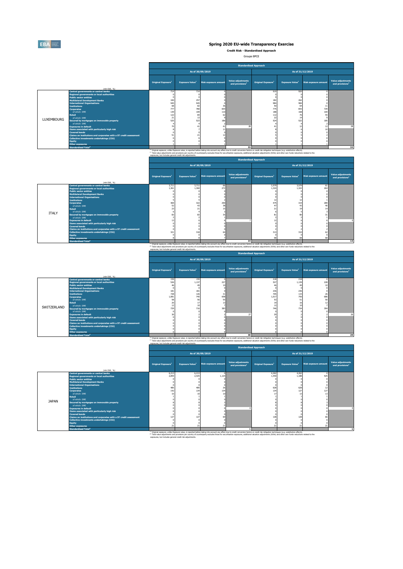

**Credit Risk - Standardised Approach**

Groupe BPCE

|            |                                                                                                                                                                                                                                                                                                                                                                                                                                                                                      |                                                           |                                                          | As of 30/09/2019                    |                                                         |                                                           |                                                    | As of 31/12/2019            |                                                  |
|------------|--------------------------------------------------------------------------------------------------------------------------------------------------------------------------------------------------------------------------------------------------------------------------------------------------------------------------------------------------------------------------------------------------------------------------------------------------------------------------------------|-----------------------------------------------------------|----------------------------------------------------------|-------------------------------------|---------------------------------------------------------|-----------------------------------------------------------|----------------------------------------------------|-----------------------------|--------------------------------------------------|
|            | (min EUR, %)                                                                                                                                                                                                                                                                                                                                                                                                                                                                         | Original Exposure <sup>1</sup>                            | <b>Exposure Value</b> <sup>1</sup>                       | <b>Risk exposure amount</b>         | <b>Value adjustments</b><br>and provisions <sup>2</sup> | Original Exposure <sup>1</sup>                            | <b>Exposure Value</b> <sup>1</sup>                 | <b>Risk exposure amount</b> | Value adjustments<br>and provisions <sup>2</sup> |
| LUXEMBOURG | <b>Central governments or central banks</b><br><b>Regional governments or local authorities</b><br><b>Public sector entities</b><br><b>Multilateral Development Banks</b><br><b>International Organisations</b><br><b>Institutions</b><br><b>Corporates</b><br>of which: SME<br><b>Retail</b><br>of which: SME<br>Secured by mortgages on immovable property<br>of which: SME<br><b>Exposures in default</b><br>Items associated with particularly high risk<br><b>Covered bonds</b> | 714<br>184<br>945<br>68<br>777<br>139<br>122<br>21<br>525 | 714<br>257<br>945<br>82<br>780<br>109<br>84<br>13<br>523 | 36<br>654<br>110<br>62<br>186<br>41 |                                                         | 919<br>182<br>984<br>50<br>775<br>188<br>112<br>22<br>524 | 920<br>262<br>984<br>64<br>843<br>168<br>76<br>522 | 729<br>169<br>55<br>185     | 28                                               |
|            | Claims on institutions and corporates with a ST credit assessment<br>Collective investments undertakings (CIU)<br><b>Equity</b><br><b>Other exposures</b><br><b>Standardised Total<sup>2</sup></b>                                                                                                                                                                                                                                                                                   |                                                           |                                                          |                                     | 33                                                      |                                                           |                                                    |                             | 32                                               |
|            |                                                                                                                                                                                                                                                                                                                                                                                                                                                                                      |                                                           |                                                          |                                     |                                                         |                                                           |                                                    |                             |                                                  |

**Standardised Total<sup>2</sup> 33 32** (1) Original exposure, unlike Exposure value, is reported before taking into account any effect due to credit conversion factors or credit risk mitigation techniques (e.g. substitution effects). (2) Total value adjustments and provisions per country of counterparty excludes those for securitisation exposures, additional valuation adjustments (AVAs) and other own funds reductions related to the **Standardised Approach**

|              |                                                                       |                                                          |                                    |                             |                                                  | pearson assess with open.                                                                                                                                                                                            |                                    |                             |                                                         |  |  |  |  |
|--------------|-----------------------------------------------------------------------|----------------------------------------------------------|------------------------------------|-----------------------------|--------------------------------------------------|----------------------------------------------------------------------------------------------------------------------------------------------------------------------------------------------------------------------|------------------------------------|-----------------------------|---------------------------------------------------------|--|--|--|--|
|              |                                                                       |                                                          |                                    | As of 30/09/2019            |                                                  |                                                                                                                                                                                                                      | As of 31/12/2019                   |                             |                                                         |  |  |  |  |
|              | (min EUR, %)                                                          | Original Exposure <sup>1</sup>                           | <b>Exposure Value</b> <sup>1</sup> | <b>Risk exposure amount</b> | Value adjustments<br>and provisions <sup>2</sup> | Original Exposure <sup>1</sup>                                                                                                                                                                                       | <b>Exposure Value</b> <sup>1</sup> | <b>Risk exposure amount</b> | <b>Value adjustments</b><br>and provisions <sup>2</sup> |  |  |  |  |
|              | <b>Central governments or central banks</b>                           | 3,711                                                    | 3,711                              | 66                          |                                                  | 3,579                                                                                                                                                                                                                | 3,579                              | 61                          |                                                         |  |  |  |  |
|              | <b>Regional governments or local authorities</b>                      | 1.361                                                    | 1,360                              | 272                         |                                                  | 1,324                                                                                                                                                                                                                | 1,322                              | 264                         |                                                         |  |  |  |  |
|              | <b>Public sector entities</b>                                         |                                                          |                                    |                             |                                                  |                                                                                                                                                                                                                      |                                    |                             |                                                         |  |  |  |  |
|              | <b>Multilateral Development Banks</b>                                 |                                                          |                                    |                             |                                                  |                                                                                                                                                                                                                      |                                    |                             |                                                         |  |  |  |  |
|              | <b>International Organisations</b>                                    |                                                          |                                    |                             |                                                  |                                                                                                                                                                                                                      |                                    |                             |                                                         |  |  |  |  |
|              | <b>Tnstitutions</b>                                                   |                                                          |                                    |                             |                                                  |                                                                                                                                                                                                                      |                                    |                             |                                                         |  |  |  |  |
|              | <b>Corporates</b>                                                     | 469                                                      | 322<br>43                          | 290                         |                                                  | 475<br>47                                                                                                                                                                                                            | 319<br>43                          | 289                         |                                                         |  |  |  |  |
|              | of which: SME                                                         |                                                          |                                    | 38                          |                                                  |                                                                                                                                                                                                                      |                                    |                             |                                                         |  |  |  |  |
|              | <b>Retail</b><br>of which: SME                                        |                                                          |                                    |                             |                                                  |                                                                                                                                                                                                                      |                                    |                             |                                                         |  |  |  |  |
| <b>ITALY</b> | Secured by mortgages on immovable property                            |                                                          |                                    |                             |                                                  |                                                                                                                                                                                                                      |                                    |                             |                                                         |  |  |  |  |
|              | of which: SME                                                         |                                                          |                                    |                             |                                                  |                                                                                                                                                                                                                      |                                    |                             |                                                         |  |  |  |  |
|              | <b>Exposures in default</b>                                           |                                                          |                                    |                             |                                                  |                                                                                                                                                                                                                      |                                    |                             |                                                         |  |  |  |  |
|              | Items associated with particularly high risk                          |                                                          |                                    |                             |                                                  |                                                                                                                                                                                                                      |                                    |                             |                                                         |  |  |  |  |
|              | <b>Covered bonds</b>                                                  |                                                          |                                    |                             |                                                  |                                                                                                                                                                                                                      |                                    |                             |                                                         |  |  |  |  |
|              | Claims on institutions and corporates with a ST credit assessment     |                                                          |                                    |                             |                                                  |                                                                                                                                                                                                                      |                                    |                             |                                                         |  |  |  |  |
|              | Collective investments undertakings (CIU)<br>313<br>310<br>321<br>318 |                                                          |                                    |                             |                                                  |                                                                                                                                                                                                                      |                                    |                             |                                                         |  |  |  |  |
|              | <b>Equity</b>                                                         |                                                          |                                    |                             |                                                  |                                                                                                                                                                                                                      |                                    |                             |                                                         |  |  |  |  |
|              | <b>Other exposures</b><br>68<br>68                                    |                                                          |                                    |                             |                                                  |                                                                                                                                                                                                                      |                                    |                             |                                                         |  |  |  |  |
|              | <b>Standardised Total<sup>2</sup></b>                                 |                                                          |                                    |                             | 14                                               |                                                                                                                                                                                                                      |                                    |                             | 13                                                      |  |  |  |  |
|              |                                                                       |                                                          |                                    |                             |                                                  | <sup>(1)</sup> Original exposure, unlike Exposure value, is reported before taking into account any effect due to credit conversion factors or credit risk mitigation techniques (e.g. substitution effects).        |                                    |                             |                                                         |  |  |  |  |
|              |                                                                       |                                                          |                                    |                             |                                                  | <sup>(2)</sup> Total value adjustments and provisions per country of counterparty excludes those for securitisation exposures, additional valuation adjustments (AVAs) and other own funds reductions related to the |                                    |                             |                                                         |  |  |  |  |
|              |                                                                       | exposures, but includes general credit risk adjustments. |                                    |                             |                                                  |                                                                                                                                                                                                                      |                                    |                             |                                                         |  |  |  |  |

exposures, but includes general credit risk adjustments.

**Standardised Approach**

|             |                                                                                   |                                                          | As of 30/09/2019                   |                             |                                                         |                                                                                                                                                                                                                                                                                                                                                                                                                            |                       | As of 31/12/2019            |                                                  |  |  |  |
|-------------|-----------------------------------------------------------------------------------|----------------------------------------------------------|------------------------------------|-----------------------------|---------------------------------------------------------|----------------------------------------------------------------------------------------------------------------------------------------------------------------------------------------------------------------------------------------------------------------------------------------------------------------------------------------------------------------------------------------------------------------------------|-----------------------|-----------------------------|--------------------------------------------------|--|--|--|
|             | (min EUR, %)                                                                      | Original Exposure <sup>1</sup>                           | <b>Exposure Value</b> <sup>1</sup> | <b>Risk exposure amount</b> | <b>Value adjustments</b><br>and provisions <sup>2</sup> | Original Exposure <sup>1</sup>                                                                                                                                                                                                                                                                                                                                                                                             | <b>Exposure Value</b> | <b>Risk exposure amount</b> | Value adjustments<br>and provisions <sup>2</sup> |  |  |  |
|             | <b>Central governments or central banks</b>                                       | 159                                                      | 159                                |                             |                                                         | 218                                                                                                                                                                                                                                                                                                                                                                                                                        | 218                   |                             |                                                  |  |  |  |
|             | <b>Regional governments or local authorities</b><br><b>Public sector entities</b> | 526                                                      | 1,137                              | 227<br>$\mathbf{10}$        |                                                         | 527                                                                                                                                                                                                                                                                                                                                                                                                                        | 1,139                 | 228<br>$\mathbf{1}$         |                                                  |  |  |  |
|             | <b>Multilateral Development Banks</b>                                             |                                                          |                                    |                             |                                                         |                                                                                                                                                                                                                                                                                                                                                                                                                            |                       |                             |                                                  |  |  |  |
|             | <b>International Organisations</b>                                                | 181                                                      | 181                                |                             |                                                         | 236                                                                                                                                                                                                                                                                                                                                                                                                                        | 236                   |                             |                                                  |  |  |  |
|             | <b>Institutions</b>                                                               | 728                                                      | 126                                | 31                          |                                                         | 705                                                                                                                                                                                                                                                                                                                                                                                                                        | 115                   | 26                          |                                                  |  |  |  |
|             | <b>Corporates</b>                                                                 | 1,081                                                    | 740                                | 658                         |                                                         | 1,017                                                                                                                                                                                                                                                                                                                                                                                                                      | 756                   | 686                         |                                                  |  |  |  |
|             | of which: SME<br><b>Retail</b>                                                    | 58                                                       | 56<br>17                           | 55<br>13                    |                                                         | 53                                                                                                                                                                                                                                                                                                                                                                                                                         | 5                     | 50                          |                                                  |  |  |  |
|             | of which: SME                                                                     | 12                                                       | 10                                 |                             |                                                         | 12                                                                                                                                                                                                                                                                                                                                                                                                                         |                       |                             |                                                  |  |  |  |
| SWITZERLAND | Secured by mortgages on immovable property                                        | 729                                                      | 716                                | 383                         |                                                         | 746                                                                                                                                                                                                                                                                                                                                                                                                                        | 734                   | 394                         |                                                  |  |  |  |
|             | of which: SME                                                                     |                                                          |                                    |                             |                                                         |                                                                                                                                                                                                                                                                                                                                                                                                                            |                       |                             |                                                  |  |  |  |
|             | <b>Exposures in default</b>                                                       |                                                          |                                    |                             |                                                         |                                                                                                                                                                                                                                                                                                                                                                                                                            |                       |                             | 26                                               |  |  |  |
|             | Items associated with particularly high risk<br><b>Covered bonds</b>              |                                                          |                                    |                             |                                                         |                                                                                                                                                                                                                                                                                                                                                                                                                            |                       |                             |                                                  |  |  |  |
|             | Claims on institutions and corporates with a ST credit assessment                 |                                                          |                                    |                             |                                                         |                                                                                                                                                                                                                                                                                                                                                                                                                            |                       |                             |                                                  |  |  |  |
|             | Collective investments undertakings (CIU)                                         |                                                          |                                    |                             |                                                         |                                                                                                                                                                                                                                                                                                                                                                                                                            |                       |                             |                                                  |  |  |  |
|             | <b>Equity</b>                                                                     |                                                          |                                    |                             |                                                         |                                                                                                                                                                                                                                                                                                                                                                                                                            |                       |                             |                                                  |  |  |  |
|             | <b>Other exposures</b>                                                            |                                                          |                                    |                             |                                                         |                                                                                                                                                                                                                                                                                                                                                                                                                            |                       |                             |                                                  |  |  |  |
|             | <b>Standardised Total<sup>2</sup></b>                                             |                                                          |                                    |                             | 30 <sup>1</sup>                                         |                                                                                                                                                                                                                                                                                                                                                                                                                            |                       |                             | 29                                               |  |  |  |
|             |                                                                                   | exposures, but includes general credit risk adjustments. |                                    |                             |                                                         | <sup>(1)</sup> Original exposure, unlike Exposure value, is reported before taking into account any effect due to credit conversion factors or credit risk mitigation techniques (e.g. substitution effects).<br>(2) Total value adjustments and provisions per country of counterparty excludes those for securitisation exposures, additional valuation adjustments (AVAs) and other own funds reductions related to the |                       |                             |                                                  |  |  |  |

|              |                                                                                                                                                                                                                                                                                                                                                                                                                                                                                                                                                                                                                                                   |                                     |                              |                             | <b>Standardised Approach</b>                     |                                     |                                     |                             |                                                         |
|--------------|---------------------------------------------------------------------------------------------------------------------------------------------------------------------------------------------------------------------------------------------------------------------------------------------------------------------------------------------------------------------------------------------------------------------------------------------------------------------------------------------------------------------------------------------------------------------------------------------------------------------------------------------------|-------------------------------------|------------------------------|-----------------------------|--------------------------------------------------|-------------------------------------|-------------------------------------|-----------------------------|---------------------------------------------------------|
|              |                                                                                                                                                                                                                                                                                                                                                                                                                                                                                                                                                                                                                                                   |                                     |                              | As of 30/09/2019            |                                                  |                                     |                                     | As of 31/12/2019            |                                                         |
|              | (mln EUR, %)                                                                                                                                                                                                                                                                                                                                                                                                                                                                                                                                                                                                                                      | Original Exposure <sup>1</sup>      | <b>Exposure Value1</b>       | <b>Risk exposure amount</b> | Value adjustments<br>and provisions <sup>2</sup> | Original Exposure <sup>1</sup>      | <b>Exposure Value</b> <sup>1</sup>  | <b>Risk exposure amount</b> | <b>Value adjustments</b><br>and provisions <sup>2</sup> |
| <b>JAPAN</b> | Central governments or central banks<br><b>Regional governments or local authorities</b><br><b>Public sector entities</b><br><b>Multilateral Development Banks</b><br><b>International Organisations</b><br><b>Institutions</b><br><b>Corporates</b><br>of which: SME<br><b>Retail</b><br>of which: SME<br>Secured by mortgages on immovable property<br>of which: SME<br><b>Exposures in default</b><br>Items associated with particularly high risk<br><b>Covered bonds</b><br>Claims on institutions and corporates with a ST credit assessment<br><b>Collective investments undertakings (CIU)</b><br><b>Equity</b><br><b>Other exposures</b> | 6,213<br>2,859<br>485<br>142<br>127 | 6,213<br>2,425<br>485<br>134 | 1,124<br>26<br>134<br>10    |                                                  | 4.262<br>1,440<br>628<br>134<br>128 | 4,262<br>1,188<br>628<br>127<br>128 | 525<br>127                  |                                                         |
|              | <b>Standardised Total<sup>2</sup></b>                                                                                                                                                                                                                                                                                                                                                                                                                                                                                                                                                                                                             |                                     |                              |                             |                                                  |                                     |                                     |                             |                                                         |

on the contract of the contract the contract when the contract and the the the securit and the due to endit conversion factors or credit rake monitor the income and the contract and the contract of the contract of the cont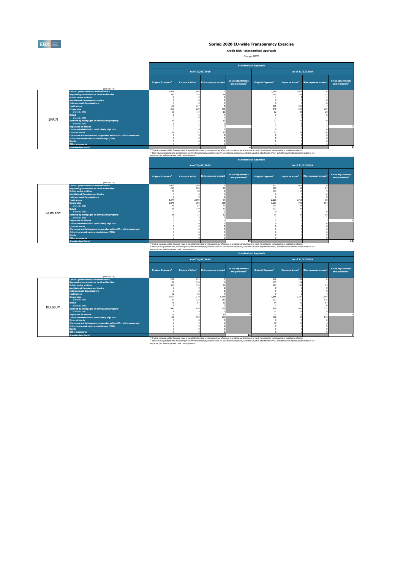

**Credit Risk - Standardised Approach**

Groupe BPCE

|       |                                                                                                                                                                                                           | <b>Standardised Approach</b>                             |                        |                             |                                                  |                                                                                                                                                                                                               |                                    |                             |                                                  |  |  |  |  |
|-------|-----------------------------------------------------------------------------------------------------------------------------------------------------------------------------------------------------------|----------------------------------------------------------|------------------------|-----------------------------|--------------------------------------------------|---------------------------------------------------------------------------------------------------------------------------------------------------------------------------------------------------------------|------------------------------------|-----------------------------|--------------------------------------------------|--|--|--|--|
|       |                                                                                                                                                                                                           |                                                          |                        | As of 30/09/2019            |                                                  |                                                                                                                                                                                                               |                                    | As of 31/12/2019            |                                                  |  |  |  |  |
|       | (min EUR. %)                                                                                                                                                                                              | Original Exposure <sup>1</sup>                           | <b>Exposure Value1</b> | <b>Risk exposure amount</b> | Value adjustments<br>and provisions <sup>2</sup> | Original Exposure <sup>1</sup>                                                                                                                                                                                | <b>Exposure Value</b> <sup>1</sup> | <b>Risk exposure amount</b> | Value adjustments<br>and provisions <sup>2</sup> |  |  |  |  |
|       | <b>Central governments or central banks</b>                                                                                                                                                               | 1,634                                                    | 1,648                  |                             |                                                  | 1,608                                                                                                                                                                                                         | 1,628                              |                             |                                                  |  |  |  |  |
|       | <b>Regional governments or local authorities</b>                                                                                                                                                          | 340                                                      | 324                    |                             |                                                  | 255                                                                                                                                                                                                           | 233                                |                             |                                                  |  |  |  |  |
|       | <b>Public sector entities</b>                                                                                                                                                                             |                                                          |                        |                             |                                                  |                                                                                                                                                                                                               |                                    |                             |                                                  |  |  |  |  |
|       | <b>Multilateral Development Banks</b>                                                                                                                                                                     |                                                          |                        |                             |                                                  |                                                                                                                                                                                                               |                                    |                             |                                                  |  |  |  |  |
|       | <b>International Organisations</b>                                                                                                                                                                        |                                                          |                        |                             |                                                  |                                                                                                                                                                                                               |                                    |                             |                                                  |  |  |  |  |
|       | <b>Institutions</b>                                                                                                                                                                                       | 155                                                      | 137                    |                             |                                                  | 235                                                                                                                                                                                                           | 216                                |                             |                                                  |  |  |  |  |
|       | <b>Corporates</b>                                                                                                                                                                                         | 312                                                      | 229                    | 223                         |                                                  | 348                                                                                                                                                                                                           | 240                                | 236                         |                                                  |  |  |  |  |
|       | of which: SME                                                                                                                                                                                             |                                                          |                        | 11                          |                                                  |                                                                                                                                                                                                               |                                    |                             |                                                  |  |  |  |  |
|       | Retail                                                                                                                                                                                                    |                                                          |                        |                             |                                                  |                                                                                                                                                                                                               |                                    |                             |                                                  |  |  |  |  |
| SPAIN | of which: SME                                                                                                                                                                                             |                                                          |                        |                             |                                                  |                                                                                                                                                                                                               |                                    |                             |                                                  |  |  |  |  |
|       | Secured by mortgages on immovable property                                                                                                                                                                |                                                          |                        |                             |                                                  |                                                                                                                                                                                                               |                                    |                             |                                                  |  |  |  |  |
|       | of which: SME                                                                                                                                                                                             |                                                          |                        |                             |                                                  |                                                                                                                                                                                                               |                                    |                             |                                                  |  |  |  |  |
|       | <b>Exposures in default</b>                                                                                                                                                                               |                                                          |                        |                             |                                                  |                                                                                                                                                                                                               |                                    |                             |                                                  |  |  |  |  |
|       | Items associated with particularly high risk                                                                                                                                                              |                                                          |                        |                             |                                                  |                                                                                                                                                                                                               |                                    |                             |                                                  |  |  |  |  |
|       | <b>Covered bonds</b>                                                                                                                                                                                      |                                                          |                        |                             |                                                  |                                                                                                                                                                                                               |                                    |                             |                                                  |  |  |  |  |
|       | Claims on institutions and corporates with a ST credit assessment                                                                                                                                         |                                                          |                        |                             |                                                  |                                                                                                                                                                                                               |                                    |                             |                                                  |  |  |  |  |
|       | Collective investments undertakings (CIU)                                                                                                                                                                 |                                                          |                        |                             |                                                  |                                                                                                                                                                                                               |                                    |                             |                                                  |  |  |  |  |
|       | <b>Equity</b>                                                                                                                                                                                             |                                                          |                        |                             |                                                  |                                                                                                                                                                                                               |                                    |                             |                                                  |  |  |  |  |
|       | <b>Other exposures</b>                                                                                                                                                                                    |                                                          |                        |                             |                                                  |                                                                                                                                                                                                               |                                    |                             |                                                  |  |  |  |  |
|       | <b>Standardised Total<sup>2</sup></b>                                                                                                                                                                     |                                                          |                        |                             |                                                  |                                                                                                                                                                                                               |                                    |                             |                                                  |  |  |  |  |
|       |                                                                                                                                                                                                           |                                                          |                        |                             |                                                  | <sup>(1)</sup> Original exposure, unlike Exposure value, is reported before taking into account any effect due to credit conversion factors or credit risk mitigation techniques (e.g. substitution effects). |                                    |                             |                                                  |  |  |  |  |
|       | (2) Total value adjustments and provisions per country of counterparty excludes those for securitisation exposures. additional valuation adjustments (AVAs) and other own funds reductions related to the |                                                          |                        |                             |                                                  |                                                                                                                                                                                                               |                                    |                             |                                                  |  |  |  |  |
|       |                                                                                                                                                                                                           | exposures, but includes general credit risk adjustments. |                        |                             |                                                  |                                                                                                                                                                                                               |                                    |                             |                                                  |  |  |  |  |

**Standardised Approach**

|                |                                                                                                                                                                                                                                                                                                                                                                                                                                                                                                                                                                                                                                                                                            | <b>Beangaraised Approach</b>                             |                                           |                                                                                                                                                                                                                                                                                                                                                                                                                            |                                                         |                                                   |                                    |                             |                                                  |  |  |  |  |
|----------------|--------------------------------------------------------------------------------------------------------------------------------------------------------------------------------------------------------------------------------------------------------------------------------------------------------------------------------------------------------------------------------------------------------------------------------------------------------------------------------------------------------------------------------------------------------------------------------------------------------------------------------------------------------------------------------------------|----------------------------------------------------------|-------------------------------------------|----------------------------------------------------------------------------------------------------------------------------------------------------------------------------------------------------------------------------------------------------------------------------------------------------------------------------------------------------------------------------------------------------------------------------|---------------------------------------------------------|---------------------------------------------------|------------------------------------|-----------------------------|--------------------------------------------------|--|--|--|--|
|                |                                                                                                                                                                                                                                                                                                                                                                                                                                                                                                                                                                                                                                                                                            |                                                          |                                           | As of 30/09/2019                                                                                                                                                                                                                                                                                                                                                                                                           |                                                         |                                                   |                                    | As of 31/12/2019            |                                                  |  |  |  |  |
|                | (min EUR. 96)                                                                                                                                                                                                                                                                                                                                                                                                                                                                                                                                                                                                                                                                              | Original Exposure <sup>1</sup>                           | <b>Exposure Value</b> <sup>1</sup>        | <b>Risk exposure amount</b>                                                                                                                                                                                                                                                                                                                                                                                                | <b>Value adjustments</b><br>and provisions <sup>2</sup> | Original Exposure <sup>1</sup>                    | <b>Exposure Value</b> <sup>1</sup> | <b>Risk exposure amount</b> | Value adjustments<br>and provisions <sup>2</sup> |  |  |  |  |
| <b>GERMANY</b> | <b>Central governments or central banks</b><br><b>Regional governments or local authorities</b><br><b>Public sector entities</b><br><b>Multilateral Development Banks</b><br><b>International Organisations</b><br><b>Tnstitutions</b><br><b>Corporates</b><br>of which: SME<br><b>Retail</b><br>of which: SME<br>Secured by mortgages on immovable property<br>of which: SME<br><b>Exposures in default</b><br>Items associated with particularly high risk<br><b>Covered bonds</b><br>Claims on institutions and corporates with a ST credit assessment<br>Collective investments undertakings (CIU)<br><b>Equity</b><br><b>Other exposures</b><br><b>Standardised Total<sup>2</sup></b> | 1,020<br>205<br>2,374<br>1,078<br>96<br>135              | 1,020<br>205<br>2,059<br>755<br>83<br>110 | 67<br>635<br>71                                                                                                                                                                                                                                                                                                                                                                                                            | 10                                                      | 911<br>169<br>117<br>2,020<br>1,133<br>101<br>122 | 911<br>169<br>117<br>1,763<br>799  | 68<br>654<br>73             | 12                                               |  |  |  |  |
|                |                                                                                                                                                                                                                                                                                                                                                                                                                                                                                                                                                                                                                                                                                            |                                                          |                                           | <sup>(3)</sup> Original exposure, unlike Exposure value, is reported before taking into account any effect due to credit conversion factors or credit risk mitigation techniques (e.g. substitution effects).<br>(2) Total value adjustments and provisions per country of counterparty excludes those for securitisation exposures, additional valuation adjustments (AVAs) and other own funds reductions related to the |                                                         |                                                   |                                    |                             |                                                  |  |  |  |  |
|                |                                                                                                                                                                                                                                                                                                                                                                                                                                                                                                                                                                                                                                                                                            | exposures, but includes general credit risk adjustments. |                                           |                                                                                                                                                                                                                                                                                                                                                                                                                            |                                                         |                                                   |                                    |                             |                                                  |  |  |  |  |
|                | <b>Standardised Approach</b>                                                                                                                                                                                                                                                                                                                                                                                                                                                                                                                                                                                                                                                               |                                                          |                                           |                                                                                                                                                                                                                                                                                                                                                                                                                            |                                                         |                                                   |                                    |                             |                                                  |  |  |  |  |

|         |                                                                   |                                                          | As of 30/09/2019                   |                             |                                                         |                                                                                                                                                                                                               |                             | As of 31/12/2019            |                                                  |  |  |  |
|---------|-------------------------------------------------------------------|----------------------------------------------------------|------------------------------------|-----------------------------|---------------------------------------------------------|---------------------------------------------------------------------------------------------------------------------------------------------------------------------------------------------------------------|-----------------------------|-----------------------------|--------------------------------------------------|--|--|--|
|         | (mln EUR, %)                                                      | Original Exposure <sup>1</sup>                           | <b>Exposure Value</b> <sup>1</sup> | <b>Risk exposure amount</b> | <b>Value adjustments</b><br>and provisions <sup>2</sup> | Original Exposure <sup>1</sup>                                                                                                                                                                                | Exposure Value <sup>1</sup> | <b>Risk exposure amount</b> | Value adjustments<br>and provisions <sup>2</sup> |  |  |  |
|         | <b>Central governments or central banks</b>                       | 251                                                      | 251                                |                             |                                                         | 248                                                                                                                                                                                                           | 249                         |                             |                                                  |  |  |  |
|         | <b>Regional governments or local authorities</b>                  | 138                                                      | 134                                |                             |                                                         | 135                                                                                                                                                                                                           | 131                         |                             |                                                  |  |  |  |
|         | <b>Public sector entities</b>                                     | 355                                                      | 355                                |                             |                                                         | 297                                                                                                                                                                                                           | 297                         |                             |                                                  |  |  |  |
|         | <b>Multilateral Development Banks</b>                             |                                                          |                                    |                             |                                                         |                                                                                                                                                                                                               |                             |                             |                                                  |  |  |  |
|         | <b>International Organisations</b>                                |                                                          |                                    |                             |                                                         |                                                                                                                                                                                                               |                             |                             |                                                  |  |  |  |
|         | <b>Institutions</b>                                               | 1,619                                                    | 1,170                              | 1,155                       |                                                         | 1,665                                                                                                                                                                                                         | 1,200                       | 1,184                       |                                                  |  |  |  |
|         | <b>Corporates</b><br>of which: SME                                | 140                                                      | 122                                | 119                         |                                                         | 217                                                                                                                                                                                                           | 179                         | 175                         |                                                  |  |  |  |
|         | <b>Retail</b>                                                     |                                                          | 67                                 | 50                          |                                                         |                                                                                                                                                                                                               | 90                          | 67                          |                                                  |  |  |  |
|         | of which: SME                                                     |                                                          |                                    |                             |                                                         |                                                                                                                                                                                                               |                             |                             |                                                  |  |  |  |
| BELGIUM | Secured by mortgages on immovable property                        | 945                                                      | 934                                | 352                         |                                                         | 900                                                                                                                                                                                                           | 895                         | 337                         |                                                  |  |  |  |
|         | of which: SME                                                     |                                                          |                                    |                             |                                                         | $\overline{2}$                                                                                                                                                                                                | 22                          |                             |                                                  |  |  |  |
|         | <b>Exposures in default</b>                                       |                                                          |                                    | 15                          |                                                         | 32                                                                                                                                                                                                            | 25                          | 31                          |                                                  |  |  |  |
|         | Items associated with particularly high risk                      | 152                                                      | 123                                | 184                         |                                                         | 118                                                                                                                                                                                                           | 97                          | 145                         |                                                  |  |  |  |
|         | <b>Covered bonds</b>                                              |                                                          |                                    |                             |                                                         |                                                                                                                                                                                                               |                             |                             |                                                  |  |  |  |
|         | Claims on institutions and corporates with a ST credit assessment |                                                          |                                    |                             |                                                         |                                                                                                                                                                                                               |                             |                             |                                                  |  |  |  |
|         | Collective investments undertakings (CIU)                         |                                                          |                                    |                             |                                                         |                                                                                                                                                                                                               |                             |                             |                                                  |  |  |  |
|         | <b>Equity</b>                                                     |                                                          |                                    |                             |                                                         |                                                                                                                                                                                                               |                             |                             |                                                  |  |  |  |
|         | <b>Other exposures</b>                                            |                                                          |                                    |                             |                                                         |                                                                                                                                                                                                               |                             |                             |                                                  |  |  |  |
|         | <b>Standardised Total<sup>2</sup></b>                             |                                                          |                                    |                             | 12                                                      |                                                                                                                                                                                                               |                             |                             |                                                  |  |  |  |
|         |                                                                   |                                                          |                                    |                             |                                                         | <sup>(1)</sup> Original exposure, unlike Exposure value, is reported before taking into account any effect due to credit conversion factors or credit risk mitigation techniques (e.g. substitution effects). |                             |                             |                                                  |  |  |  |
|         |                                                                   | exposures, but includes general credit risk adjustments. |                                    |                             |                                                         | (2) Total value adjustments and provisions per country of counterparty excludes those for securitisation exposures, additional valuation adjustments (AVAs) and other own funds reductions related to the     |                             |                             |                                                  |  |  |  |
|         |                                                                   |                                                          |                                    |                             |                                                         |                                                                                                                                                                                                               |                             |                             |                                                  |  |  |  |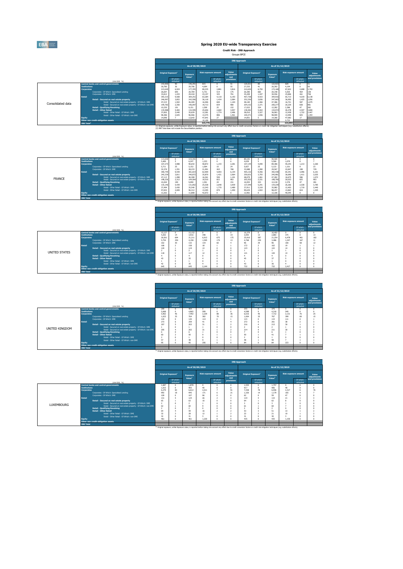EBA

### **Spring 2020 EU-wide Transparency Exercise**

**Credit Risk - IRB Approach** Groupe BPCE

(1) Original exposure, unlike Exposure value, is reported before taking into account any effect due to credit conversion factors or credit risk mitigation techniques (e.g. substitution effects).

(1) Original exposure, unlike Exposure value, is reported before taking into account any effect due to credit conversion factors or credit risk mitigation techniques (e.g. substitution effects).

| GIUGUE DI CL      |                                                                                                                                      |                                |                        |                                                             |                             |                        |                             |                                |                        |                              |                                                                                                                                                                                                    |                               |                      |
|-------------------|--------------------------------------------------------------------------------------------------------------------------------------|--------------------------------|------------------------|-------------------------------------------------------------|-----------------------------|------------------------|-----------------------------|--------------------------------|------------------------|------------------------------|----------------------------------------------------------------------------------------------------------------------------------------------------------------------------------------------------|-------------------------------|----------------------|
|                   |                                                                                                                                      |                                |                        |                                                             |                             |                        |                             | <b>IRB Approach</b>            |                        |                              |                                                                                                                                                                                                    |                               |                      |
|                   |                                                                                                                                      |                                |                        | As of 30/09/2019                                            |                             |                        |                             |                                |                        |                              | As of 31/12/2019                                                                                                                                                                                   |                               |                      |
|                   |                                                                                                                                      | Original Exposure <sup>3</sup> |                        | Exposure                                                    | <b>Risk exposure amount</b> |                        | Value<br>adiustments<br>and | Original Exposure <sup>1</sup> |                        | Exposure                     | <b>Risk exposure amount</b>                                                                                                                                                                        |                               | Value<br>adiustments |
|                   | (min EUR, %)                                                                                                                         |                                | Of which:<br>defaulted | Value                                                       |                             | Of which:<br>defaulted | provisions                  |                                | Of which:<br>defaulted | Value <sup>1</sup>           |                                                                                                                                                                                                    | Of which:<br>defaulted        | and provision:       |
|                   | <b>Central banks and central governments</b><br><b>Institutions</b><br>Corporates                                                    | 143,900<br>30,780<br>213.649   | 90<br>36<br>6.924      | 146.291<br>29,706<br>177,355                                | 815<br>4.694<br>89.235      | 2.881                  | 51<br>55<br>3.816           | 120.521<br>27.535<br>210,630   | 85<br>41<br>6.750      | 122.923<br>26.392<br>172.168 | 829<br>4.194<br>87.822                                                                                                                                                                             | $\Omega$<br>$\Omega$<br>2,698 | 3,793                |
|                   | Corporates - Of Which: Specialised Lending<br>Corporates - Of Which: SME<br><b>Retail</b>                                            | 26.697<br>33.812<br>393.315    | 695<br>1.433<br>9.508  | 20.784<br>29,418<br>384.251                                 | 5.731<br>23.157<br>63,284   | 514<br>325<br>4.118    | 175<br>791<br>6.193         | 26.385<br>35,209<br>407,738    | 660<br>1.347<br>9.423  | 20.148<br>30.556<br>394.916  | 5.503<br>23,806<br>65.713                                                                                                                                                                          | 464<br>261<br>4,019           | 138<br>758<br>6.138  |
| Consolidated data | Retail - Secured on real estate property<br>Retail - Secured on real estate property - Of Which: SME                                 | 246.997<br>47.215              | 3.852<br>1.502         | 242,506<br>46,409                                           | 36.118<br>16,406            | 1.434<br>600           | 2.084<br>1.104              | 252,336<br>48.184              | 3.836<br>1.466         | 247.663<br>47.386            | 36,950<br>16.721                                                                                                                                                                                   | 1,425<br>587                  | 2,056<br>1.075       |
|                   | Retail - Secured on real estate property - Of Which: non-SME<br><b>Retail - Qualifying Revolving</b><br><b>Retail - Other Retail</b> | 199,782<br>10.330<br>135,988   | 2.350<br>191<br>5.465  | 196.097<br>9.151<br>132.595                                 | 19,713<br>1.509<br>25.656   | 834<br>25<br>2,660     | 980<br>152<br>3.957         | 204.152<br>17.022<br>138,381   | 2.371<br>324<br>5.263  | 200.277<br>12.282<br>134.972 | 20,229<br>2,386<br>26.378                                                                                                                                                                          | 838<br>47<br>2,54             | 981<br>282<br>3,800  |
|                   | Retail - Other Retail - Of Which: SMF<br>Retail - Other Retail - Of Which: pop-SME<br>Equity                                         | 37.602<br>98.386<br>14.096     | 3.440<br>2.025         | 35.629<br>96.966<br>13.642                                  | 12,281<br>13,375<br>47.641  | 1.774<br>886<br>27     | 2.496<br>1.461              | 38,010<br>100.371<br>14.851    | 3.327<br>1.936         | 36.063<br>98,909<br>14.366   | 12,438<br>13,940<br>47.682                                                                                                                                                                         | 1,722<br>825<br>17            | 2.447<br>1.354       |
|                   | Other non credit-obligation assets<br><b>IRB Total<sup>2</sup></b>                                                                   |                                |                        |                                                             | 10.108<br>215,776           |                        |                             |                                |                        |                              | 9.752<br>215,994                                                                                                                                                                                   |                               |                      |
|                   |                                                                                                                                      |                                |                        | (2) IRB Total does not include the Securitisation position. |                             |                        |                             |                                |                        |                              | (1) Original exposure, unlike Exposure value, is reported before taking into account any effect due to credit conversion factors or credit risk mitigation techniques (e.g. substitution effects). |                               |                      |

|                                                                           |                                |                        |                                |                  |                             |                             | <b>IRB Approach</b>            |                        |                                |                                                                                                                                                                                                               |                             |                      |
|---------------------------------------------------------------------------|--------------------------------|------------------------|--------------------------------|------------------|-----------------------------|-----------------------------|--------------------------------|------------------------|--------------------------------|---------------------------------------------------------------------------------------------------------------------------------------------------------------------------------------------------------------|-----------------------------|----------------------|
|                                                                           |                                |                        |                                | As of 30/09/2019 |                             |                             |                                |                        |                                | As of 31/12/2019                                                                                                                                                                                              |                             |                      |
|                                                                           | Original Exposure <sup>3</sup> |                        | Exposure<br>Value <sup>1</sup> |                  | <b>Risk exposure amount</b> | Value<br>adiustments<br>and | Original Exposure <sup>1</sup> |                        | Exposure<br>Value <sup>1</sup> |                                                                                                                                                                                                               | <b>Risk exposure amount</b> | Value<br>adiustments |
| (mln EUR, %)                                                              |                                | Of which:<br>defaulted |                                |                  | Of which:<br>defaulted      | provisions                  |                                | Of which:<br>defaulted |                                |                                                                                                                                                                                                               | Of which:<br>defaulted      | and provisions       |
| Central banks and central governments                                     | 113,658                        |                        | 115.341                        |                  |                             |                             | 89,101                         |                        | 90.569                         |                                                                                                                                                                                                               |                             |                      |
| <b>Institutions</b>                                                       | 5.469                          |                        | 6.247                          | 1.223            |                             |                             | 4.639                          |                        | 5.560                          | 1.070                                                                                                                                                                                                         |                             |                      |
| Corporates                                                                | 107,273                        | 3.988                  | 90.642                         | 58,872           | 1.143                       | 2.281                       | 107.144                        | 4.040                  | 89,386                         | 59.243                                                                                                                                                                                                        | 1.213                       | 2.260                |
| Corporates - Of Which: Specialised Lending                                | 5.711                          | 25                     | 5.152                          | 1.004            | 10                          | 24                          | 5.827                          | 25                     | 5.123                          | 1.101                                                                                                                                                                                                         |                             | 23                   |
| Corporates - Of Which: SME                                                | 32.376                         | 1.351                  | 28.233                         | 21.991           | 263                         | 768                         | 33,988                         | 1.280                  | 29.567                         | 22.847                                                                                                                                                                                                        | 198                         | 729                  |
| <b>Retail</b>                                                             | 390.749                        | 9.439                  | 381.814                        | 62.909           | 4.093                       | 6.154                       | 405.132                        | 9.356                  | 392.438                        | 65.341                                                                                                                                                                                                        | 3.996                       | 6.101                |
| Retail - Secured on real estate property                                  | 245,339                        | 3.811                  | 240,872                        | 35,870           | 1.421                       | 2.064                       | 250,631                        | 3.793                  | 245.981                        | 36,699                                                                                                                                                                                                        | 1.411                       | 2.035                |
| Retail - Secured on real estate property - Of Which: SME<br><b>FRANCE</b> | 47,113                         | 1.498                  | 46,308                         | 16.361           | 599                         | 1.101                       | 48,079                         | 1.461                  | 47.282                         | 16.675                                                                                                                                                                                                        | 586                         | 1.072                |
| Retail - Secured on real estate property - Of Which: non-SME              | 198,226                        | 2.312                  | 194,564                        | 19.510           | 822                         | 963                         | 202,552                        | 2.331                  | 198,700                        | 20.023                                                                                                                                                                                                        | 825                         | 963                  |
| <b>Retail - Qualifying Revolving</b>                                      | 10.264                         | 190                    | 9.090                          | 1.501            | $^{24}$                     | 151                         | 16.952                         | 323                    | 12,218                         | 2.376                                                                                                                                                                                                         | 47                          | 281                  |
| <b>Retail - Other Retail</b>                                              | 135.146                        | 5.439                  | 131,852                        | 25.538           | 2.648                       | 3.939                       | 137,549                        | 5.241                  | 134,239                        | 26.266                                                                                                                                                                                                        | 2.538                       | 3.785                |
| Retail - Other Retail - Of Which: SME                                     | 37.494                         | 3.430                  | 35,540                         | 12.243           | 1,770                       | 2.489                       | 37.911                         | 3.319                  | 35.982                         | 12,403                                                                                                                                                                                                        | 1,719                       | 2.440                |
| Retail - Other Retail - Of Which: non-SME                                 | 97.652                         | 2.009                  | 96.312                         | 13.295           | 879                         | 1.450                       | 99.639                         | 1.922                  | 98.257                         | 13.863                                                                                                                                                                                                        | 819                         | 1.345                |
| Equity                                                                    | 12.262                         |                        | 11,808                         | 42.072           |                             |                             | 12.961                         |                        | 12.106                         | 40.545                                                                                                                                                                                                        |                             |                      |
| Other non credit-obligation assets                                        |                                |                        |                                |                  |                             |                             |                                |                        |                                |                                                                                                                                                                                                               |                             |                      |
| <b>IRB Total</b>                                                          |                                |                        |                                |                  |                             |                             |                                |                        |                                |                                                                                                                                                                                                               |                             |                      |
|                                                                           |                                |                        |                                |                  |                             |                             |                                |                        |                                | <sup>(3)</sup> Original exposure, unlike Exposure value, is reported before taking into account any effect due to credit conversion factors or credit risk mitigation techniques (e.g. substitution effects). |                             |                      |

|               |                                                              |                                |                        |                   |                  |                             |                             | <b>IRB Approach</b>            |                        |                   |                  |                             |                      |
|---------------|--------------------------------------------------------------|--------------------------------|------------------------|-------------------|------------------|-----------------------------|-----------------------------|--------------------------------|------------------------|-------------------|------------------|-----------------------------|----------------------|
|               |                                                              |                                |                        |                   | As of 30/09/2019 |                             |                             |                                |                        |                   | As of 31/12/2019 |                             |                      |
|               |                                                              | Original Exposure <sup>1</sup> |                        | Exposure<br>Value |                  | <b>Risk exposure amount</b> | Value<br>adiustments<br>and | Original Exposure <sup>1</sup> |                        | Exposure<br>Value |                  | <b>Risk exposure amount</b> | Value<br>adjustments |
|               | (min EUR, %)                                                 |                                | Of which:<br>defaulted |                   |                  | Of which:<br>defaulted      | provisions                  |                                | Of which:<br>defaulted |                   |                  | Of which:<br>defaulted      | and provision:       |
|               | Central banks and central governments                        | 15.127                         |                        | 15.152            | 0                |                             |                             | 16.379                         | $\Omega$               | 16.402            |                  | $\Omega$                    |                      |
|               | <b>Institutions</b>                                          | 4.202                          | 14                     | 3.916             | 348              | $\Omega$                    | 14                          | 3.093                          | 13                     | 2.883             | 375              | $\Omega$                    | 13                   |
|               | <b>Corporates</b>                                            | 26.561                         | 694                    | 21.211            | 6.913            | 675                         | 175                         | 25,910                         | 587                    | 21.254            | 6.478            | 461                         | 182                  |
|               | Corporates - Of Which: Specialised Lending                   | 5.754                          | 250                    | 4.158             | 1.505            | 179                         | 13                          | 4.768                          | 239                    | 3.486             | 1.247            | 167                         |                      |
|               | Corporates - Of Which: SME                                   | 162                            | 30                     | 132               | 119              | 60                          |                             | 96                             | 29                     | 96                | 100              | 58                          |                      |
|               | <b>Retail</b>                                                | 168                            |                        | 158               | 18               |                             |                             | 172                            |                        | 162               | 19               |                             |                      |
|               | Retail - Secured on real estate property                     | 120                            |                        | 119               | 13               |                             |                             | 123                            |                        | 122               | 14               |                             |                      |
| UNITED STATES | Retail - Secured on real estate property - Of Which: SME     |                                | $\Omega$               |                   |                  |                             |                             |                                |                        |                   |                  |                             |                      |
|               | Retail - Secured on real estate property - Of Which: non-SME | 118                            |                        | 117               | 12               |                             |                             | 121                            |                        | 120               | 14               |                             |                      |
|               | <b>Retail - Qualifying Revolving</b>                         |                                |                        |                   |                  |                             |                             |                                |                        |                   |                  |                             |                      |
|               | <b>Retail - Other Retail</b>                                 | 43                             |                        | 35                |                  |                             |                             | 45                             |                        | 37                |                  |                             |                      |
|               | Retail - Other Retail - Of Which: SME                        |                                | $\Omega$               |                   |                  |                             |                             |                                |                        |                   |                  |                             |                      |
|               | Retail - Other Retail - Of Which: non-SME                    | 42                             | $\Omega$               | 35                |                  |                             |                             |                                |                        | 36                |                  |                             |                      |
|               | Equity                                                       | 645                            | $\theta$               | 645               | 2.144            | $\epsilon$                  |                             | 732                            |                        | 732               | 2.417            | $\Omega$                    |                      |
|               | Other non credit-obligation assets                           |                                |                        |                   |                  |                             |                             |                                |                        |                   |                  |                             |                      |
|               | <b>IRB Total</b>                                             |                                |                        |                   |                  |                             |                             |                                |                        |                   |                  |                             |                      |

|                       |                     |                                                              |                                |                        |                                |                  |                             |                             | <b>IRB Approach</b>            |                        |                                |                  |                        |                      |
|-----------------------|---------------------|--------------------------------------------------------------|--------------------------------|------------------------|--------------------------------|------------------|-----------------------------|-----------------------------|--------------------------------|------------------------|--------------------------------|------------------|------------------------|----------------------|
|                       |                     |                                                              |                                |                        |                                | As of 30/09/2019 |                             |                             |                                |                        |                                | As of 31/12/2019 |                        |                      |
|                       |                     |                                                              | Original Exposure <sup>1</sup> |                        | Exposure<br>Value <sup>1</sup> |                  | <b>Risk exposure amount</b> | Value<br>adiustments<br>and | Original Exposure <sup>1</sup> |                        | Exposure<br>Value <sup>1</sup> |                  | Risk exposure amount   | Value<br>adiustments |
|                       |                     | (min EUR, %)                                                 |                                | Of which:<br>defaulted |                                |                  | Of which:<br>defaulted      | provisions                  |                                | Of which:<br>defaulted |                                |                  | Of which:<br>defaulted | and provision:       |
|                       |                     | <b>Central banks and central governments</b>                 | 299                            |                        | 404                            | $\Omega$         |                             |                             | 255                            |                        | 375                            |                  | $\Omega$               |                      |
|                       | <b>Institutions</b> |                                                              | 5.068                          | $\Omega$               | 4.865                          | 599              | $\Omega$                    |                             | 4.588                          | $\Omega$               | 4.216                          | 540              | $\Omega$               |                      |
|                       | Corporates          |                                                              | 5.962                          | 46                     | 7.492                          | 2.229            | 88                          | 36                          | 6.616                          | 40                     | 7.712                          | 2.131            | 76                     | 25                   |
|                       |                     | Corporates - Of Which: Specialised Lending                   | 1.023                          | 35                     | 764                            | 382              | 70                          |                             | 1.004                          | 35                     | 767                            | 399              | 69                     |                      |
|                       |                     | Corporates - Of Which: SME                                   | 120                            | $\Omega$               | 120                            | 114              |                             |                             | 115                            | $\Omega$               | 115                            | 111              |                        |                      |
|                       | <b>Retail</b>       |                                                              | 273                            | w                      | 259                            | 41               |                             |                             | 272                            |                        | 261                            | 38               |                        |                      |
|                       |                     | Retail - Secured on real estate property                     | 207                            |                        | 203                            | 31               |                             |                             | 216                            |                        | 213                            | 30               |                        |                      |
| <b>UNITED KINGDOM</b> |                     | Retail - Secured on real estate property - Of Which: SME     |                                |                        |                                |                  |                             |                             |                                |                        |                                |                  |                        |                      |
|                       |                     | Retail - Secured on real estate property - Of Which: non-SME | 205                            |                        | 202                            | 31               |                             |                             | 214                            |                        | 211                            | 30               |                        |                      |
|                       |                     | <b>Retail - Qualifying Revolving</b>                         |                                | $\Omega$               |                                |                  |                             |                             |                                |                        |                                |                  |                        |                      |
|                       |                     | <b>Retail - Other Retail</b>                                 | 60                             |                        | 50                             | ۰                |                             |                             | 50                             |                        | 41                             |                  |                        |                      |
|                       |                     | Retail - Other Retail - Of Which: SME                        |                                | $\Omega$               |                                |                  |                             |                             |                                |                        |                                |                  |                        |                      |
|                       |                     | Retail - Other Retail - Of Which: non-SME                    | 57                             |                        | 48                             | ×.               |                             |                             | 48                             |                        | 40                             |                  |                        |                      |
|                       | Equity              |                                                              | 95                             |                        | 95                             | 256              |                             |                             | 84                             |                        | 84                             | 223              |                        |                      |
|                       |                     | Other non credit-obligation assets                           |                                |                        |                                |                  |                             |                             |                                |                        |                                |                  |                        |                      |
|                       | <b>IRB Total</b>    |                                                              |                                |                        |                                |                  |                             |                             |                                |                        |                                |                  |                        |                      |

|                   |                                                                      |                                |                        |                          |                  |                             |                             | <b>IRB Approach</b>            |                        |                                       |                                                                                                                                                                                                               |                             |                      |
|-------------------|----------------------------------------------------------------------|--------------------------------|------------------------|--------------------------|------------------|-----------------------------|-----------------------------|--------------------------------|------------------------|---------------------------------------|---------------------------------------------------------------------------------------------------------------------------------------------------------------------------------------------------------------|-----------------------------|----------------------|
|                   |                                                                      |                                |                        |                          | As of 30/09/2019 |                             |                             |                                |                        |                                       | As of 31/12/2019                                                                                                                                                                                              |                             |                      |
|                   |                                                                      | Original Exposure <sup>1</sup> |                        | <b>Exposure</b><br>Value |                  | <b>Risk exposure amount</b> | Value<br>adjustments<br>and | Original Exposure <sup>1</sup> |                        | <b>Exposure</b><br>Value <sup>1</sup> |                                                                                                                                                                                                               | <b>Risk exposure amount</b> | Value<br>adiustments |
|                   | (min EUR, %)                                                         |                                | Of which:<br>defaulted |                          |                  | Of which:<br>defaulted      | provisions                  |                                | Of which:<br>defaulted |                                       |                                                                                                                                                                                                               | Of which:<br>defaulted      | and provisions       |
|                   | <b>Central banks and central governments</b>                         | 1.687                          | $\Omega$               | 1,878                    | $\Omega$         |                             |                             | 1.555                          |                        | 1.757                                 |                                                                                                                                                                                                               |                             | $\Omega$             |
|                   | <b>Institutions</b>                                                  | 1.015                          | $\Omega$               | 993                      | 40               |                             |                             | 917                            |                        | 906                                   | 48                                                                                                                                                                                                            |                             |                      |
|                   | Corporates                                                           | 6.279                          | 83                     | 6.612                    | 2.011            |                             | Q <sub>1</sub>              | 7.438                          | 78                     | 6,946                                 | 2.317                                                                                                                                                                                                         |                             | 76                   |
|                   | Corporates - Of Which: Specialised Lending                           | 992                            | 18                     | 945                      | 171              |                             | 21                          | 1.320                          | 14                     | 1.179                                 | 165                                                                                                                                                                                                           |                             |                      |
|                   | Corporates - Of Which: SME                                           | 109                            | $\Omega$               | 107                      | $Q_0$            |                             |                             | 62                             |                        | 59                                    | 47                                                                                                                                                                                                            |                             |                      |
|                   | Retail                                                               | 131                            |                        | 124                      | 26               |                             |                             | 119                            |                        | 115                                   | 21                                                                                                                                                                                                            |                             |                      |
|                   | Retail - Secured on real estate property                             | 65                             |                        | 63                       | 10               |                             |                             | 64                             |                        | 62                                    |                                                                                                                                                                                                               |                             |                      |
| <b>LUXEMBOURG</b> | Retail - Secured on real estate property - Of Which: SME             |                                |                        | ŃΩ                       |                  |                             |                             |                                |                        | 60                                    |                                                                                                                                                                                                               |                             |                      |
|                   | Retail - Secured on real estate property - Of Which: non-SME         | 62                             | $\Omega$               |                          |                  |                             |                             | 61<br>$\sim$                   |                        |                                       |                                                                                                                                                                                                               |                             |                      |
|                   | <b>Retail - Qualifying Revolving</b><br><b>Retail - Other Retail</b> | 64                             |                        | 59                       | 16               |                             |                             | 53                             |                        | 51                                    | 13                                                                                                                                                                                                            |                             |                      |
|                   | Retail - Other Retail - Of Which: SME                                | 32                             |                        | 28                       | 12               |                             |                             | 22                             |                        | $^{21}$                               | 10                                                                                                                                                                                                            |                             |                      |
|                   |                                                                      | 32                             | $\Omega$               | 31                       |                  |                             |                             | 31                             |                        | 3C                                    |                                                                                                                                                                                                               |                             |                      |
|                   | Retail - Other Retail - Of Which: non-SME<br>Equity                  | 461                            |                        | 461                      | 1.220            |                             |                             | 435                            |                        | 435                                   | 1.150                                                                                                                                                                                                         |                             |                      |
|                   | Other non credit-obligation assets                                   |                                |                        |                          |                  |                             |                             |                                |                        |                                       |                                                                                                                                                                                                               |                             |                      |
|                   | <b>IRB Total</b>                                                     |                                |                        |                          |                  |                             |                             |                                |                        |                                       |                                                                                                                                                                                                               |                             |                      |
|                   |                                                                      |                                |                        |                          |                  |                             |                             |                                |                        |                                       | <sup>(3)</sup> Original exposure, unlike Exposure value, is reported before taking into account any effect due to credit conversion factors or credit risk mitigation techniques (e.g. substitution effects). |                             |                      |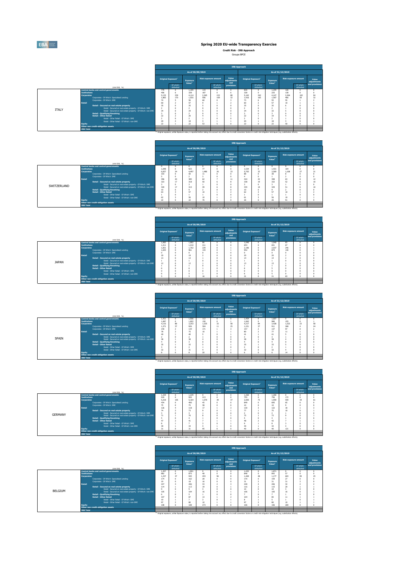EBA

### **Spring 2020 EU-wide Transparency Exercise**

**Credit Risk - IRB Approach** Groupe BPCE

|              |                     |                                                              |                                |                        |                                |                  |                             |                                                                                                                                                                                                               | <b>IRB Approach</b>            |                        |                                |                  |                             |                      |
|--------------|---------------------|--------------------------------------------------------------|--------------------------------|------------------------|--------------------------------|------------------|-----------------------------|---------------------------------------------------------------------------------------------------------------------------------------------------------------------------------------------------------------|--------------------------------|------------------------|--------------------------------|------------------|-----------------------------|----------------------|
|              |                     |                                                              |                                |                        |                                | As of 30/09/2019 |                             |                                                                                                                                                                                                               |                                |                        |                                | As of 31/12/2019 |                             |                      |
|              |                     |                                                              | Original Exposure <sup>1</sup> |                        | Exposure<br>Value <sup>1</sup> |                  | <b>Risk exposure amount</b> | Value<br>adiustments<br>and                                                                                                                                                                                   | Original Exposure <sup>1</sup> |                        | Exposure<br>Value <sup>1</sup> |                  | <b>Risk exposure amount</b> | Value<br>adiustments |
|              |                     | (min EUR, %)                                                 |                                | Of which:<br>defaulted |                                |                  | Of which:<br>defaulted      | provisions                                                                                                                                                                                                    |                                | Of which:<br>defaulted |                                |                  | Of which:<br>defaulted      | and provisions       |
|              |                     | <b>Central banks and central governments</b>                 | 779                            |                        | 1.105                          | 119              |                             |                                                                                                                                                                                                               | 830                            |                        | 1,194                          | 126              |                             | $\Omega$             |
|              | <b>Institutions</b> |                                                              | 406                            | ĸ<br>239               | 328                            | 187              |                             |                                                                                                                                                                                                               | 328                            | 242                    | 225                            | 138              | $\theta$                    |                      |
|              | Corporates          | Corporates - Of Which: Specialised Lending                   | 5.133<br>1.883                 | 170                    | 4.114<br>1.555                 | 2.265<br>508     | 152<br>109                  | 88<br>32                                                                                                                                                                                                      | 5.162<br>1.916                 | 165                    | 4.147<br>1.597                 | 2.264<br>466     | 102<br>59                   | 94<br>32             |
|              |                     | Corporates - Of Which: SME                                   | 74                             |                        | 56                             | 60               |                             |                                                                                                                                                                                                               | 73                             |                        | 55                             | 55               |                             |                      |
|              | <b>Retail</b>       |                                                              | 60                             |                        | 57                             |                  |                             |                                                                                                                                                                                                               | 60                             |                        | 57                             | 10               |                             |                      |
|              |                     | Retail - Secured on real estate property                     | 35                             |                        | 35                             |                  |                             |                                                                                                                                                                                                               | 35                             |                        | 35                             |                  |                             |                      |
|              |                     | Retail - Secured on real estate property - Of Which: SME     | $\overline{2}$                 |                        |                                |                  |                             |                                                                                                                                                                                                               |                                |                        |                                |                  | $\Omega$                    |                      |
| <b>ITALY</b> |                     | Retail - Secured on real estate property - Of Which: non-SME | 34                             |                        | 34                             |                  |                             |                                                                                                                                                                                                               | 34                             |                        | 33                             |                  |                             |                      |
|              |                     | <b>Retail - Qualifying Revolving</b>                         |                                |                        |                                |                  |                             |                                                                                                                                                                                                               |                                |                        |                                |                  |                             |                      |
|              |                     | <b>Retail - Other Retail</b>                                 | 22                             |                        | 20                             |                  |                             |                                                                                                                                                                                                               | 22                             |                        | 19                             |                  |                             |                      |
|              |                     | Retail - Other Retail - Of Which: SME                        | ٠                              |                        |                                |                  |                             |                                                                                                                                                                                                               |                                |                        |                                |                  |                             |                      |
|              |                     | Retail - Other Retail - Of Which: non-SME                    | 20                             |                        | 18                             |                  |                             |                                                                                                                                                                                                               | 20                             |                        | 18                             |                  | $\theta$                    |                      |
|              | Equity              |                                                              | 22                             |                        | 22                             | 52               |                             |                                                                                                                                                                                                               | 22                             |                        | 22                             | 50               | ı                           |                      |
|              |                     | Other non credit-obligation assets                           |                                |                        |                                |                  |                             |                                                                                                                                                                                                               |                                |                        |                                |                  |                             |                      |
|              | <b>IRB Total</b>    |                                                              |                                |                        |                                |                  |                             |                                                                                                                                                                                                               |                                |                        |                                |                  |                             |                      |
|              |                     |                                                              |                                |                        |                                |                  |                             | <sup>(3)</sup> Original exposure, unlike Exposure value, is reported before taking into account any effect due to credit conversion factors or credit risk mitigation techniques (e.g. substitution effects). |                                |                        |                                |                  |                             |                      |

|             |                                                                          |                                |                        |                                |                  |                             |                             | <b>IRB Approach</b>            |                        |                                |                                                                                                                                                                                                               |                             |                      |
|-------------|--------------------------------------------------------------------------|--------------------------------|------------------------|--------------------------------|------------------|-----------------------------|-----------------------------|--------------------------------|------------------------|--------------------------------|---------------------------------------------------------------------------------------------------------------------------------------------------------------------------------------------------------------|-----------------------------|----------------------|
|             |                                                                          |                                |                        |                                | As of 30/09/2019 |                             |                             |                                |                        |                                | As of 31/12/2019                                                                                                                                                                                              |                             |                      |
|             |                                                                          | Original Exposure <sup>3</sup> |                        | Exposure<br>Value <sup>1</sup> |                  | <b>Risk exposure amount</b> | Value<br>adiustments<br>and | Original Exposure <sup>1</sup> |                        | Exposure<br>Value <sup>1</sup> |                                                                                                                                                                                                               | <b>Risk exposure amount</b> | Value<br>adiustments |
|             | (min EUR, %)                                                             |                                | Of which:<br>defaulted |                                |                  | Of which:<br>defaulted      | provisions                  |                                | Of which:<br>defaulted |                                |                                                                                                                                                                                                               | Of which:<br>defaulted      | and provision:       |
|             | <b>Central banks and central governments</b>                             | $\Omega$                       |                        | $\Omega$                       | $\Omega$         | $\Omega$                    |                             | $\theta$                       | $\Omega$               | U.                             | O                                                                                                                                                                                                             | $\Omega$                    |                      |
|             | <b>Institutions</b>                                                      | 1.048                          | $\Omega$               | 923                            | 77               | $\Omega$                    |                             | 1.534                          | $^{\circ}$             | 1.431                          | 104                                                                                                                                                                                                           | $\Omega$                    |                      |
|             | <b>Corporates</b>                                                        | 6.057                          | 34                     | 4.497                          | 1.486            | 26                          | 33                          | 5.702                          | 33                     | 3,569                          | 1.168                                                                                                                                                                                                         | 27                          | 31                   |
|             | Corporates - Of Which: Specialised Lending<br>Corporates - Of Which: SME | 103                            | $\Omega$<br>$\Omega$   | 50                             | 11               |                             |                             | 88                             | $\Omega$               | 38                             |                                                                                                                                                                                                               |                             |                      |
|             | <b>Retail</b>                                                            | 396                            | 20                     | 385                            | 62               |                             |                             | 410                            | 22                     | 398                            | 63                                                                                                                                                                                                            |                             | 12                   |
|             | Retail - Secured on real estate property                                 | 323                            | 17                     | 318                            | 50               |                             |                             | 338                            | 19                     | 332                            | S2                                                                                                                                                                                                            |                             | 10 <sub>1</sub>      |
|             | Retail - Secured on real estate property - Of Which: SME                 |                                | $\Omega$               |                                |                  |                             |                             |                                |                        |                                |                                                                                                                                                                                                               |                             |                      |
| SWITZERLAND | Retail - Secured on real estate property - Of Which: non-SME             | 320                            | 17                     | 315                            | 49               |                             |                             | 335                            | 19                     | 329                            | 51                                                                                                                                                                                                            |                             | 10                   |
|             | <b>Retail - Qualifying Revolving</b>                                     | 10                             | $\Omega$               | $\mathsf q$                    |                  |                             |                             | 10                             | $\Omega$               |                                |                                                                                                                                                                                                               |                             |                      |
|             | <b>Retail - Other Retail</b>                                             | 63                             |                        | 57                             | 10               |                             |                             | 62                             |                        | 57                             | 10                                                                                                                                                                                                            |                             |                      |
|             | Retail - Other Retail - Of Which: SME                                    |                                | $\Omega$               |                                |                  |                             |                             |                                |                        |                                |                                                                                                                                                                                                               |                             |                      |
|             | Retail - Other Retail - Of Which: non-SME                                | 62                             |                        | 56                             | 10               |                             |                             | 61                             |                        | 56                             | 10                                                                                                                                                                                                            |                             |                      |
|             | Equity                                                                   | 22                             | $\theta$               | 22                             | 76               | $\theta$                    |                             | 26                             |                        | 26                             | Q <sub>1</sub>                                                                                                                                                                                                | $\Omega$                    |                      |
|             | Other non credit-obligation assets                                       |                                |                        |                                |                  |                             |                             |                                |                        |                                |                                                                                                                                                                                                               |                             |                      |
|             | <b>IRB Total</b>                                                         |                                |                        |                                |                  |                             |                             |                                |                        |                                |                                                                                                                                                                                                               |                             |                      |
|             |                                                                          |                                |                        |                                |                  |                             |                             |                                |                        |                                | <sup>(3)</sup> Original exposure, unlike Exposure value, is reported before taking into account any effect due to credit conversion factors or credit risk mitigation techniques (e.g. substitution effects). |                             |                      |

|              |                                                                      |       |                                |                                |                  |                             |                             | <b>IRB Approach</b>            |                        |                                |                      |                        |                      |
|--------------|----------------------------------------------------------------------|-------|--------------------------------|--------------------------------|------------------|-----------------------------|-----------------------------|--------------------------------|------------------------|--------------------------------|----------------------|------------------------|----------------------|
|              |                                                                      |       |                                |                                | As of 30/09/2019 |                             |                             |                                |                        |                                | As of 31/12/2019     |                        |                      |
|              |                                                                      |       | Original Exposure <sup>1</sup> | Exposure<br>Value <sup>1</sup> |                  | <b>Risk exposure amount</b> | Value<br>adiustments<br>and | Original Exposure <sup>1</sup> |                        | Exposure<br>Value <sup>1</sup> | Risk exposure amount |                        | Value<br>adjustments |
|              | (min EUR, %)                                                         |       | Of which:<br>defaulted         |                                |                  | Of which:<br>defaulted      | provisions                  |                                | Of which:<br>defaulted |                                |                      | Of which:<br>defaulted | and provisions       |
|              | Central banks and central governments                                | 1.082 |                                | 1,082                          | 86               |                             |                             | 1.040                          |                        | 1,040                          | 83                   |                        | $^{\circ}$           |
|              | <b>Institutions</b>                                                  | 1.211 |                                | 1,210                          | 211              |                             |                             | 653                            |                        | 651                            | 67                   |                        |                      |
|              | <b>Corporates</b>                                                    | 1,831 |                                | 1.762                          | 229              |                             |                             | 2.186                          |                        | 2.037                          | 246                  |                        |                      |
|              | Corporates - Of Which: Specialised Lending                           | 1.025 |                                | 961                            | 143              |                             |                             | 952                            |                        | 874                            | 130                  |                        |                      |
|              | Corporates - Of Which: SME                                           |       |                                |                                |                  |                             |                             |                                |                        |                                |                      |                        |                      |
|              | <b>Retail</b>                                                        | 20    |                                | 19                             |                  |                             |                             | 20                             |                        | 20                             |                      |                        |                      |
|              | Retail - Secured on real estate property                             | 13    |                                | 13                             |                  |                             |                             | 14                             |                        | 14                             |                      |                        |                      |
| <b>JAPAN</b> | Retail - Secured on real estate property - Of Which: SME             | 12    |                                | 12                             |                  |                             |                             | 13                             |                        | 13                             |                      |                        |                      |
|              | Retail - Secured on real estate property - Of Which: non-SME         |       |                                |                                |                  |                             |                             |                                |                        |                                |                      |                        |                      |
|              | <b>Retail - Qualifying Revolving</b><br><b>Retail - Other Retail</b> |       |                                |                                |                  |                             |                             |                                |                        |                                |                      |                        |                      |
|              | Retail - Other Retail - Of Which: SME                                |       |                                |                                |                  |                             |                             |                                |                        |                                |                      |                        |                      |
|              | Retail - Other Retail - Of Which: non-SME                            |       |                                |                                |                  |                             |                             |                                |                        |                                |                      |                        |                      |
|              | Equity                                                               |       |                                |                                | 16               |                             |                             | 21                             |                        | 21                             | 63                   |                        |                      |
|              | Other non credit-obligation assets                                   |       |                                |                                |                  |                             |                             |                                |                        |                                |                      |                        |                      |
|              | <b>IRB Total</b>                                                     |       |                                |                                |                  |                             |                             |                                |                        |                                |                      |                        |                      |

(1) Original exposure, unlike Exposure value, is reported before taking into account any effect due to credit conversion factors or credit risk mitigation techniques (e.g. substitution effects).

(1) Original exposure, unlike Exposure value, is reported before taking into account any effect due to credit conversion factors or credit risk mitigation techniques (e.g. substitution effects).

(1) Original exposure, unlike Exposure value, is reported before taking into account any effect due to credit conversion factors or credit risk mitigation techniques (e.g. substitution effects).

|       |                                   |                                                                      |                                |                        |                                |                  |                             |                                                                                                                                                                                                               | <b>IRB Approach</b>            |                        |                                |                  |                        |                      |
|-------|-----------------------------------|----------------------------------------------------------------------|--------------------------------|------------------------|--------------------------------|------------------|-----------------------------|---------------------------------------------------------------------------------------------------------------------------------------------------------------------------------------------------------------|--------------------------------|------------------------|--------------------------------|------------------|------------------------|----------------------|
|       |                                   |                                                                      |                                |                        |                                | As of 30/09/2019 |                             |                                                                                                                                                                                                               |                                |                        |                                | As of 31/12/2019 |                        |                      |
|       |                                   |                                                                      | Original Exposure <sup>1</sup> |                        | Exposure<br>Value <sup>1</sup> |                  | <b>Risk exposure amount</b> | Value<br>adiustments<br>and                                                                                                                                                                                   | Original Exposure <sup>1</sup> |                        | Exposure<br>Value <sup>1</sup> |                  | Risk exposure amount   | Value<br>adjustments |
|       |                                   | (mln EUR, %)                                                         |                                | Of which:<br>defaulted |                                |                  | Of which:<br>defaulted      | provisions                                                                                                                                                                                                    |                                | Of which:<br>defaulted |                                |                  | Of which:<br>defaulted | and provisions       |
|       |                                   | <b>Central banks and central governments</b>                         | 1.431                          |                        | 1.506                          | 112              |                             |                                                                                                                                                                                                               | 1.454                          |                        | 1,607                          |                  |                        | $\Omega$             |
|       | <b>Institutions</b><br>Corporates |                                                                      | 1.087<br>4.116                 | $\Omega$<br>88         | 1,002<br>3,253                 | 150<br>1.535     | $33 -$                      | 58                                                                                                                                                                                                            | 1.062<br>4.217                 | 84                     | 980<br>3.428                   | 155<br>1.523     | $\Omega$<br>23         | S <sub>8</sub>       |
|       |                                   | Corporates - Of Which: Specialised Lending                           | 1.271                          | 37                     | 926                            | 304              | 11                          | 25                                                                                                                                                                                                            | 1.221                          | 37                     | 911                            | 268              |                        | 24                   |
|       |                                   | Corporates - Of Which: SME                                           | 140                            |                        | 134                            | 171              |                             |                                                                                                                                                                                                               | 157                            |                        | 137                            | 97               |                        |                      |
|       | <b>Retail</b>                     |                                                                      | 78                             |                        | 75                             | 10               |                             |                                                                                                                                                                                                               | 80                             |                        | 77                             | 11               |                        |                      |
|       |                                   | Retail - Secured on real estate property                             | 40                             |                        | 40                             |                  |                             |                                                                                                                                                                                                               | 41                             |                        | 41                             |                  |                        |                      |
| SPAIN |                                   | Retail - Secured on real estate property - Of Which: SME             | $\overline{2}$                 |                        |                                |                  |                             |                                                                                                                                                                                                               |                                |                        |                                |                  |                        |                      |
|       |                                   | Retail - Secured on real estate property - Of Which: non-SME         | 38                             |                        | 38                             |                  |                             |                                                                                                                                                                                                               | 38                             |                        | 38                             |                  | $\Omega$               |                      |
|       |                                   | <b>Retail - Qualifving Revolving</b><br><b>Retail - Other Retail</b> | 35                             |                        | 32                             |                  |                             |                                                                                                                                                                                                               | 35                             |                        | 33                             |                  |                        |                      |
|       |                                   | Retail - Other Retail - Of Which: SME                                |                                |                        |                                |                  |                             |                                                                                                                                                                                                               |                                |                        |                                |                  | ť                      |                      |
|       |                                   | Retail - Other Retail - Of Which: non-SME                            | 32                             |                        | 31                             |                  |                             |                                                                                                                                                                                                               | 32                             |                        | 32                             |                  | ć                      |                      |
|       | <b>Equity</b>                     |                                                                      |                                |                        |                                | 20 <sub>1</sub>  |                             |                                                                                                                                                                                                               |                                |                        |                                | 14               |                        |                      |
|       |                                   | Other non credit-obligation assets                                   |                                |                        |                                |                  |                             |                                                                                                                                                                                                               |                                |                        |                                |                  |                        |                      |
|       | <b>IRB Total</b>                  |                                                                      |                                |                        |                                |                  |                             |                                                                                                                                                                                                               |                                |                        |                                |                  |                        |                      |
|       |                                   |                                                                      |                                |                        |                                |                  |                             | <sup>(3)</sup> Original exposure, unlike Exposure value, is reported before taking into account any effect due to credit conversion factors or credit risk mitigation techniques (e.g. substitution effects). |                                |                        |                                |                  |                        |                      |

|                |                                                              |                                |                        |                                |                  |                        |                             | <b>IRB Approach</b>            |                        |                                |                  |                        |                      |
|----------------|--------------------------------------------------------------|--------------------------------|------------------------|--------------------------------|------------------|------------------------|-----------------------------|--------------------------------|------------------------|--------------------------------|------------------|------------------------|----------------------|
|                |                                                              |                                |                        |                                | As of 30/09/2019 |                        |                             |                                |                        |                                | As of 31/12/2019 |                        |                      |
|                |                                                              | Original Exposure <sup>1</sup> |                        | Exposure<br>Value <sup>1</sup> |                  | Risk exposure amount   | Value<br>adjustments<br>and | Original Exposure <sup>1</sup> |                        | Exposure<br>Value <sup>1</sup> |                  | Risk exposure amount   | Value<br>adjustments |
|                | (mln EUR, %)                                                 |                                | Of which:<br>defaulted |                                |                  | Of which:<br>defaulted | provisions                  |                                | Of which:<br>defaulted |                                |                  | Of which:<br>defaulted | and provisions       |
|                | Central banks and central governments                        | 1.229                          |                        | 1,229                          |                  |                        |                             | 1,260                          |                        | 1,260                          |                  |                        |                      |
|                | <b>Institutions</b>                                          | 919                            |                        | 920                            | 213              |                        |                             | 755                            | $\Omega$               | 756                            | 172              |                        |                      |
|                | Corporates                                                   | 5.218                          | 105                    | 5.164                          | 1.570            | 39                     | 37                          | 2.005                          | 73                     | 1.959                          | 559              | 19                     | 61                   |
|                | Corporates - Of Which: Specialised Lending                   | 434                            |                        | 400                            | 45               |                        |                             | 849                            | o                      | 695                            | 65               |                        |                      |
|                | Corporates - Of Which: SME                                   | 75                             |                        | 75                             | 38               |                        |                             | 10                             |                        | 10                             |                  |                        |                      |
|                | <b>Retail</b>                                                | 126                            |                        | 118                            | 17               |                        |                             | 130                            |                        | 122                            | 18               |                        |                      |
|                | Retail - Secured on real estate property                     | 74                             |                        | 73                             |                  |                        |                             | 77                             |                        | 75                             | 10               |                        |                      |
| <b>GFRMANY</b> | Retail - Secured on real estate property - Of Which: SME     |                                |                        |                                |                  |                        |                             |                                |                        |                                |                  |                        |                      |
|                | Retail - Secured on real estate property - Of Which: non-SME | 71                             |                        | 70                             |                  |                        |                             | 75                             |                        | 73                             |                  |                        |                      |
|                | <b>Retail - Qualifying Revolving</b>                         |                                |                        |                                |                  |                        |                             |                                |                        |                                |                  |                        |                      |
|                | <b>Retail - Other Retail</b>                                 | 47                             |                        | 41                             |                  |                        |                             | 48                             |                        | 42                             |                  |                        |                      |
|                | Retail - Other Retail - Of Which: SME                        |                                |                        |                                |                  |                        |                             |                                |                        |                                |                  |                        |                      |
|                | Retail - Other Retail - Of Which: non-SME                    | 39                             |                        | 34                             |                  |                        |                             | 39                             |                        | 34                             |                  |                        |                      |
|                | Equity                                                       | 31                             |                        | 31                             | 95               |                        |                             | 40                             | n                      | 40                             | 121              |                        |                      |
|                | Other non credit-obligation assets                           |                                |                        |                                |                  |                        |                             |                                |                        |                                |                  |                        |                      |
|                | <b>IRB Total</b>                                             |                                |                        |                                |                  |                        |                             |                                |                        |                                |                  |                        |                      |

|         |                                                              |                                |                        |                                |                  |                        |                             | <b>IRB Approach</b>            |                        |                                |                  |                        |                      |
|---------|--------------------------------------------------------------|--------------------------------|------------------------|--------------------------------|------------------|------------------------|-----------------------------|--------------------------------|------------------------|--------------------------------|------------------|------------------------|----------------------|
|         |                                                              |                                |                        |                                | As of 30/09/2019 |                        |                             |                                |                        |                                | As of 31/12/2019 |                        |                      |
|         |                                                              | Original Exposure <sup>1</sup> |                        | Exposure<br>Value <sup>1</sup> |                  | Risk exposure amount   | Value<br>adjustments<br>and | Original Exposure <sup>1</sup> |                        | Exposure<br>Value <sup>1</sup> |                  | Risk exposure amount   | Value<br>adjustments |
|         | (mln EUR, %)                                                 |                                | Of which:<br>defaulted |                                |                  | Of which:<br>defaulted | provisions                  |                                | Of which:<br>defaulted |                                |                  | Of which:<br>defaulted | and provisions       |
|         | Central banks and central governments                        | 1.457                          |                        | 1.901                          |                  |                        |                             | 1.432                          |                        | 1.871                          |                  |                        |                      |
|         | <b>Institutions</b>                                          | 882                            |                        | 875                            | 48               |                        |                             | 848                            | $\Omega$               | 842                            | 57               |                        |                      |
|         | Corporates                                                   | 1,237                          | 47                     | 945                            | 453              | 96                     |                             | 1.469                          | 48                     | 1.177                          | 603              | 99                     | 25                   |
|         | Corporates - Of Which: Specialised Lending                   | 174                            |                        | 162                            | 28               |                        |                             | 170                            |                        | 159                            | 27               |                        |                      |
|         | Corporates - Of Which: SME                                   | 19                             |                        | 18                             | 16               |                        |                             | 31                             |                        | 31                             | 31               |                        |                      |
|         | <b>Retail</b>                                                | 227                            |                        | 206                            | 33               |                        |                             | 228                            |                        | 206                            | 32               |                        |                      |
|         | Retail - Secured on real estate property                     | 114                            |                        | 113                            | 19               |                        |                             | 116                            |                        | 115                            | 20               |                        |                      |
| BELGIUM | Retail - Secured on real estate property - Of Which: SME     | 9                              |                        |                                |                  |                        |                             | 10                             |                        | 10                             |                  |                        |                      |
|         | Retail - Secured on real estate property - Of Which: non-SME | 105                            |                        | 104                            | 16               |                        |                             | 106                            |                        | 105                            | 16               |                        |                      |
|         | <b>Retail - Qualifying Revolving</b>                         |                                |                        |                                |                  |                        |                             |                                |                        |                                |                  |                        |                      |
|         | <b>Retail - Other Retail</b>                                 | 107                            |                        | 87                             | 13               |                        |                             | 104                            |                        | 85                             | 11               |                        |                      |
|         | Retail - Other Retail - Of Which: SME                        | 10 <sub>1</sub>                |                        |                                |                  |                        |                             |                                |                        |                                |                  |                        |                      |
|         | Retail - Other Retail - Of Which: non-SME                    | 97                             |                        | 80                             | 10               |                        |                             | 97                             |                        | 8£                             | 10               |                        |                      |
|         | Equity                                                       | 108                            |                        | 108                            | 273              |                        |                             | 106                            | o                      | 106                            | 269              |                        |                      |
|         | Other non credit-obligation assets                           |                                |                        |                                |                  |                        |                             |                                |                        |                                |                  |                        |                      |
|         | <b>IRB Total</b>                                             |                                |                        |                                |                  |                        |                             |                                |                        |                                |                  |                        |                      |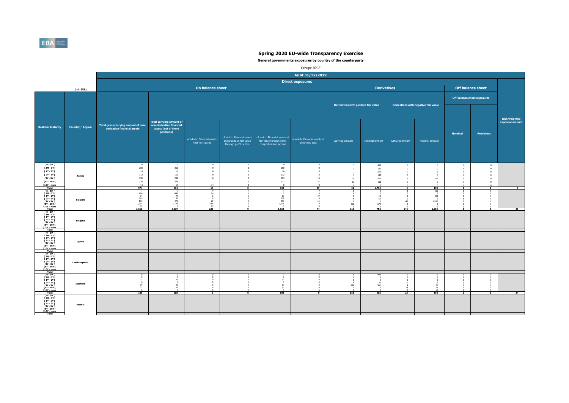

|                                                                                                                                     |                         |                                                                    |                                                                                            |                                                |                                                    |                                                                                                                | Groupe BPCE                                     |                                      |                                                  |                                     |                                      |                                    |                                           |                                  |
|-------------------------------------------------------------------------------------------------------------------------------------|-------------------------|--------------------------------------------------------------------|--------------------------------------------------------------------------------------------|------------------------------------------------|----------------------------------------------------|----------------------------------------------------------------------------------------------------------------|-------------------------------------------------|--------------------------------------|--------------------------------------------------|-------------------------------------|--------------------------------------|------------------------------------|-------------------------------------------|----------------------------------|
|                                                                                                                                     |                         |                                                                    |                                                                                            |                                                |                                                    |                                                                                                                | As of 31/12/2019                                |                                      |                                                  |                                     |                                      |                                    |                                           |                                  |
|                                                                                                                                     |                         |                                                                    |                                                                                            |                                                |                                                    |                                                                                                                | <b>Direct exposures</b>                         |                                      |                                                  |                                     |                                      |                                    |                                           |                                  |
|                                                                                                                                     | (mln EUR)               |                                                                    |                                                                                            | On balance sheet                               |                                                    |                                                                                                                |                                                 |                                      | <b>Derivatives</b>                               |                                     |                                      |                                    | <b>Off balance sheet</b>                  |                                  |
|                                                                                                                                     |                         |                                                                    |                                                                                            |                                                |                                                    |                                                                                                                |                                                 |                                      |                                                  |                                     |                                      |                                    | <b>Off-balance sheet exposures</b>        |                                  |
|                                                                                                                                     |                         |                                                                    |                                                                                            |                                                |                                                    |                                                                                                                |                                                 | Derivatives with positive fair value |                                                  |                                     | Derivatives with negative fair value |                                    |                                           |                                  |
|                                                                                                                                     |                         |                                                                    |                                                                                            |                                                |                                                    |                                                                                                                |                                                 |                                      |                                                  |                                     |                                      |                                    |                                           |                                  |
| <b>Residual Maturity</b>                                                                                                            | <b>Country / Region</b> | Total gross carrying amount of non-<br>derivative financial assets | Total carrying amount of<br>non-derivative financial<br>assets (net of short<br>positions) | of which: Financial assets<br>held for trading | designated at fair value<br>through profit or loss | of which: Financial assets   of which: Financial assets at<br>fair value through other<br>comprehensive income | of which: Financial assets at<br>amortised cost | Carrying amount                      | Notional amount                                  | Carrying amount                     | Notional amount                      | <b>Nominal</b>                     | Provisions                                | Risk weighted<br>exposure amount |
|                                                                                                                                     |                         |                                                                    |                                                                                            |                                                |                                                    |                                                                                                                |                                                 |                                      |                                                  |                                     |                                      |                                    |                                           |                                  |
| [ 0 - 3M [<br>[3M-1Y]<br>$[1Y - 2Y]$                                                                                                |                         | $\Omega$<br>260<br>16                                              | $\sqrt{2}$<br>260<br>16                                                                    | $\Omega$<br>$\circ$<br>$\Omega$                | $\Omega$<br>$\overline{0}$<br>$\overline{0}$       | $\sqrt{2}$<br>260<br>$16\,$                                                                                    | n<br>$\circ$<br>$\circ$                         | 5<br>1<br>$\overline{2}$             | 450<br>150<br>230                                | $\mathbf{0}$<br>$\circ$<br>$\Omega$ | $\,$ 0<br>$\,$ 0<br>$\circ$          | $\,$ 0<br>$\mathbf{0}$<br>$\theta$ | $\mathbf{0}$<br>$\overline{0}$<br>$\circ$ |                                  |
| [ 2Y - 3Y [<br>[3Y - 5Y [                                                                                                           | Austria                 | 112<br>239                                                         | 112<br>239                                                                                 | $\circ$<br>$\circ$                             | $\overline{0}$<br>$\overline{0}$                   | 112<br>223                                                                                                     | $^{\circ}$<br>$16\,$                            | 5<br>38                              | 183<br>609                                       |                                     | $\circ$<br>175                       | $\Omega$                           | $\Omega$<br>$\Omega$                      |                                  |
| [5Y - 10Y [<br>[10Y - more<br>Total                                                                                                 |                         | 334<br>14<br>974                                                   | 334<br>14<br>974                                                                           | $\mathbf{1}$<br>14<br>14                       | $\overline{0}$<br>$\Omega$<br>$\overline{0}$       | 312<br>$\sqrt{2}$<br>923                                                                                       | 21<br>$\circ$<br>37                             | $12\,$<br>62                         | 150<br>1,772                                     | $\Omega$<br>$\overline{a}$          | $\Omega$<br>175                      | $\mathbf{a}$<br>$\overline{0}$     | $\overline{0}$<br>$\overline{\bullet}$    | $\overline{\bullet}$             |
| $[0 - 3M]$<br>$I 3M - 1YI$<br><b>F 1Y - 2Y F</b>                                                                                    |                         | -3<br>466<br>74                                                    | 442                                                                                        | $\overline{ }$<br>24<br>$\overline{0}$         |                                                    | $\overline{0}$<br>$\Omega$<br>27                                                                               | $\overline{0}$<br>10<br>47                      | $\overline{0}$<br>$\mathbf{0}$       | $\overline{\phantom{a}}$<br>$\overline{0}$<br>18 |                                     | 156<br>$\overline{0}$<br>100         | $\overline{0}$                     | $\overline{0}$                            |                                  |
| <b>F2Y - 3Y F</b><br>[3Y - 5Y [<br><b>ISY - 10Y I</b>                                                                               | Belgium                 | 143<br>513<br>1,391                                                | $\frac{74}{133}$<br>476<br>1,193                                                           | $\overline{0}$<br>29<br>166                    |                                                    | 137<br>473<br>1,225                                                                                            | 6<br>11<br>$^{\circ}$                           | 8<br>$^{\circ}$<br>202               | 55<br>$\overline{0}$<br>679                      | 143                                 | $\Omega$<br>1,030<br>$\Omega$        | $\Omega$                           | $\Omega$                                  |                                  |
| [10Y - more<br>Total<br>T0-3MT                                                                                                      |                         | 2,611                                                              | 2,319                                                                                      | 239                                            | $\Omega$                                           | 1,863                                                                                                          | 74                                              | 210                                  | 752                                              | 146                                 | 1,286                                | $\mathbf{R}$                       | $\bullet$                                 | 26                               |
| $I 3M - 1YI$<br>$[1Y - 2Y]$<br><b>F2Y-3YF</b><br>[3Y - 5Y I]<br><b>FSY - 10Y F</b><br>[10Y - more<br>Total                          | Bulgaria                |                                                                    |                                                                                            |                                                |                                                    |                                                                                                                |                                                 |                                      |                                                  |                                     |                                      |                                    |                                           |                                  |
| $10 - 3M$<br>$\begin{array}{c} 13M - 1YI \\ 1Y - 2YI \end{array}$<br>[ 2Y - 3Y [<br>[3Y - 5Y  <br><b>FSY - 10Y F</b><br>[10Y - more | Cyprus                  |                                                                    |                                                                                            |                                                |                                                    |                                                                                                                |                                                 |                                      |                                                  |                                     |                                      |                                    |                                           |                                  |
| Total<br>$10 - 3M$<br>$[3M-1Y]$<br><b>F 1Y - 2Y F</b><br><b>F2Y - 3Y F</b><br>[3Y - 5Y I]<br><b>FSY - 10Y F</b><br>[10Y - more      | <b>Czech Republic</b>   |                                                                    |                                                                                            |                                                |                                                    |                                                                                                                |                                                 |                                      |                                                  |                                     |                                      |                                    |                                           |                                  |
| Total<br>$10 - 3M1$<br>[ 3M - 1Y I<br>[ 1Y - 2Y [                                                                                   |                         | 32                                                                 | 32                                                                                         |                                                |                                                    | 32                                                                                                             |                                                 | $\Omega$                             | $^{404}_{0}$<br>$\Omega$                         |                                     |                                      |                                    |                                           |                                  |
| <b>F2Y-3YF</b><br>[3Y - 5Y  <br><b>FSY - 10Y F</b><br>[10Y - more                                                                   | <b>Denmark</b>          | $\Omega$<br>39<br>37<br>$\Omega$                                   | $\sqrt{2}$<br>39<br>37<br>$\sqrt{2}$                                                       |                                                |                                                    | $\Omega$<br>39<br>37<br>$\Omega$                                                                               |                                                 | 148                                  | 33<br>561                                        | 18                                  | 20<br>59                             |                                    |                                           |                                  |
| Total<br>$[0 - 3M]$<br>$I 3M - 1YI$<br><b>F 1Y - 2Y F</b><br><b>F2Y-3YF</b><br>[3Y - 5Y [<br><b>ISY - 10Y I</b><br>[10Y - more      | Estonia                 | 108                                                                | 108                                                                                        | $\overline{0}$                                 | $\overline{\phantom{a}}$                           | 108                                                                                                            | $\overline{\bullet}$                            | 156                                  | 998                                              | 23                                  | 103                                  | $\overline{\mathbf{0}}$            | $\overline{0}$                            | 24                               |
| Total                                                                                                                               |                         |                                                                    |                                                                                            |                                                |                                                    |                                                                                                                |                                                 |                                      |                                                  |                                     |                                      |                                    |                                           |                                  |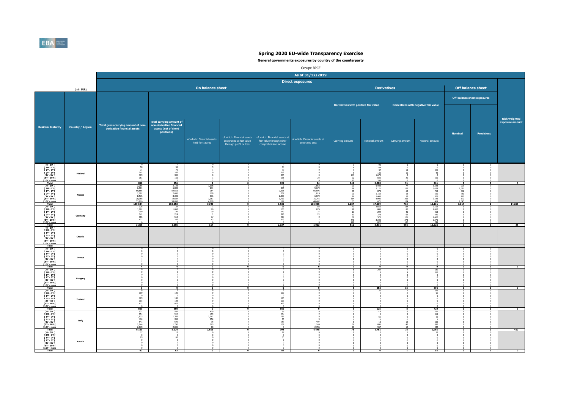

|                                                                                                                                                                                        |                         |                                                                                 |                                                                                                   |                                                               |                                                    |                                                                                                                | Groupe BPCE                                                               |                                                                |                                                                            |                                                                                      |                                                                      |                                                                          |                             |                                  |
|----------------------------------------------------------------------------------------------------------------------------------------------------------------------------------------|-------------------------|---------------------------------------------------------------------------------|---------------------------------------------------------------------------------------------------|---------------------------------------------------------------|----------------------------------------------------|----------------------------------------------------------------------------------------------------------------|---------------------------------------------------------------------------|----------------------------------------------------------------|----------------------------------------------------------------------------|--------------------------------------------------------------------------------------|----------------------------------------------------------------------|--------------------------------------------------------------------------|-----------------------------|----------------------------------|
|                                                                                                                                                                                        |                         |                                                                                 |                                                                                                   |                                                               |                                                    |                                                                                                                | As of 31/12/2019                                                          |                                                                |                                                                            |                                                                                      |                                                                      |                                                                          |                             |                                  |
|                                                                                                                                                                                        |                         |                                                                                 |                                                                                                   |                                                               |                                                    |                                                                                                                | <b>Direct exposures</b>                                                   |                                                                |                                                                            |                                                                                      |                                                                      |                                                                          |                             |                                  |
|                                                                                                                                                                                        | (mln EUR)               |                                                                                 |                                                                                                   | On balance sheet                                              |                                                    |                                                                                                                |                                                                           |                                                                | <b>Derivatives</b>                                                         |                                                                                      |                                                                      |                                                                          | <b>Off balance sheet</b>    |                                  |
|                                                                                                                                                                                        |                         |                                                                                 |                                                                                                   |                                                               |                                                    |                                                                                                                |                                                                           |                                                                |                                                                            |                                                                                      |                                                                      |                                                                          | Off-balance sheet exposures |                                  |
|                                                                                                                                                                                        |                         |                                                                                 |                                                                                                   |                                                               |                                                    |                                                                                                                |                                                                           | Derivatives with positive fair value                           |                                                                            |                                                                                      | Derivatives with negative fair value                                 |                                                                          |                             |                                  |
| <b>Residual Maturity</b>                                                                                                                                                               | <b>Country / Region</b> | Total gross carrying amount of non-<br>derivative financial assets              | <b>Total carrying amount of</b><br>non-derivative financial<br>assets (net of short<br>positions) | of which: Financial assets<br>held for trading                | designated at fair value<br>through profit or loss | of which: Financial assets   of which: Financial assets at<br>fair value through other<br>comprehensive income | of which: Financial assets at<br>amortised cost                           | Carrying amount                                                | Notional amount                                                            | Carrying amount                                                                      | Notional amount                                                      | <b>Nominal</b>                                                           | <b>Provisions</b>           | Risk weighted<br>exposure amount |
| T0-3M<br>13M - 1Y F<br>$[1Y - 2Y]$<br>[ 2Y - 3Y I<br>[3Y - 5Y  <br><b>FSY - 10Y F</b><br>[10Y - more<br>Total                                                                          | Finland                 | 58<br>71<br>$\begin{array}{r} 262 \\ 305 \\ 161 \end{array}$<br>858             | $\frac{58}{71}$<br>$\frac{262}{305}$<br>161<br>856                                                | $\overline{\phantom{0}}$                                      |                                                    | 53<br>70<br>262<br>305<br>136<br>825                                                                           | 24<br>24                                                                  | 167<br>92<br>349                                               | $\frac{90}{234}$<br>$\frac{135}{1.670}$<br>835<br>$\frac{288}{3,288}$      | 19<br>11<br>$21\,$<br>$\overline{51}$                                                | 205<br>46<br>$\Omega$<br>110<br>361                                  | $\overline{\phantom{a}}$                                                 |                             |                                  |
| $10 - 3M1$<br>[3M-1Y]<br>$\begin{array}{c} 111 \overline{111} - 211 \\ 121 \overline{111} \\ 121 \overline{111} \end{array}$<br>[3Y - 5Y  <br><b>FSY - 10Y F</b><br><b>F10Y</b> - more | France                  | 3,265<br>6,901<br>59,885<br>2,792<br>8,576<br>20,388<br>53,826<br>155,634       | 3,143<br>6,832<br>59,656<br>2,656<br>8,302<br>19,604<br>53,058<br>153,253                         | 1,398<br>231<br>264<br>178<br>316<br>1,061<br>4,278<br>7,726  |                                                    | $\overline{0}$<br>$\frac{535}{2,318}$<br>$2,090$<br>$3,713$<br>122<br>9,535                                    | 1,852<br>5,674<br>56,895<br>1,819<br>6,072<br>15,241<br>48,482<br>136,035 | $\frac{93}{28}$<br>59<br>93<br>96<br>854<br>$\frac{65}{1,287}$ | 6.443<br>2.121<br>$878$<br>1.160<br>1.465<br>4.900<br>$\frac{671}{17,639}$ | $\frac{77}{122}$<br>$^{60}_{15}$<br>$\frac{53}{262}$<br>$\frac{124}{715}$            | 6.323<br>5.678<br>759<br>550<br>205<br>2.146<br>$\frac{469}{16,131}$ | 909<br>2.621<br>592<br>763<br>$\frac{212}{572}$<br>$\frac{1.645}{7,314}$ |                             | 14,256                           |
| T 0 - 3M I<br>[3M-1Y]<br><b>F 1Y - 2Y F</b><br>[ 2Y - 3Y I<br>[3Y - 5Y  <br>[5Y - 10Y [<br>[10Y - more<br>Total                                                                        | Germany                 | 126<br>1,082<br>290<br>341<br>986<br>427<br>-6<br>3,258                         | 124<br>1,067<br>$\begin{array}{r} 141 \\ 219 \\ 513 \\ 232 \end{array}$<br>2.295                  | 20<br>29<br>$\frac{17}{43}$<br>117                            |                                                    | دد<br>100<br>240<br>320<br>969<br>373<br>$\Omega$<br>2.037                                                     | 876<br>21<br>21<br>$\Omega$<br>11<br>$^{\circ}$<br>1.013                  | $^{71}_{19}$<br>$\frac{11}{13}$<br>30<br>470<br>199<br>812     | 2.656<br>805<br>$\frac{294}{378}$<br>570<br>3,340<br>827<br>8.871          | $\begin{array}{c} 134 \\ 87 \end{array}$<br>$^{46}_{62}$<br>171<br>278<br>187<br>966 | 2.552<br>2,860<br>968<br>420<br>1.407<br>2,270<br>749<br>11,226      | $\overline{a}$                                                           |                             | 26                               |
| T 0 - 3M I<br>[3M-1Y]<br>[1Y-2Y]<br>[ 2Y - 3Y [<br>[3Y - 5Y  <br><b>FSY - 10Y F</b><br><b>F10Y</b> - more                                                                              | Croatia                 |                                                                                 |                                                                                                   |                                                               |                                                    |                                                                                                                |                                                                           |                                                                |                                                                            |                                                                                      |                                                                      |                                                                          |                             |                                  |
| [ 0 - 3M [<br>[ 3M - 1Y [<br><b>F1Y-2YF</b><br>[ 2Y - 3Y I<br>[3Y - 5Y [<br><b>FSY - 10Y F</b><br><b>F10Y</b> - more                                                                   | Greece                  | $\overline{A}$                                                                  |                                                                                                   |                                                               |                                                    | $\overline{ }$                                                                                                 |                                                                           |                                                                | $\overline{\bullet}$                                                       |                                                                                      |                                                                      |                                                                          |                             |                                  |
| T 0 - 3M I<br>[3M-1Y]<br><b>F 1Y - 2Y F</b><br>[ 2Y - 3Y I<br><b>13Y - 5Y I</b><br>15Y - 10Y I<br><b>T10Y</b> - more<br>Total                                                          | Hungary                 | $\overline{0}$                                                                  |                                                                                                   |                                                               |                                                    | $\sqrt{2}$                                                                                                     | $\mathbf{a}$                                                              |                                                                | $\frac{244}{8}$<br>252                                                     | 16                                                                                   | 539<br>357<br>896                                                    |                                                                          |                             |                                  |
| $10 - 3M1$<br>[3M-1Y]<br>$11Y - 2YI$<br>[ 2Y - 3Y [<br>[3Y - 5Y  <br>[5Y - 10Y  <br><b>F10Y</b> - more                                                                                 | Ireland                 | $\Omega$<br>100<br>$\begin{array}{c} 0 \\ 185 \\ 103 \\ 472 \end{array}$<br>860 | 100<br>$\begin{array}{c} 0 \\ 185 \\ 103 \\ 472 \end{array}$<br>860                               |                                                               |                                                    | $\Omega$<br>100<br>$\begin{array}{c} 0 \\ 185 \\ 103 \end{array}$<br>472<br>860                                |                                                                           |                                                                | 125<br>$\sqrt{2}$<br>125                                                   |                                                                                      | 625<br>95<br>720                                                     |                                                                          |                             |                                  |
| $I$ 0 - 3M $I$<br>[3M-1Y]<br>$11Y - 2YI$<br><b>F2Y - 3Y F</b><br>[3Y - 5Y F<br>$[5Y - 10Y]$<br>[10Y - more<br>Total                                                                    | Italy                   | 537<br>653<br>1,933<br>$\frac{412}{643}$<br>2,044<br>2,878<br>9,101             | 53<br>653<br>1,352<br>355<br>591<br>1,790<br>2.846<br>8,124                                       | 479<br>$\frac{288}{1,741}$<br>352<br>38<br>565<br>88<br>3,551 | $\Omega$                                           | 56<br>357<br>$192$<br>$\frac{55}{183}$<br>151<br>994                                                           | 407<br>1,249<br>2,786<br>4,448                                            | 56<br>78                                                       | $_{\rm 218}^{\rm 218}$<br>51<br>$\frac{13}{18}$<br>895<br>557<br>1,751     | 15<br>$\overline{42}$<br>78                                                          | 751<br>269<br>10<br>$\frac{695}{897}$<br>342<br>2,965                | $\Omega$                                                                 | $\Omega$                    | 410                              |
| $[0 - 3M]$<br>$13M - 1YI$<br>[ 1Y - 2Y [<br><b>F2Y - 3Y F</b><br><b>13Y - 5Y F</b><br><b>FSY - 10Y F</b><br>[10Y - more<br>Total                                                       | Latvia                  | 65                                                                              | 65<br>$\overline{82}$                                                                             |                                                               |                                                    | $\theta$<br>65<br>82                                                                                           |                                                                           |                                                                |                                                                            |                                                                                      |                                                                      |                                                                          |                             |                                  |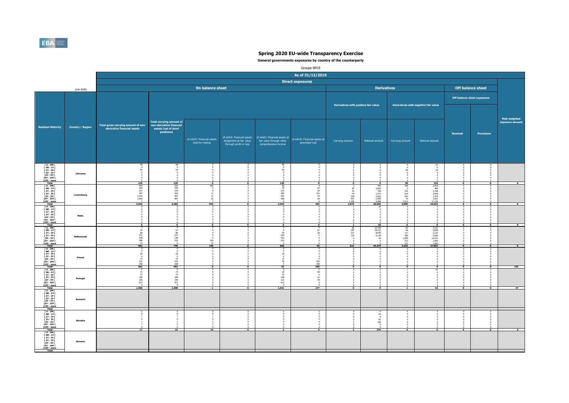

|                                                                                 |                         | Groupe BPCE                                                                                                       |                                                  |                                                |                                        |                                                                                        |                                                 |                                      |                                                   |                                                                                 |                                           |                                  |                             |                                         |  |
|---------------------------------------------------------------------------------|-------------------------|-------------------------------------------------------------------------------------------------------------------|--------------------------------------------------|------------------------------------------------|----------------------------------------|----------------------------------------------------------------------------------------|-------------------------------------------------|--------------------------------------|---------------------------------------------------|---------------------------------------------------------------------------------|-------------------------------------------|----------------------------------|-----------------------------|-----------------------------------------|--|
|                                                                                 |                         | As of 31/12/2019<br><b>Direct exposures</b><br>On balance sheet<br><b>Derivatives</b><br><b>Off balance sheet</b> |                                                  |                                                |                                        |                                                                                        |                                                 |                                      |                                                   |                                                                                 |                                           |                                  |                             |                                         |  |
|                                                                                 |                         |                                                                                                                   |                                                  |                                                |                                        |                                                                                        |                                                 |                                      |                                                   |                                                                                 |                                           |                                  |                             |                                         |  |
|                                                                                 | (mln EUR)               |                                                                                                                   |                                                  |                                                |                                        |                                                                                        |                                                 |                                      |                                                   |                                                                                 |                                           |                                  |                             |                                         |  |
|                                                                                 |                         |                                                                                                                   |                                                  |                                                |                                        |                                                                                        |                                                 |                                      |                                                   |                                                                                 |                                           |                                  | Off-balance sheet exposures |                                         |  |
|                                                                                 |                         |                                                                                                                   |                                                  |                                                |                                        |                                                                                        |                                                 | Derivatives with positive fair value |                                                   |                                                                                 | Derivatives with negative fair value      |                                  |                             |                                         |  |
|                                                                                 |                         |                                                                                                                   |                                                  |                                                |                                        |                                                                                        |                                                 |                                      |                                                   |                                                                                 |                                           |                                  |                             |                                         |  |
|                                                                                 |                         |                                                                                                                   | <b>Total carrying amount of</b>                  |                                                |                                        |                                                                                        |                                                 |                                      |                                                   |                                                                                 |                                           |                                  |                             | <b>Risk weighted</b><br>exposure amount |  |
| <b>Residual Maturity</b>                                                        | <b>Country / Region</b> | Total gross carrying amount of non-<br>derivative financial assets                                                | non-derivative financial<br>assets (net of short |                                                |                                        |                                                                                        |                                                 |                                      |                                                   |                                                                                 |                                           |                                  |                             |                                         |  |
|                                                                                 |                         |                                                                                                                   | positions)                                       |                                                |                                        |                                                                                        |                                                 |                                      |                                                   |                                                                                 |                                           | <b>Nominal</b>                   | Provisions                  |                                         |  |
|                                                                                 |                         |                                                                                                                   |                                                  | of which: Financial assets<br>held for trading | designated at fair value               | of which: Financial assets   of which: Financial assets at<br>fair value through other | of which: Financial assets at<br>amortised cost | Carrying amount                      | Notional amount                                   | Carrying amount                                                                 | Notional amount                           |                                  |                             |                                         |  |
|                                                                                 |                         |                                                                                                                   |                                                  |                                                | through profit or loss                 | comprehensive income                                                                   |                                                 |                                      |                                                   |                                                                                 |                                           |                                  |                             |                                         |  |
|                                                                                 |                         |                                                                                                                   |                                                  |                                                |                                        |                                                                                        |                                                 |                                      |                                                   |                                                                                 |                                           |                                  |                             |                                         |  |
| $I$ 0 - 3M $I$                                                                  |                         |                                                                                                                   |                                                  |                                                |                                        |                                                                                        |                                                 |                                      |                                                   |                                                                                 |                                           |                                  |                             |                                         |  |
| $13M - 1YI$<br>[ 1Y - 2Y [                                                      |                         | $66$ 0<br>54                                                                                                      | 54                                               |                                                |                                        | 66n<br>54<br>$\Omega$                                                                  |                                                 |                                      |                                                   | $\frac{0}{0}$<br>58                                                             | $^{91}_{\hphantom{1}0}$<br>52             |                                  |                             |                                         |  |
| [ 2Y - 3Y ]<br>[ 3Y - 5Y ]<br><b>FSY - 10Y F</b>                                | Lithuania               |                                                                                                                   |                                                  |                                                |                                        |                                                                                        |                                                 |                                      |                                                   |                                                                                 |                                           |                                  |                             |                                         |  |
| [10Y - more<br>Total<br>T 0 - 3M F                                              |                         | 120                                                                                                               | 120                                              | $\overline{\phantom{a}}$                       | $\overline{\phantom{a}}$<br>$^{\circ}$ | 120                                                                                    | $\overline{\ }$<br>$^{\circ}$                   | $\Omega$<br>$\mathbf{q}$             | $\overline{\phantom{a}}$                          | 58<br>188                                                                       | 143                                       | $\overline{\bullet}$<br>$\Omega$ | $\bullet$                   | $\bullet$                               |  |
| 13M-1YT<br>[2Y-3Y]                                                              |                         | 554<br>330<br>237<br>397                                                                                          | 536<br>330<br>234<br>392                         | $^{465}_{\qquad 0}$<br>$\sqrt{2}$              |                                        | 89<br>34<br>210<br>285                                                                 | 61<br>26<br>101                                 | 65<br>53<br>76                       | 784<br>2.062<br>$738$<br>1.473                    | $\frac{332}{215}$                                                               | 2.919<br>484<br>2.768<br>3.949            |                                  |                             |                                         |  |
| [3Y - 5Y F<br><b>FSY - 10Y F</b>                                                | Luxembourg              | 1,016<br>1,000                                                                                                    | 997<br>987                                       | $\frac{11}{17}$<br>${\sf 52}$                  |                                        | 925<br>908                                                                             | 74<br>39                                        | 138<br>451<br>1.182                  | 2.603<br>2.996                                    | 267<br>70                                                                       | 1.475<br>1.921                            |                                  |                             |                                         |  |
| <b>F10Y</b> - more<br>$10 - 3M$                                                 |                         | 3,543                                                                                                             | 3,483                                            | 553                                            | $\Omega$                               | 2,453                                                                                  | 302                                             | 1,974<br>-1                          | $\frac{9.389}{20,045}$<br>$^{20}_{\hphantom{0}0}$ | $\frac{2.613}{3,689}$<br>$^{\circ}$                                             | $\frac{11.126}{24,642}$<br>$^{\circ}$     | n                                |                             |                                         |  |
| [ 3M - 1Y [<br>$\Gamma$ 1Y - 2Y $\Gamma$<br>[2Y-3Y]                             | Malta                   |                                                                                                                   |                                                  | $\Omega$                                       |                                        |                                                                                        |                                                 |                                      |                                                   |                                                                                 |                                           |                                  |                             |                                         |  |
| $13Y - SYI$<br>[5Y - 10Y [<br>[10Y - more                                       |                         |                                                                                                                   |                                                  |                                                |                                        |                                                                                        |                                                 |                                      |                                                   |                                                                                 |                                           |                                  |                             |                                         |  |
| Total<br>$I$ 0 - 3M $I$                                                         |                         | $\bullet$<br>76                                                                                                   | $\bullet$<br>67                                  | $\bullet$                                      | $\bullet$                              | $\bullet$<br>$\theta$                                                                  | $\mathbf 0$<br>67                               |                                      | 20<br>12.538<br>18.122                            | $\overline{\phantom{a}}$<br>63                                                  | $\bullet$                                 | $\Omega$                         | $\Omega$                    | $\sim$                                  |  |
| $\begin{array}{c} 13M - 1YI \\ 11Y - 2YI \end{array}$<br>$[2Y-3Y]$              | <b>Netherlands</b>      | 80<br>$\begin{array}{c} 231 \\ 168 \end{array}$                                                                   | 80                                               | $\Omega$                                       |                                        | 54<br>226                                                                              | 26                                              | 85<br>187<br>227<br>122              | $8.549$<br>$5,138$                                | $\begin{array}{r} 66 \\ 66 \\ 117 \\ 386 \\ 1.085 \\ 313 \\ \ldots \end{array}$ | 2.197<br>3.818<br>2.132<br>5,664          |                                  |                             |                                         |  |
| <b>T3Y - 5Y F</b><br><b>FSY - 10Y F</b>                                         |                         | 388<br>15                                                                                                         | $\begin{array}{r} 221 \\ 138 \\ 233 \end{array}$ | $\frac{165}{15}$                               |                                        | $163\,$<br>223                                                                         |                                                 |                                      | 32                                                | $\frac{313}{2,343}$                                                             | 12.012<br>1.065<br>$\frac{1.065}{27,953}$ |                                  |                             |                                         |  |
| <b>F10Y</b> - more<br>$[0-3M]$<br>[3M-1Y]                                       |                         | 962<br>$\overline{0}$                                                                                             | 746<br>$\mathbf{u}$                              | 199<br>$\Omega$                                | $\overline{0}$                         | 666<br>$\Omega$                                                                        | 93                                              | 621                                  | 44,379                                            |                                                                                 |                                           |                                  |                             | $\overline{\bullet}$                    |  |
| $\begin{array}{c} 111 - 211 \\ 121 - 311 \\ 121 - 311 \end{array}$<br>[3Y - 5Y] | Poland                  | 20<br>$\overline{0}$<br>12                                                                                        | 20<br>12                                         |                                                |                                        | 20<br>$\overline{0}$<br>12                                                             | $\Omega$                                        |                                      |                                                   |                                                                                 |                                           |                                  |                             |                                         |  |
| <b>FSY - 10Y F</b><br><b>F10Y</b> - more                                        |                         | 232<br>298<br>562                                                                                                 | $\frac{232}{298}$<br>562                         |                                                |                                        | $\frac{30}{0}$<br>62                                                                   | 202<br>298<br>500                               |                                      |                                                   |                                                                                 |                                           |                                  |                             | 103                                     |  |
| T 0 - 3M F<br>[ 3M - 1Y [                                                       |                         | 73<br>73                                                                                                          | 73<br>73                                         |                                                |                                        | 16<br>73                                                                               | 58<br>$\Omega$                                  |                                      |                                                   |                                                                                 | 43                                        |                                  |                             |                                         |  |
| $\begin{array}{c} 111 - 211 \\ 121 - 311 \end{array}$<br>[3Y - 5Y               | Portugal                | 189<br>199<br>973                                                                                                 | 189<br>199<br>973                                |                                                |                                        | 148<br>$\frac{121}{973}$                                                               | 41<br>78                                        |                                      |                                                   |                                                                                 |                                           |                                  |                             |                                         |  |
| <b>FSY - 10Y F</b><br><b>10Y</b> - more<br>Total                                |                         | 1,508                                                                                                             | 1,508                                            |                                                |                                        | 1,331                                                                                  | 177                                             |                                      | P                                                 |                                                                                 | 43                                        | $\overline{ }$                   |                             | 57                                      |  |
| $10 - 3M1$<br>[ 3M - 1Y  <br>[ 1Y - 2Y                                          |                         |                                                                                                                   |                                                  |                                                |                                        |                                                                                        |                                                 |                                      |                                                   |                                                                                 |                                           |                                  |                             |                                         |  |
| [ 2Y - 3Y [<br>[3Y - 5Y  <br><b>FSY - 10Y F</b>                                 | Romania                 |                                                                                                                   |                                                  |                                                |                                        |                                                                                        |                                                 |                                      |                                                   |                                                                                 |                                           |                                  |                             |                                         |  |
| [10Y - more<br>Total                                                            |                         |                                                                                                                   |                                                  |                                                |                                        |                                                                                        |                                                 |                                      |                                                   |                                                                                 |                                           |                                  |                             |                                         |  |
| T 0 - 3M T<br>$I 3M - 1YI$<br>$11Y - 2YI$                                       |                         |                                                                                                                   |                                                  |                                                |                                        |                                                                                        |                                                 |                                      | $\frac{6}{54}$<br>$\overline{\phantom{0}}$        |                                                                                 |                                           |                                  |                             |                                         |  |
| <b>F2Y - 3Y F</b><br>[3Y - 5Y I]<br>[5Y - 10Y [                                 | Slovakia                |                                                                                                                   |                                                  |                                                |                                        |                                                                                        |                                                 |                                      | 62<br>160                                         |                                                                                 |                                           |                                  |                             |                                         |  |
| [10Y - more<br>Total<br>[0-3M]                                                  |                         | 17                                                                                                                | 15                                               | 15                                             | $\bullet$                              | $\overline{2}$                                                                         | $\bullet$                                       |                                      | 276                                               | $\bullet$                                                                       | $\bullet$                                 | $\bullet$                        | $\bullet$                   | $\bullet$                               |  |
| $13M - 1Y$<br>$[1Y - 2Y]$<br><b>F2Y - 3Y F</b>                                  |                         |                                                                                                                   |                                                  |                                                |                                        |                                                                                        |                                                 |                                      |                                                   |                                                                                 |                                           |                                  |                             |                                         |  |
| <b>E3Y - 5Y F</b><br><b>FSY - 10Y F</b>                                         | Slovenia                |                                                                                                                   |                                                  |                                                |                                        |                                                                                        |                                                 |                                      |                                                   |                                                                                 |                                           |                                  |                             |                                         |  |
| $[10Y - more]$<br>Total                                                         |                         |                                                                                                                   |                                                  |                                                |                                        |                                                                                        |                                                 |                                      |                                                   |                                                                                 |                                           |                                  |                             |                                         |  |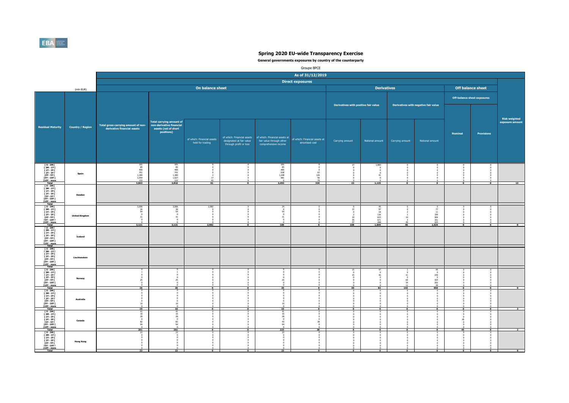

|                                                                                                                                                                               |                         |                                                                                             |                                                                                                   |                                                |                                                                                  |                                                                                            | Groupe BPCE                                     |                                                                                  |                                                                                               |                                                |                                                                               |                                                                          |                                  |                                  |  |
|-------------------------------------------------------------------------------------------------------------------------------------------------------------------------------|-------------------------|---------------------------------------------------------------------------------------------|---------------------------------------------------------------------------------------------------|------------------------------------------------|----------------------------------------------------------------------------------|--------------------------------------------------------------------------------------------|-------------------------------------------------|----------------------------------------------------------------------------------|-----------------------------------------------------------------------------------------------|------------------------------------------------|-------------------------------------------------------------------------------|--------------------------------------------------------------------------|----------------------------------|----------------------------------|--|
|                                                                                                                                                                               |                         | As of 31/12/2019<br><b>Direct exposures</b>                                                 |                                                                                                   |                                                |                                                                                  |                                                                                            |                                                 |                                                                                  |                                                                                               |                                                |                                                                               |                                                                          |                                  |                                  |  |
|                                                                                                                                                                               |                         |                                                                                             |                                                                                                   |                                                |                                                                                  |                                                                                            |                                                 |                                                                                  |                                                                                               |                                                |                                                                               |                                                                          |                                  |                                  |  |
|                                                                                                                                                                               | (mln EUR)               |                                                                                             |                                                                                                   | On balance sheet                               |                                                                                  |                                                                                            |                                                 |                                                                                  | <b>Derivatives</b>                                                                            |                                                |                                                                               |                                                                          | <b>Off balance sheet</b>         |                                  |  |
|                                                                                                                                                                               |                         |                                                                                             |                                                                                                   |                                                |                                                                                  |                                                                                            |                                                 |                                                                                  |                                                                                               |                                                | Off-balance sheet exposures                                                   |                                                                          |                                  |                                  |  |
|                                                                                                                                                                               |                         | Total gross carrying amount of non-<br>derivative financial assets                          |                                                                                                   |                                                |                                                                                  |                                                                                            |                                                 | Derivatives with positive fair value                                             |                                                                                               | Derivatives with negative fair value           |                                                                               |                                                                          |                                  |                                  |  |
| <b>Residual Maturity</b>                                                                                                                                                      | <b>Country / Region</b> |                                                                                             | <b>Total carrying amount of</b><br>non-derivative financial<br>assets (net of short<br>positions) | of which: Financial assets<br>held for trading | of which: Financial assets<br>designated at fair value<br>through profit or loss | of which: Financial assets at<br>fair value through other<br>comprehensive income          | of which: Financial assets at<br>amortised cost | Carrying amount                                                                  | Notional amount                                                                               | Carrying amount                                | Notional amount                                                               | <b>Nominal</b>                                                           | Provisions                       | Risk weighted<br>exposure amount |  |
| ГО-ЗМГ<br>ГЗМ-1ҮГ<br>[ 1Y - 2Y [<br><b>F2Y - 3Y F</b><br>[3Y - 5Y [<br><b>FSY - 10Y F</b><br>[10Y - more<br>Total                                                             | Spain                   | $\begin{array}{r} 101 \\ 85 \\ 400 \\ 701 \\ 1,380 \\ 1,054 \\ 122 \\ \end{array}$<br>3,843 | $\begin{array}{r} 101 \\ 85 \\ 400 \\ 701 \\ 1,380 \\ 1,027 \\ 122 \end{array}$<br>3,816          | $\frac{17}{43}$<br>61                          | $\overline{\phantom{a}}$                                                         | $\begin{array}{c} 101 \\ 85 \end{array}$<br>400<br>638<br>1,248<br>981<br>$\circ$<br>3,453 | $\sim$<br>$63$<br>$126$<br>$56$<br>$79$<br>324  | 17<br>23                                                                         | 1.083<br>$\sqrt{2}$<br>41<br>1,125                                                            | $\Omega$                                       | $\Omega$<br>$\overline{\cdot}$                                                | $\Omega$<br>$\sim$<br>÷                                                  | $\overline{0}$                   | $\overline{13}$                  |  |
| T 0 - 3M F<br>[3M-1Y]<br>[ 2Y - 3Y [<br>[3Y - 5Y  <br><b>FSY - 10Y F</b><br><b>F10Y</b> - more                                                                                | Sweden                  |                                                                                             |                                                                                                   |                                                |                                                                                  |                                                                                            |                                                 |                                                                                  |                                                                                               |                                                |                                                                               |                                                                          |                                  |                                  |  |
| $10 - 3M$<br>$[3M - 1Y]$<br><b>F 1Y - 2Y F</b><br>[2Y-3Y]<br>$13Y - SYI$<br>[5Y - 10Y [<br>[10Y - more<br>Total                                                               | <b>United Kingdom</b>   | $\frac{3,006}{30}$<br>54<br>$\overline{0}$<br>31<br>$\mathbf{a}$<br>3.121                   | $3,006$<br>$30$<br>$54$<br>$\overline{0}$<br>31<br>$\mathbf{0}$<br>3.121                          | 2,982<br>$\Omega$<br>2,982                     | $\bullet$                                                                        | $\frac{24}{0}$<br>$^{54}_{\hphantom{1}0}$<br>31<br>$\Omega$<br>109                         | $\overline{\phantom{a}}$                        | $\frac{0}{15}$<br>$\,$ 0<br>$\overline{z}$<br>19<br>35<br>37<br>$\overline{108}$ | $^{45}_{97}$<br>$\begin{array}{c} 18 \\ 136 \\ 615 \end{array}$<br>671<br>$\frac{268}{1.849}$ | 10<br>46                                       | $\frac{0}{77}$<br>$\frac{11}{159}$<br>904<br>151<br>$\frac{223}{1.524}$       | $^{\circ}$<br>$\Omega$<br>$\Omega$<br>$^{\circ}$<br>$\overline{\bullet}$ | $\Omega$<br>$\overline{\bullet}$ |                                  |  |
| $I$ 0 - 3M $I$<br>  3M - 1Y  <br>  1Y - 2Y  <br>  2Y - 3Y  <br><b>13Y - 5Y I</b><br><b>ISY - 10Y F</b><br><b>f10Y</b> - more                                                  | <b>Iceland</b>          |                                                                                             |                                                                                                   |                                                |                                                                                  |                                                                                            |                                                 |                                                                                  |                                                                                               |                                                |                                                                               |                                                                          |                                  |                                  |  |
| $[0-3M]$<br>[ 3M - 1Y  <br>$\begin{array}{c} 111 \overline{11} \\ 121 \overline{11} \\ 131 \overline{1} \end{array}$<br>[3Y - 5Y]<br><b>FSY - 10Y F</b><br><b>f10Y</b> - more | Liechtenstein           |                                                                                             |                                                                                                   |                                                |                                                                                  |                                                                                            |                                                 |                                                                                  |                                                                                               |                                                |                                                                               |                                                                          |                                  |                                  |  |
| T 0 - 3M F<br><b>F3M-1YF</b><br>$\begin{array}{c} 111 - 211 \\ 121 - 311 \end{array}$<br>[3Y - 5Y  <br><b>FSY - 10Y F</b><br>[10Y - more]<br>Total                            | Norway                  | 25<br>26                                                                                    | 25<br>$\Omega$<br>26                                                                              |                                                |                                                                                  | 25<br>$\Omega$<br>25                                                                       |                                                 | $^{15}_{\hphantom{1}0}$<br>$15\,$<br>$\overline{0}$<br>30                        | 47<br>$\Omega$<br>36<br>82                                                                    | $\Omega$<br>31<br>65<br>34<br>$\frac{11}{143}$ | 45<br>$\theta$<br>239<br>$\overline{0}$<br>$^{424}_{202}$<br>$\frac{39}{950}$ | O.                                                                       | $\Omega$<br>᠊ᢆ                   |                                  |  |
| $10 - 3M1$<br>[ 3M - 1Y  <br>[ 1Y - 2Y  <br>[ 2Y - 3Y [<br>$13Y - 5YI$<br>$15Y - 10YI$<br><b>F10Y</b> - more                                                                  | Australia               | $\Omega$<br>10<br>$\overline{a}$<br>10                                                      | $\Omega$<br>$\mathbf{0}$<br>$\Omega$<br>$\overline{0}$<br>10<br>10                                |                                                | $\overline{ }$                                                                   | $\sim$<br>$\Omega$<br>10<br>10                                                             |                                                 |                                                                                  | $\overline{ }$                                                                                |                                                | $\overline{0}$                                                                | $\overline{0}$                                                           | $\overline{\bullet}$             |                                  |  |
| [0-3M]<br>[3M-1Y]<br>$11Y - 2YI$<br><b>F2Y - 3Y F</b><br>[3Y - 5Y  <br>[5Y - 10Y  <br>[10Y - more<br>Total                                                                    | Canada                  | 16<br>28<br>$\sqrt{2}$<br>82<br>94<br>261                                                   | 41<br>16<br>28<br>$\Omega$<br>82<br>94<br>261                                                     | $\Omega$                                       | $\overline{\phantom{a}}$                                                         | 41<br>16<br>$\overline{28}$<br>$\sqrt{2}$<br>43<br>94<br>223                               | 38<br>38                                        | n.<br>$\overline{\phantom{a}}$                                                   | $\overline{\phantom{a}}$                                                                      | $\mathbf{r}$                                   | n.<br>$\bullet$                                                               | $\Omega$<br>$^{\circ}$<br>45<br>$\Omega$<br>45                           | $\sim$<br>$\bullet$              |                                  |  |
| [0-3M]<br>$13M - 1Y$<br>$[1Y - 2Y]$<br><b>F2Y - 3Y F</b><br><b>13Y - 5Y F</b><br><b>FSY - 10Y F</b><br>$[10Y - more]$<br>Total                                                | <b>Hong Kong</b>        | 23                                                                                          | 23                                                                                                | $\Omega$                                       | $\Omega$                                                                         | 23                                                                                         | $\Omega$                                        |                                                                                  | $\Omega$                                                                                      | $\Omega$                                       | $\overline{0}$                                                                | $\overline{0}$                                                           | $^{\circ}$                       | $\overline{0}$                   |  |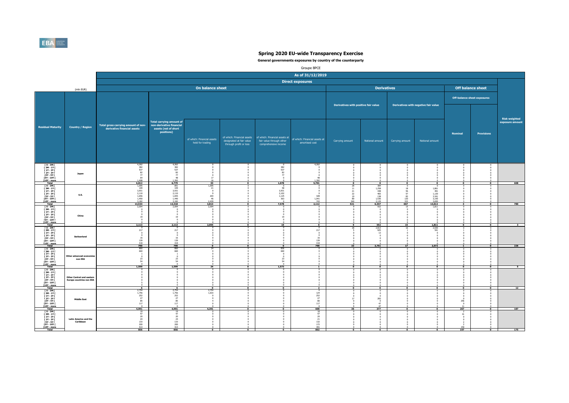

|                                                                                                                           |                                                                     |                                                                    |                                                                                                     |                                                       |                                                        |                                                                 | Groupe BPCE                                                                                                          |                                                       |                                                                                                       |                                                         |                                                                        |                                                                                                 |                          |                                  |
|---------------------------------------------------------------------------------------------------------------------------|---------------------------------------------------------------------|--------------------------------------------------------------------|-----------------------------------------------------------------------------------------------------|-------------------------------------------------------|--------------------------------------------------------|-----------------------------------------------------------------|----------------------------------------------------------------------------------------------------------------------|-------------------------------------------------------|-------------------------------------------------------------------------------------------------------|---------------------------------------------------------|------------------------------------------------------------------------|-------------------------------------------------------------------------------------------------|--------------------------|----------------------------------|
|                                                                                                                           |                                                                     |                                                                    |                                                                                                     |                                                       |                                                        |                                                                 | As of 31/12/2019                                                                                                     |                                                       |                                                                                                       |                                                         |                                                                        |                                                                                                 |                          |                                  |
|                                                                                                                           |                                                                     |                                                                    |                                                                                                     |                                                       |                                                        |                                                                 | <b>Direct exposures</b>                                                                                              |                                                       |                                                                                                       |                                                         |                                                                        |                                                                                                 |                          |                                  |
|                                                                                                                           | (mln EUR)                                                           |                                                                    |                                                                                                     | On balance sheet                                      |                                                        |                                                                 |                                                                                                                      |                                                       | <b>Derivatives</b>                                                                                    |                                                         |                                                                        |                                                                                                 | <b>Off balance sheet</b> |                                  |
|                                                                                                                           |                                                                     |                                                                    |                                                                                                     |                                                       |                                                        |                                                                 |                                                                                                                      |                                                       |                                                                                                       |                                                         |                                                                        | Off-balance sheet exposures                                                                     |                          |                                  |
|                                                                                                                           |                                                                     |                                                                    |                                                                                                     |                                                       |                                                        |                                                                 |                                                                                                                      | Derivatives with positive fair value                  |                                                                                                       | Derivatives with negative fair value                    |                                                                        |                                                                                                 |                          |                                  |
| <b>Residual Maturity</b>                                                                                                  | <b>Country / Region</b>                                             | Total gross carrying amount of non-<br>derivative financial assets | Total carrying amount of<br>non-derivative financial<br>assets (net of short<br>positions)          | of which: Financial assets                            | of which: Financial assets<br>designated at fair value | of which: Financial assets at<br>fair value through other       | of which: Financial assets at                                                                                        | Carrying amount                                       | Notional amount                                                                                       | Carrying amount                                         | Notional amount                                                        | <b>Nominal</b>                                                                                  | <b>Provisions</b>        | Risk weighted<br>exposure amount |
|                                                                                                                           |                                                                     |                                                                    |                                                                                                     | held for trading                                      | through profit or loss                                 | comprehensive income                                            | amortised cost                                                                                                       |                                                       |                                                                                                       |                                                         |                                                                        |                                                                                                 |                          |                                  |
| [0-3M]<br>[3M-1Y]<br>[1Y-2Y]<br><b>F2Y-3YF</b><br>[3Y - 5Y  <br>[5Y - 10Y  <br>[10Y - more                                | Japan                                                               | 4,262<br>382<br>537<br>82<br>77<br>64<br>1,408<br>6,812            | $\begin{array}{r} 4,262 \\ 382 \\ 537 \end{array}$<br>82<br>$\overline{77}$<br>48<br>1,392<br>6,779 | 17<br>16<br>33                                        | $\overline{0}$                                         | 382<br>537<br>82<br>77<br>1,078                                 | 4,262<br>48<br>1,392<br>5,701                                                                                        |                                                       | $\overline{0}$                                                                                        |                                                         |                                                                        |                                                                                                 |                          | 608                              |
| $I$ 0 - 3M $I$<br>[3M-1Y]<br><b>F 1Y - 2Y F</b><br><b>F2Y - 3Y F</b><br>[3Y - 5Y  <br><b>FSY - 10Y F</b><br>T10Y - more   | U.S.                                                                | 1,095<br>109<br>3,931<br>2,110<br>1,656<br>1,450<br>3.182          | 891<br>109<br>3,931<br>2,110<br>1,655<br>1,440<br>3.182                                             | 1,095<br>21<br>$\overline{0}$<br>203<br>$46$<br>2.439 | n                                                      | $\frac{0}{58}$<br>3,931<br>2,102<br>1,125<br>363<br>$\sim$      | $\Omega$<br>328<br>1,041<br>743                                                                                      | 28<br>11<br>$\frac{21}{22}$<br>$\frac{19}{80}$<br>340 | 384<br>1.258<br>438<br>465<br>138<br>1.536<br>$\frac{2.129}{6,347}$                                   | $^{\circ}$<br>18<br>$\frac{56}{57}$<br>83<br>120<br>333 | $\overline{0}$<br>1.861<br>$491$<br>$1.120$<br>3.341<br>3.150<br>3.650 |                                                                                                 |                          |                                  |
| $10 - 3M1$<br>[ 3M - 1Y [<br><b>F 1Y - 2Y F</b><br><b>F2Y-3YF</b><br>[3Y - 5Y  <br>[5Y - 10Y [<br>[10Y - more             | China                                                               | 13,534<br>2,094<br>$\Omega$<br>$\Omega$<br>19<br>$\Omega$          | 13,318<br>2,09<br>19                                                                                | 3,813<br>2,094<br>$\Omega$                            |                                                        | 7,578<br>$\sim$<br>$\Omega$<br>19<br>$^{\circ}$                 | 2,112                                                                                                                | 521                                                   | 552                                                                                                   | 667<br>15                                               | 13,612<br>1.811                                                        |                                                                                                 |                          | 780                              |
| Total<br>T 0 - 3M F<br>[ 3M - 1Y  <br>  1Y - 2Y  <br>[2Y-3Y]<br>[3Y - 5Y  <br><b>ISY - 10Y F</b><br>T10Y - more           | Switzerland                                                         | 2.113<br>217<br>$\Omega$<br>$\overline{0}$<br>16<br>139<br>418     | 2.113<br>217<br>$\overline{0}$<br>16<br>139<br>418                                                  | 2.094                                                 | $\Omega$                                               | 19                                                              | $\Omega$<br>217<br>$^{\circ}$<br>$\circ$<br>16<br>139<br>418                                                         | $\bullet$<br>28                                       | 552<br>2.813<br>925<br>13<br>$\overline{\phantom{0}}$                                                 | 15                                                      | 1,811<br>2.030<br>541                                                  | $\mathbf{r}$                                                                                    |                          |                                  |
| $[0 - 3M]$<br>[3M-1Y]<br><b>F 1Y - 2Y F</b><br><b>F2Y - 3Y F</b><br>[3Y - 5Y [<br><b>FSY - 10Y F</b><br>T10Y - more       | Other advanced eco<br>non EEA                                       | 790<br>860<br>660<br>23<br>54                                      | 790<br>86<br>660<br>23<br>54                                                                        | $\overline{\phantom{0}}$                              | $\overline{\phantom{a}}$                               | $\overline{0}$<br>836<br>660<br>$\circ$<br>$\Omega$<br>23<br>54 | 790                                                                                                                  | 33                                                    | 3,751                                                                                                 | 17                                                      | 2,572                                                                  |                                                                                                 | $\overline{\phantom{a}}$ | 226                              |
| $10 - 3M1$<br>[ 3M - 1Y [<br><b>F1Y-2YF</b><br><b>F2Y-3YF</b><br><b>13Y - 5Y I</b><br>15Y - 10Y I<br>[10Y - more          | <b>Other Central and eastern</b><br><b>Europe countries non EEA</b> | 1,599                                                              | 1,599                                                                                               | 24                                                    | ō                                                      | 1,573                                                           |                                                                                                                      | $\overline{0}$                                        | $\overline{\bullet}$                                                                                  |                                                         | $^{\circ}$                                                             | $\overline{0}$                                                                                  | $\Omega$                 | $\overline{\phantom{0}}$         |
| Total<br><b>FO-3MF</b><br>[ 3M - 1Y [<br>[ 1Y - 2Y [<br>[2Y-3Y]<br>[3Y - 5Y  <br><b>FSY - 10Y F</b><br><b>F10Y</b> - more | <b>Middle East</b>                                                  | $-6$<br>2,754<br>1,756<br>252<br>27<br>$\frac{85}{117}$<br>4,991   | 6<br>2,754<br>1,756<br>252<br>27<br>$rac{85}{117}$<br>4,991                                         | $\bullet$<br>2,754<br>1,633<br>$^{\circ}$<br>4,391    | $\Omega$<br>$\Omega$<br>$\overline{ }$                 | $\overline{\bullet}$<br>$\Omega$<br>$\overline{0}$              | $\overline{2}$<br>$\sim$<br>$\begin{array}{r} 124 \\ 252 \\ 27 \end{array}$<br>$\frac{80}{117}$<br>$\sqrt{2}$<br>600 | $\bullet$<br>$\Omega$<br>n<br>17<br>$\Omega$<br>36    | $\overline{\bullet}$<br>$^{\circ}$<br>$\sqrt{2}$<br>283<br>$\overline{0}$<br>47<br>$\ddot{47}$<br>377 | ÷<br>$\Omega$                                           | $\overline{\bullet}$<br>$\sim$                                         | $\overline{\bullet}$<br>$\Omega$<br>$^{\circ}$<br>$256\,$<br>$\overline{0}$<br>$\frac{11}{267}$ | $\overline{\phantom{a}}$ | 12<br>187                        |
| $I$ 0 - 3M $I$<br>[3M-1Y]<br>$11Y - 2YI$<br><b>F2Y-3YF</b><br>[3Y - 5Y  <br>[5Y - 10Y [<br>[10Y - more<br>Total           | Latin America and the<br>Caribbean                                  | -19<br>47<br>20<br>$\frac{24}{133}$<br>200<br>413<br>856           | 19<br>47<br>$\frac{20}{24}$<br>133<br>200<br>413<br>856                                             | $\bullet$                                             | $\bullet$                                              | $\bullet$                                                       | 18<br>47<br>20<br>$\frac{21}{132}$<br>172<br>391<br>802                                                              | $\bullet$                                             | - 0<br>6                                                                                              | $\bullet$                                               | $\bullet$                                                              | -2<br>41<br>150<br>197                                                                          | $\bullet$                | 175                              |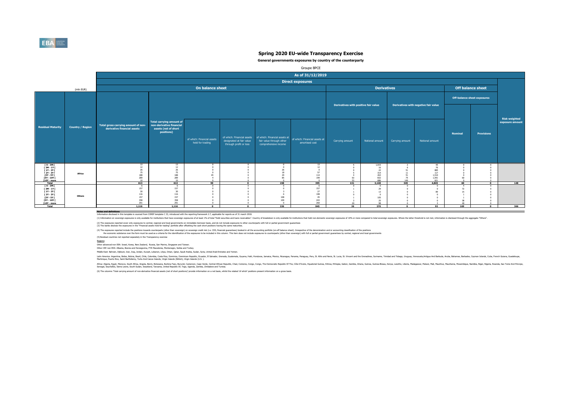

#### **General governments exposures by country of the counterparty**

|                                                                                                                      |                         |                                                                    |                                                                                                   |                                                |                                                                                  |                                                  | Groupe BPCE                                                                   |                                      |                                                               |                              |                                                          |                             |                                    |                                         |
|----------------------------------------------------------------------------------------------------------------------|-------------------------|--------------------------------------------------------------------|---------------------------------------------------------------------------------------------------|------------------------------------------------|----------------------------------------------------------------------------------|--------------------------------------------------|-------------------------------------------------------------------------------|--------------------------------------|---------------------------------------------------------------|------------------------------|----------------------------------------------------------|-----------------------------|------------------------------------|-----------------------------------------|
|                                                                                                                      |                         |                                                                    |                                                                                                   |                                                |                                                                                  |                                                  | As of 31/12/2019                                                              |                                      |                                                               |                              |                                                          |                             |                                    |                                         |
|                                                                                                                      |                         |                                                                    |                                                                                                   |                                                |                                                                                  |                                                  | <b>Direct exposures</b>                                                       |                                      |                                                               |                              |                                                          |                             |                                    |                                         |
|                                                                                                                      | (mln EUR)               | <b>Derivatives</b><br>On balance sheet<br><b>Off balance sheet</b> |                                                                                                   |                                                |                                                                                  |                                                  |                                                                               |                                      |                                                               |                              |                                                          |                             |                                    |                                         |
| <b>Residual Maturity</b>                                                                                             |                         |                                                                    |                                                                                                   |                                                |                                                                                  |                                                  |                                                                               | Derivatives with positive fair value |                                                               |                              | Derivatives with negative fair value                     |                             | <b>Off-balance sheet exposures</b> |                                         |
|                                                                                                                      | <b>Country / Region</b> | Total gross carrying amount of non-<br>derivative financial assets | <b>Total carrying amount of</b><br>non-derivative financial<br>assets (net of short<br>positions) | of which: Financial assets<br>held for trading | of which: Financial assets<br>designated at fair value<br>through profit or loss | fair value through other<br>comprehensive income | of which: Financial assets at of which: Financial assets at<br>amortised cost | Carrying amount                      | Notional amount                                               | Carrying amount              | Notional amount                                          | <b>Nominal</b>              | <b>Provisions</b>                  | <b>Risk weighted</b><br>exposure amount |
| $10 - 3M$<br>[3M-1Y]<br>$[1Y - 2Y]$<br>[ 2Y - 3Y I<br>[3Y - 5Y  <br><b>FSY - 10Y F</b><br>$[10Y - more]$<br>Total    | Africa                  | 12<br>26<br>75<br>188<br>289<br>10<br>613                          | 12<br>75<br>188<br>289<br>10 <sup>10</sup><br>613                                                 | 59                                             | $\Omega$                                                                         | 18<br>29<br>85<br>$\sim$<br>158                  | 13<br>12<br>57<br>114<br>199<br>$\sqrt{2}$<br>395                             | 63<br>53<br>131                      | 1.015<br>16<br>22<br>$\frac{314}{263}$<br>832<br>686<br>3.148 | 51<br>11<br>75<br>149<br>345 | 45<br>76<br>885<br>117<br>1.510<br>1.591<br>621<br>4.845 | 6n<br>60                    | $\Omega$                           | 148                                     |
| $10 - 3M$<br>$[3M-1Y]$<br>$[1Y - 2Y]$<br>[ 2Y - 3Y [<br>$[3Y - SY]$<br><b>FSY - 10Y F</b><br>$[10Y - more]$<br>Total | Others                  | -6<br>157<br>30<br>116<br>157<br>358<br>291<br>1.116               | 157<br>30<br>116<br>157<br>358<br>291<br>1.116                                                    | $\mathbf{a}$                                   | $\sim$                                                                           | 108<br>109<br>226                                | -6<br>157<br>27<br>108<br>45<br>243<br>260<br>845                             | 26                                   | 29<br>13<br>105<br>25<br>270                                  | $\sim$                       | 92                                                       | $\overline{4}$<br>72<br>169 |                                    | 366                                     |

**Notes and definitions** Information disclosed in this template is sourced from COREP template C 33, introduced with the reporting framework 2.7, applicable for reports as of 31 march 2018.

(1) Information on sovereign exposures is only available for instations that have sovereign exposures of at least 1% of total "Dest securities and loans excelvables". Country of treadchown is only available for instations

(2) The exposures reported cover only exposures to central, regional and local governments on immediate borrower basis, and do not indude exposures to other counterparts with full or partial government guarantees<br>(3) The b

(4) The exposures reported include the positions towners of the them as overelay) on soverelay on soverelay on some parameter bases and the include in the accounting particle and the controller and the computer of the demo

(5) Residual countries not reported separately in the Transparency exercise

Regions: Other advanced non EEA: Israel, Korea, New Zealand, Russia, San Marino, Singapore and Taiwan.

Other CEE non EEA: Albania, Bosnia and Herzegovina, FYR Macedonia, Montenegro, Serbia and Turkey.

Middle East: Bahrain, Djibouti, Iran, Iraq, Jordan, Kuwait, Lebanon, Libya, Oman, Qatar, Saudi Arabia, Sudan, Syria, United Arab Emirates and Yemen.

Lath Arena, Belan, Bundah Bang, Dila Comba, Coda Reading Reading Reading Education, Genada, Genada, Genada, Genada, Sundah, Henduas, Jamana, Penko, Reanga, Panana, Panguay, Peny, R. Rits and Read, Sundah Pandad Tobago, Ung

Africa, Egypt Mocwo, South Africa, Angle Banning, Banning Sanning, Came And Mocket Sanning Cames, Congo, Congo, The Democratic Republic Office, Cherolet Cheroket Republic Office, Cheroket Party African Scheen And The State

(6) The columns 'Total carrying amount of non-derivative financial assets (net of short positions)' provide information on a net basis, whilst the related 'of which' positions present information on a gross basis.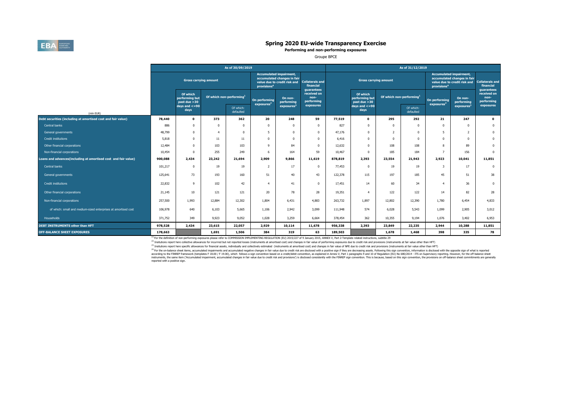

**Performing and non-performing exposures**

Groupe BPCE

|                                                                |                              |                                            |          | As of 30/09/2019                     |                                                                                                                          |                       | As of 31/12/2019                                  |         |                                            |                                      |                        |                                        |                                                                                               |                                                   |
|----------------------------------------------------------------|------------------------------|--------------------------------------------|----------|--------------------------------------|--------------------------------------------------------------------------------------------------------------------------|-----------------------|---------------------------------------------------|---------|--------------------------------------------|--------------------------------------|------------------------|----------------------------------------|-----------------------------------------------------------------------------------------------|---------------------------------------------------|
|                                                                | <b>Gross carrying amount</b> |                                            |          |                                      | <b>Accumulated impairment,</b><br>accumulated changes in fair<br>value due to credit risk and<br>provisions <sup>4</sup> |                       | <b>Collaterals and</b><br>financial<br>guarantees |         | <b>Gross carrying amount</b>               |                                      |                        |                                        | <b>Accumulated impairment,</b><br>accumulated changes in fair<br>value due to credit risk and | <b>Collaterals and</b><br>financial<br>guarantees |
|                                                                |                              | Of which<br>performing but<br>past due >30 |          | Of which non-performing <sup>1</sup> |                                                                                                                          | On non-<br>performing | received on<br>non-<br>performing<br>exposures    |         | Of which<br>performing but<br>past due >30 | Of which non-performing <sup>1</sup> |                        | On performing<br>exposure <sup>2</sup> | On non-<br>performing                                                                         | received on<br>non-<br>performing                 |
| (mln EUR)                                                      |                              | days and $\lt$ =90<br>days                 |          | Of which:<br>defaulted               | exposures <sup>2</sup>                                                                                                   | exposures             |                                                   |         | days and $\leq$ =90<br>days                |                                      | Of which:<br>defaulted |                                        | exposures <sup>3</sup>                                                                        | exposures                                         |
| Debt securities (including at amortised cost and fair value)   | 78,440                       | 0                                          | 373      | 362                                  | 20                                                                                                                       | 248                   | 59                                                | 77,519  | $\mathbf{o}$                               | 295                                  | 292                    | 21                                     | 247                                                                                           | $\mathbf 0$                                       |
| Central banks                                                  | 886                          | 0                                          | $\Omega$ | $\Omega$                             | $\Omega$                                                                                                                 | $\Omega$              | $\Omega$                                          | 827     | $\Omega$                                   | $\Omega$                             | $\Omega$               | $\Omega$                               | $\Omega$                                                                                      | $\Omega$                                          |
| General governments                                            | 48,799                       | 0                                          | 4        | $\Omega$                             | 5.                                                                                                                       | $\Omega$              | $\Omega$                                          | 47,176  | $\Omega$                                   | $\overline{2}$                       | $\Omega$               | 5                                      | $\overline{2}$                                                                                | $\Omega$                                          |
| <b>Credit institutions</b>                                     | 5,818                        |                                            | 11       | 11                                   | $\Omega$                                                                                                                 |                       | $\Omega$                                          | 6,416   | $\Omega$                                   | $\Omega$                             | $\Omega$               | $\Omega$                               | $\Omega$                                                                                      | $\Omega$                                          |
| Other financial corporations                                   | 12,484                       |                                            | 103      | 103                                  | $\mathbf{Q}$                                                                                                             | 84                    | $\Omega$                                          | 12,632  | $\Omega$                                   | 108                                  | 108                    | 8                                      | 89                                                                                            | $\Omega$                                          |
| Non-financial corporations<br>10,454                           |                              | O                                          | 255      | 249                                  | -6                                                                                                                       | 164                   | 59                                                | 10,467  | $\Omega$                                   | 185                                  | 184                    | $\overline{7}$                         | 156                                                                                           | $\Omega$                                          |
| Loans and advances(including at amortised cost and fair value) | 900,088                      | 2,434                                      | 23,242   | 21,694                               | 2,909                                                                                                                    | 9,866                 | 11,619                                            | 878,819 | 2,393                                      | 23,554                               | 21,943                 | 2,923                                  | 10,041                                                                                        | 11,851                                            |
| Central banks                                                  | 101,217                      | O                                          | 19       | 19                                   | $\overline{2}$                                                                                                           | 17                    | $\Omega$                                          | 77,453  | $\Omega$                                   | 19                                   | 19                     | 3                                      | 17                                                                                            | $\Omega$                                          |
| General governments                                            | 125,641                      | 73                                         | 193      | 160                                  | 51                                                                                                                       | 40                    | 43                                                | 122,378 | 115                                        | 197                                  | 185                    | 45                                     | 51                                                                                            | 38                                                |
| <b>Credit institutions</b>                                     | 22,832                       | 9                                          | 102      | 42                                   | $\overline{a}$                                                                                                           | 41                    | $\Omega$                                          | 17,451  | 14                                         | 60                                   | 34                     | $\overline{4}$                         | 36                                                                                            | $\Omega$                                          |
| Other financial corporations                                   | 21,145                       | 10                                         | 121      | 121                                  | 20                                                                                                                       | 78                    | 28                                                | 19,351  | $\overline{4}$                             | 122                                  | 122                    | 14                                     | 82                                                                                            | 28                                                |
| Non-financial corporations                                     | 257,500                      | 1,993                                      | 12,884   | 12,302                               | 1,804                                                                                                                    | 6,431                 | 4,883                                             | 263,732 | 1,897                                      | 12,802                               | 12,390                 | 1,780                                  | 6,454                                                                                         | 4,833                                             |
| of which: small and medium-sized enterprises at amortised cost | 106,978                      | 640                                        | 6,103    | 5,665                                | 1,106                                                                                                                    | 2,942                 | 3,099                                             | 111,948 | 574                                        | 6.028                                | 5,543                  | 1,099                                  | 2,905                                                                                         | 3,012                                             |
| <b>Households</b>                                              | 371,752                      | 349                                        | 9,923    | 9,052                                | 1,028                                                                                                                    | 3,259                 | 6,664                                             | 378,454 | 362                                        | 10,355                               | 9,194                  | 1,076                                  | 3,402                                                                                         | 6,953                                             |
| <b>DEBT INSTRUMENTS other than HFT</b>                         | 978,528                      | 2,434                                      | 23,615   | 22,057                               | 2,929                                                                                                                    | 10,114                | 11,678                                            | 956,338 | 2,393                                      | 23,849                               | 22,235                 | 2,944                                  | 10,288                                                                                        | 11,851                                            |
| <b>OFF-BALANCE SHEET EXPOSURES</b>                             | 178,663                      |                                            | 1,691    | 1,506                                | 384                                                                                                                      | 319                   | 63                                                | 189,503 |                                            | 1,678                                | 1,468                  | 398                                    | 335                                                                                           | 78                                                |

(1) For the definition of non-performing exposures please refer to COMMISSION IMPLEMENTING REGULATION (EU) 2015/227 of 9 January 2015, ANNEX V, Part 2-Template related instructions, subtitle 29

(2) to the control of the product with the control of the control of the control of the control of the control of the control of the control of the control of the control of the control of the control of the control of the <sup>(3)</sup> Insitutions report here specific allowances for financial assets, individually and collectively estimated (instruments at amortised cost) and changes in fair value of NPE due to credit risk and provisions (instrument

<sup>(9)</sup> for the or-balance sheet lems, acumulated impairments and accumulated negative change in fair value due to redit risk are disclosed with a positive sign f they are decreasing assume and a shall of the off-balance she instruments, the same item (Accumulated impairment, accumulated changes in fair value due to credit risk and provisions') is disclosed consistently with the FINREP sign convention. This is because, based on this sign conve reported with a positive sign.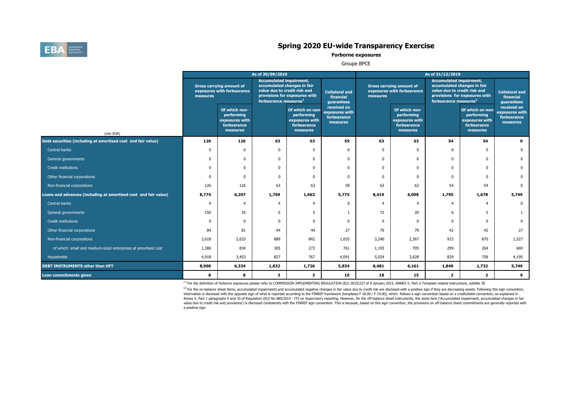

**Forborne exposures**

Groupe BPCE

|                                                                 |              |                                                                          | As of 30/09/2019                                                                                                                   |                                                                             |                                                          | As of 31/12/2019                                                          |                                                                          |                |                                                                                                                                                                     |                                                          |  |  |  |
|-----------------------------------------------------------------|--------------|--------------------------------------------------------------------------|------------------------------------------------------------------------------------------------------------------------------------|-----------------------------------------------------------------------------|----------------------------------------------------------|---------------------------------------------------------------------------|--------------------------------------------------------------------------|----------------|---------------------------------------------------------------------------------------------------------------------------------------------------------------------|----------------------------------------------------------|--|--|--|
|                                                                 | measures     | <b>Gross carrying amount of</b><br>exposures with forbearance            | <b>Accumulated impairment,</b><br>accumulated changes in fair<br>value due to credit risk and<br>forbearance measures <sup>2</sup> | provisions for exposures with                                               | <b>Collateral and</b><br>financial<br>quarantees         | <b>Gross carrying amount of</b><br>exposures with forbearance<br>measures |                                                                          |                | <b>Accumulated impairment,</b><br>accumulated changes in fair<br>value due to credit risk and<br>provisions for exposures with<br>forbearance measures <sup>2</sup> |                                                          |  |  |  |
| (mln EUR)                                                       |              | Of which non-<br>performing<br>exposures with<br>forbearance<br>measures |                                                                                                                                    | Of which on non-<br>performing<br>exposures with<br>forbearance<br>measures | received on<br>exposures with<br>forbearance<br>measures |                                                                           | Of which non-<br>performing<br>exposures with<br>forbearance<br>measures |                | Of which on non-<br>performing<br>exposures with<br>forbearance<br>measures                                                                                         | received on<br>exposures with<br>forbearance<br>measures |  |  |  |
| Debt securities (including at amortised cost and fair value)    | 126          | 126                                                                      | 63                                                                                                                                 | 63                                                                          | 59                                                       | 63                                                                        | 63                                                                       | 54             | 54                                                                                                                                                                  | $\Omega$                                                 |  |  |  |
| Central banks                                                   | <sub>0</sub> | $\Omega$                                                                 | $\Omega$                                                                                                                           |                                                                             | $\Omega$                                                 | $\mathbf 0$                                                               | $\Omega$                                                                 | $\Omega$       | $\Omega$                                                                                                                                                            |                                                          |  |  |  |
| General governments                                             | $\Omega$     | $\Omega$                                                                 | $\Omega$                                                                                                                           | $\Omega$                                                                    | $\Omega$                                                 | $\Omega$                                                                  | $\mathbf 0$                                                              | $\mathbf 0$    | $\Omega$                                                                                                                                                            | $\Omega$                                                 |  |  |  |
| Credit institutions                                             | $\mathbf 0$  | $\Omega$                                                                 | $\Omega$                                                                                                                           | $\mathbf 0$                                                                 | $\mathbf 0$                                              | $\Omega$                                                                  | $\mathbf 0$                                                              | $\mathbf 0$    | $\Omega$                                                                                                                                                            | $\mathbf 0$                                              |  |  |  |
| Other financial corporations                                    | $\Omega$     | $\Omega$                                                                 | $\Omega$                                                                                                                           | $\Omega$                                                                    | $\mathbf 0$                                              | $\Omega$                                                                  | $\mathbf 0$                                                              | $\mathbf{0}$   | U                                                                                                                                                                   | $\Omega$                                                 |  |  |  |
| Non-financial corporations                                      | 126          | 126                                                                      | 63                                                                                                                                 | 63                                                                          | 59                                                       | 63                                                                        | 63                                                                       | 54             | 54                                                                                                                                                                  | $\Omega$                                                 |  |  |  |
| Loans and advances (including at amortised cost and fair value) | 8,774        | 6,207                                                                    | 1,769                                                                                                                              | 1,663                                                                       | 5,775                                                    | 8,419                                                                     | 6,098                                                                    | 1,795          | 1,678                                                                                                                                                               | 5,749                                                    |  |  |  |
| Central banks                                                   |              | $\overline{4}$                                                           | $\overline{4}$                                                                                                                     | 4                                                                           | $\mathbf 0$                                              | 4                                                                         |                                                                          | $\overline{4}$ | $\overline{4}$                                                                                                                                                      | $\mathbf 0$                                              |  |  |  |
| General governments                                             | 150          | 35                                                                       | 6                                                                                                                                  | 5                                                                           | 1                                                        | 72                                                                        | 20                                                                       | 6              | 5                                                                                                                                                                   | 1                                                        |  |  |  |
| Credit institutions                                             | $\Omega$     | $\Omega$                                                                 | $\Omega$                                                                                                                           | $\Omega$                                                                    | $\Omega$                                                 | $\mathbf 0$                                                               | $\mathbf 0$                                                              | $\mathbf{0}$   | $\Omega$                                                                                                                                                            | $\Omega$                                                 |  |  |  |
| Other financial corporations                                    | 84           | 81                                                                       | 44                                                                                                                                 | 44                                                                          | 27                                                       | 79                                                                        | 79                                                                       | 42             | 42                                                                                                                                                                  | 27                                                       |  |  |  |
| Non-financial corporations                                      | 3,618        | 2,633                                                                    | 889                                                                                                                                | 842                                                                         | 1,655                                                    | 3,240                                                                     | 2,367                                                                    | 915            | 870                                                                                                                                                                 | 1,527                                                    |  |  |  |
| of which: small and medium-sized enterprises at amortised cost  | 1,380        | 834                                                                      | 305                                                                                                                                | 272                                                                         | 761                                                      | 1,193                                                                     | 705                                                                      | 299            | 264                                                                                                                                                                 | 669                                                      |  |  |  |
| Households                                                      | 4,918        | 3,453                                                                    | 827                                                                                                                                | 767                                                                         | 4,091                                                    | 5,024                                                                     | 3,628                                                                    | 829            | 758                                                                                                                                                                 | 4,195                                                    |  |  |  |
| <b>DEBT INSTRUMENTS other than HFT</b>                          | 8,900        | 6,334                                                                    | 1,832                                                                                                                              | 1,726                                                                       | 5,834                                                    | 8,481                                                                     | 6,161                                                                    | 1,849          | 1,732                                                                                                                                                               | 5,749                                                    |  |  |  |
| Loan commitments given                                          | 8            | 8                                                                        | 3                                                                                                                                  | 3                                                                           | 10                                                       | 18                                                                        | 15                                                                       | $\overline{2}$ | $\overline{2}$                                                                                                                                                      | 9                                                        |  |  |  |

<sup>(1)</sup> For the definition of forborne exposures please refer to COMMISSION IMPLEMENTING REGULATION (EU) 2015/227 of 9 January 2015, ANNEX V, Part 2-Template related instructions, subtitle 30

(2) For the on-balance sheet items, accumulated impairments and accumulated negative changes in fair value due to credit risk are disclosed with a positive sign if they are decreasing assets. Following this sign convention information is disclosed with the opposite sign of what is reported according to the FINREP framework (templates F 18.00 / F 19.00), which follows a sign convention based on a credit/debit convention, as explained in Annex V, Part 1 paragraphs 9 and 10 of Regulation (EU) No 680/2014 - ITS on Supervisory reporting. However, for the off-balance sheet instruments, the same item ('Accumulated impairment, accumulated changes in fair value due to credit risk and provisions') is disclosed consistently with the FINREP sign convention. This is because, based on this sign convention, the provisions on off-balance sheet commitments are generally reported wi a positive sign.